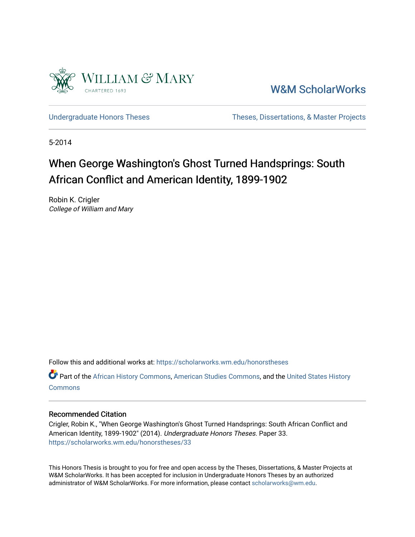

[W&M ScholarWorks](https://scholarworks.wm.edu/) 

[Undergraduate Honors Theses](https://scholarworks.wm.edu/honorstheses) Theses Theses, Dissertations, & Master Projects

5-2014

## When George Washington's Ghost Turned Handsprings: South African Conflict and American Identity, 1899-1902

Robin K. Crigler College of William and Mary

Follow this and additional works at: [https://scholarworks.wm.edu/honorstheses](https://scholarworks.wm.edu/honorstheses?utm_source=scholarworks.wm.edu%2Fhonorstheses%2F33&utm_medium=PDF&utm_campaign=PDFCoverPages) 

Part of the [African History Commons](http://network.bepress.com/hgg/discipline/490?utm_source=scholarworks.wm.edu%2Fhonorstheses%2F33&utm_medium=PDF&utm_campaign=PDFCoverPages), [American Studies Commons](http://network.bepress.com/hgg/discipline/439?utm_source=scholarworks.wm.edu%2Fhonorstheses%2F33&utm_medium=PDF&utm_campaign=PDFCoverPages), and the [United States History](http://network.bepress.com/hgg/discipline/495?utm_source=scholarworks.wm.edu%2Fhonorstheses%2F33&utm_medium=PDF&utm_campaign=PDFCoverPages) **[Commons](http://network.bepress.com/hgg/discipline/495?utm_source=scholarworks.wm.edu%2Fhonorstheses%2F33&utm_medium=PDF&utm_campaign=PDFCoverPages)** 

## Recommended Citation

Crigler, Robin K., "When George Washington's Ghost Turned Handsprings: South African Conflict and American Identity, 1899-1902" (2014). Undergraduate Honors Theses. Paper 33. [https://scholarworks.wm.edu/honorstheses/33](https://scholarworks.wm.edu/honorstheses/33?utm_source=scholarworks.wm.edu%2Fhonorstheses%2F33&utm_medium=PDF&utm_campaign=PDFCoverPages)

This Honors Thesis is brought to you for free and open access by the Theses, Dissertations, & Master Projects at W&M ScholarWorks. It has been accepted for inclusion in Undergraduate Honors Theses by an authorized administrator of W&M ScholarWorks. For more information, please contact [scholarworks@wm.edu.](mailto:scholarworks@wm.edu)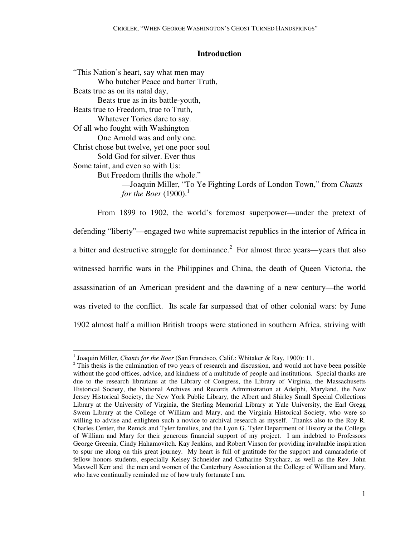## **Introduction**

"This Nation's heart, say what men may Who butcher Peace and barter Truth, Beats true as on its natal day, Beats true as in its battle-youth, Beats true to Freedom, true to Truth, Whatever Tories dare to say. Of all who fought with Washington One Arnold was and only one. Christ chose but twelve, yet one poor soul Sold God for silver. Ever thus Some taint, and even so with Us: But Freedom thrills the whole."

 —Joaquin Miller, "To Ye Fighting Lords of London Town," from *Chants for the Boer*  $(1900).<sup>1</sup>$ 

 From 1899 to 1902, the world's foremost superpower—under the pretext of defending "liberty"—engaged two white supremacist republics in the interior of Africa in a bitter and destructive struggle for dominance.<sup>2</sup> For almost three years—years that also witnessed horrific wars in the Philippines and China, the death of Queen Victoria, the assassination of an American president and the dawning of a new century—the world was riveted to the conflict. Its scale far surpassed that of other colonial wars: by June 1902 almost half a million British troops were stationed in southern Africa, striving with

<sup>-</sup><sup>1</sup> Joaquin Miller, *Chants for the Boer* (San Francisco, Calif.: Whitaker & Ray, 1900): 11.

 $2$ <sup>2</sup> This thesis is the culmination of two years of research and discussion, and would not have been possible without the good offices, advice, and kindness of a multitude of people and institutions. Special thanks are due to the research librarians at the Library of Congress, the Library of Virginia, the Massachusetts Historical Society, the National Archives and Records Administration at Adelphi, Maryland, the New Jersey Historical Society, the New York Public Library, the Albert and Shirley Small Special Collections Library at the University of Virginia, the Sterling Memorial Library at Yale University, the Earl Gregg Swem Library at the College of William and Mary, and the Virginia Historical Society, who were so willing to advise and enlighten such a novice to archival research as myself. Thanks also to the Roy R. Charles Center, the Renick and Tyler families, and the Lyon G. Tyler Department of History at the College of William and Mary for their generous financial support of my project. I am indebted to Professors George Greenia, Cindy Hahamovitch. Kay Jenkins, and Robert Vinson for providing invaluable inspiration to spur me along on this great journey. My heart is full of gratitude for the support and camaraderie of fellow honors students, especially Kelsey Schneider and Catharine Strycharz, as well as the Rev. John Maxwell Kerr and the men and women of the Canterbury Association at the College of William and Mary, who have continually reminded me of how truly fortunate I am.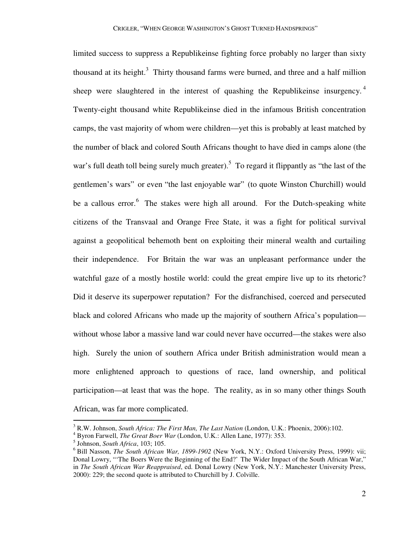limited success to suppress a Republikeinse fighting force probably no larger than sixty thousand at its height.<sup>3</sup> Thirty thousand farms were burned, and three and a half million sheep were slaughtered in the interest of quashing the Republikeinse insurgency.<sup>4</sup> Twenty-eight thousand white Republikeinse died in the infamous British concentration camps, the vast majority of whom were children—yet this is probably at least matched by the number of black and colored South Africans thought to have died in camps alone (the war's full death toll being surely much greater).<sup>5</sup> To regard it flippantly as "the last of the gentlemen's wars" or even "the last enjoyable war" (to quote Winston Churchill) would be a callous error.<sup>6</sup> The stakes were high all around. For the Dutch-speaking white citizens of the Transvaal and Orange Free State, it was a fight for political survival against a geopolitical behemoth bent on exploiting their mineral wealth and curtailing their independence. For Britain the war was an unpleasant performance under the watchful gaze of a mostly hostile world: could the great empire live up to its rhetoric? Did it deserve its superpower reputation? For the disfranchised, coerced and persecuted black and colored Africans who made up the majority of southern Africa's population without whose labor a massive land war could never have occurred—the stakes were also high. Surely the union of southern Africa under British administration would mean a more enlightened approach to questions of race, land ownership, and political participation—at least that was the hope. The reality, as in so many other things South African, was far more complicated.

 3 R.W. Johnson, *South Africa: The First Man, The Last Nation* (London, U.K.: Phoenix, 2006):102.

<sup>4</sup> Byron Farwell, *The Great Boer War* (London, U.K.: Allen Lane, 1977): 353.

<sup>5</sup> Johnson, *South Africa*, 103; 105.

<sup>6</sup> Bill Nasson, *The South African War, 1899-1902* (New York, N.Y.: Oxford University Press, 1999): vii; Donal Lowry, "'The Boers Were the Beginning of the End?' The Wider Impact of the South African War," in *The South African War Reappraised*, ed. Donal Lowry (New York, N.Y.: Manchester University Press, 2000): 229; the second quote is attributed to Churchill by J. Colville.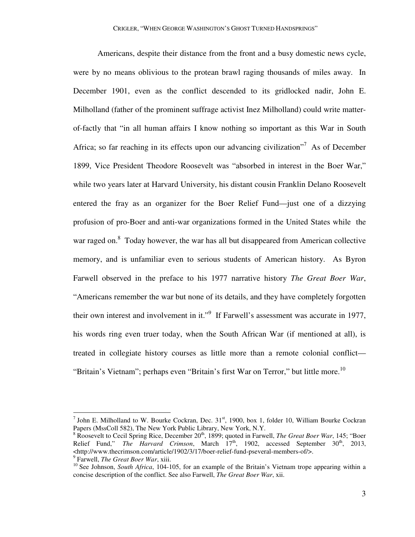Americans, despite their distance from the front and a busy domestic news cycle, were by no means oblivious to the protean brawl raging thousands of miles away. In December 1901, even as the conflict descended to its gridlocked nadir, John E. Milholland (father of the prominent suffrage activist Inez Milholland) could write matterof-factly that "in all human affairs I know nothing so important as this War in South Africa; so far reaching in its effects upon our advancing civilization"<sup>7</sup> As of December 1899, Vice President Theodore Roosevelt was "absorbed in interest in the Boer War," while two years later at Harvard University, his distant cousin Franklin Delano Roosevelt entered the fray as an organizer for the Boer Relief Fund—just one of a dizzying profusion of pro-Boer and anti-war organizations formed in the United States while the war raged on.<sup>8</sup> Today however, the war has all but disappeared from American collective memory, and is unfamiliar even to serious students of American history. As Byron Farwell observed in the preface to his 1977 narrative history *The Great Boer War*, "Americans remember the war but none of its details, and they have completely forgotten their own interest and involvement in it."<sup>9</sup> If Farwell's assessment was accurate in 1977, his words ring even truer today, when the South African War (if mentioned at all), is treated in collegiate history courses as little more than a remote colonial conflict— "Britain's Vietnam"; perhaps even "Britain's first War on Terror," but little more.<sup>10</sup>

<sup>&</sup>lt;sup>7</sup> John E. Milholland to W. Bourke Cockran, Dec.  $31<sup>st</sup>$ , 1900, box 1, folder 10, William Bourke Cockran Papers (MssColl 582), The New York Public Library, New York, N.Y.

<sup>&</sup>lt;sup>8</sup> Roosevelt to Cecil Spring Rice, December 20<sup>th</sup>, 1899; quoted in Farwell, *The Great Boer War*, 145; "Boer Relief Fund," *The Harvard Crimson*, March 17<sup>th</sup>, 1902, accessed September 30<sup>th</sup>, 2013, <http://www.thecrimson.com/article/1902/3/17/boer-relief-fund-pseveral-members-of/>.

<sup>9</sup> Farwell, *The Great Boer War*, xiii.

<sup>&</sup>lt;sup>10</sup> See Johnson, *South Africa*, 104-105, for an example of the Britain's Vietnam trope appearing within a concise description of the conflict. See also Farwell, *The Great Boer War*, xii.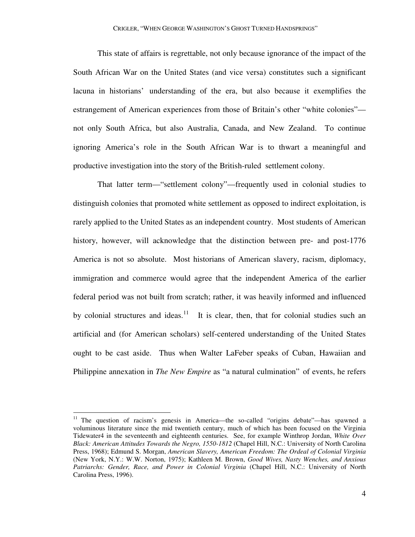This state of affairs is regrettable, not only because ignorance of the impact of the South African War on the United States (and vice versa) constitutes such a significant lacuna in historians' understanding of the era, but also because it exemplifies the estrangement of American experiences from those of Britain's other "white colonies" not only South Africa, but also Australia, Canada, and New Zealand. To continue ignoring America's role in the South African War is to thwart a meaningful and productive investigation into the story of the British-ruled settlement colony.

 That latter term—"settlement colony"—frequently used in colonial studies to distinguish colonies that promoted white settlement as opposed to indirect exploitation, is rarely applied to the United States as an independent country. Most students of American history, however, will acknowledge that the distinction between pre- and post-1776 America is not so absolute. Most historians of American slavery, racism, diplomacy, immigration and commerce would agree that the independent America of the earlier federal period was not built from scratch; rather, it was heavily informed and influenced by colonial structures and ideas.<sup>11</sup> It is clear, then, that for colonial studies such an artificial and (for American scholars) self-centered understanding of the United States ought to be cast aside. Thus when Walter LaFeber speaks of Cuban, Hawaiian and Philippine annexation in *The New Empire* as "a natural culmination" of events, he refers

<sup>&</sup>lt;sup>11</sup> The question of racism's genesis in America—the so-called "origins debate"—has spawned a voluminous literature since the mid twentieth century, much of which has been focused on the Virginia Tidewater4 in the seventeenth and eighteenth centuries. See, for example Winthrop Jordan, *White Over Black: American Attitudes Towards the Negro, 1550-1812* (Chapel Hill, N.C.: University of North Carolina Press, 1968); Edmund S. Morgan, *American Slavery, American Freedom: The Ordeal of Colonial Virginia*  (New York, N.Y.: W.W. Norton, 1975); Kathleen M. Brown, *Good Wives, Nasty Wenches, and Anxious Patriarchs: Gender, Race, and Power in Colonial Virginia* (Chapel Hill, N.C.: University of North Carolina Press, 1996).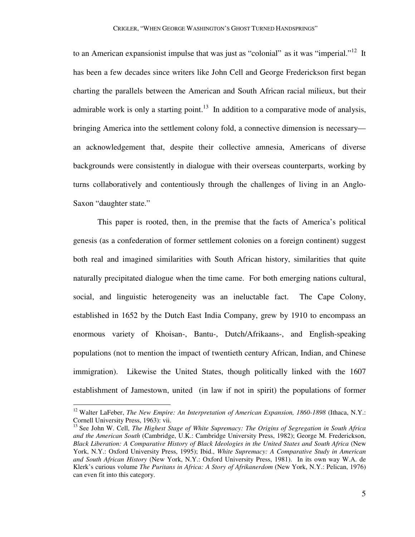to an American expansionist impulse that was just as "colonial" as it was "imperial."<sup>12</sup> It has been a few decades since writers like John Cell and George Frederickson first began charting the parallels between the American and South African racial milieux, but their admirable work is only a starting point.<sup>13</sup> In addition to a comparative mode of analysis, bringing America into the settlement colony fold, a connective dimension is necessary an acknowledgement that, despite their collective amnesia, Americans of diverse backgrounds were consistently in dialogue with their overseas counterparts, working by turns collaboratively and contentiously through the challenges of living in an Anglo-Saxon "daughter state."

 This paper is rooted, then, in the premise that the facts of America's political genesis (as a confederation of former settlement colonies on a foreign continent) suggest both real and imagined similarities with South African history, similarities that quite naturally precipitated dialogue when the time came. For both emerging nations cultural, social, and linguistic heterogeneity was an ineluctable fact. The Cape Colony, established in 1652 by the Dutch East India Company, grew by 1910 to encompass an enormous variety of Khoisan-, Bantu-, Dutch/Afrikaans-, and English-speaking populations (not to mention the impact of twentieth century African, Indian, and Chinese immigration). Likewise the United States, though politically linked with the 1607 establishment of Jamestown, united (in law if not in spirit) the populations of former

<sup>&</sup>lt;sup>12</sup> Walter LaFeber, *The New Empire: An Interpretation of American Expansion, 1860-1898* (Ithaca, N.Y.: Cornell University Press, 1963): vii.

<sup>&</sup>lt;sup>13</sup> See John W. Cell, *The Highest Stage of White Supremacy: The Origins of Segregation in South Africa and the American South* (Cambridge, U.K.: Cambridge University Press, 1982); George M. Frederickson, *Black Liberation: A Comparative History of Black Ideologies in the United States and South Africa* (New York, N.Y.: Oxford University Press, 1995); Ibid., *White Supremacy: A Comparative Study in American and South African History* (New York, N.Y.: Oxford University Press, 1981). In its own way W.A. de Klerk's curious volume *The Puritans in Africa: A Story of Afrikanerdom* (New York, N.Y.: Pelican, 1976) can even fit into this category.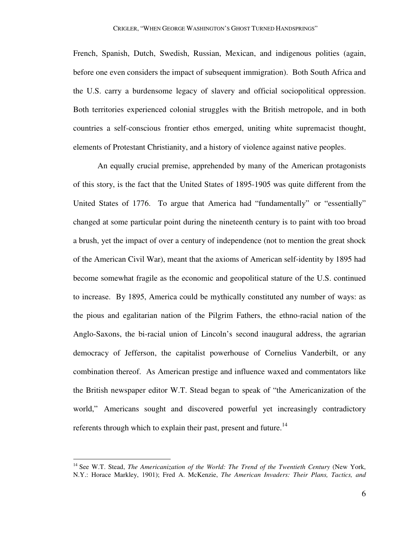French, Spanish, Dutch, Swedish, Russian, Mexican, and indigenous polities (again, before one even considers the impact of subsequent immigration). Both South Africa and the U.S. carry a burdensome legacy of slavery and official sociopolitical oppression. Both territories experienced colonial struggles with the British metropole, and in both countries a self-conscious frontier ethos emerged, uniting white supremacist thought, elements of Protestant Christianity, and a history of violence against native peoples.

 An equally crucial premise, apprehended by many of the American protagonists of this story, is the fact that the United States of 1895-1905 was quite different from the United States of 1776. To argue that America had "fundamentally" or "essentially" changed at some particular point during the nineteenth century is to paint with too broad a brush, yet the impact of over a century of independence (not to mention the great shock of the American Civil War), meant that the axioms of American self-identity by 1895 had become somewhat fragile as the economic and geopolitical stature of the U.S. continued to increase. By 1895, America could be mythically constituted any number of ways: as the pious and egalitarian nation of the Pilgrim Fathers, the ethno-racial nation of the Anglo-Saxons, the bi-racial union of Lincoln's second inaugural address, the agrarian democracy of Jefferson, the capitalist powerhouse of Cornelius Vanderbilt, or any combination thereof. As American prestige and influence waxed and commentators like the British newspaper editor W.T. Stead began to speak of "the Americanization of the world," Americans sought and discovered powerful yet increasingly contradictory referents through which to explain their past, present and future.<sup>14</sup>

<sup>14</sup> See W.T. Stead, *The Americanization of the World: The Trend of the Twentieth Century* (New York, N.Y.: Horace Markley, 1901); Fred A. McKenzie, *The American Invaders: Their Plans, Tactics, and*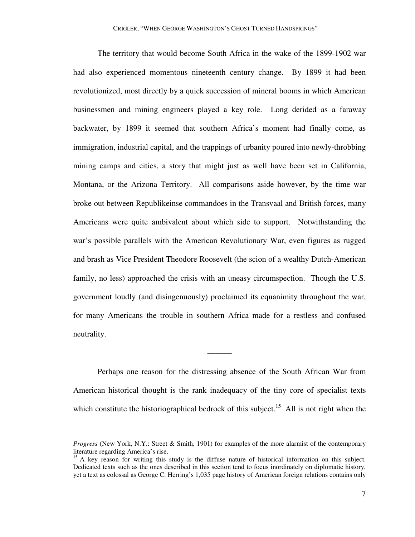The territory that would become South Africa in the wake of the 1899-1902 war had also experienced momentous nineteenth century change. By 1899 it had been revolutionized, most directly by a quick succession of mineral booms in which American businessmen and mining engineers played a key role. Long derided as a faraway backwater, by 1899 it seemed that southern Africa's moment had finally come, as immigration, industrial capital, and the trappings of urbanity poured into newly-throbbing mining camps and cities, a story that might just as well have been set in California, Montana, or the Arizona Territory. All comparisons aside however, by the time war broke out between Republikeinse commandoes in the Transvaal and British forces, many Americans were quite ambivalent about which side to support. Notwithstanding the war's possible parallels with the American Revolutionary War, even figures as rugged and brash as Vice President Theodore Roosevelt (the scion of a wealthy Dutch-American family, no less) approached the crisis with an uneasy circumspection. Though the U.S. government loudly (and disingenuously) proclaimed its equanimity throughout the war, for many Americans the trouble in southern Africa made for a restless and confused neutrality.

 Perhaps one reason for the distressing absence of the South African War from American historical thought is the rank inadequacy of the tiny core of specialist texts which constitute the historiographical bedrock of this subject.<sup>15</sup> All is not right when the

———

*Progress* (New York, N.Y.: Street & Smith, 1901) for examples of the more alarmist of the contemporary literature regarding America's rise.

<sup>&</sup>lt;sup>15</sup> A key reason for writing this study is the diffuse nature of historical information on this subject. Dedicated texts such as the ones described in this section tend to focus inordinately on diplomatic history, yet a text as colossal as George C. Herring's 1,035 page history of American foreign relations contains only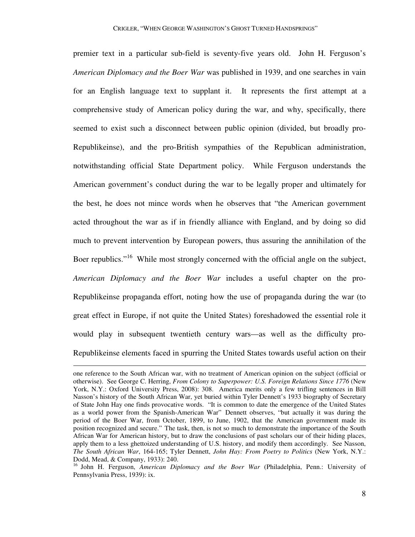premier text in a particular sub-field is seventy-five years old. John H. Ferguson's *American Diplomacy and the Boer War* was published in 1939, and one searches in vain for an English language text to supplant it. It represents the first attempt at a comprehensive study of American policy during the war, and why, specifically, there seemed to exist such a disconnect between public opinion (divided, but broadly pro-Republikeinse), and the pro-British sympathies of the Republican administration, notwithstanding official State Department policy. While Ferguson understands the American government's conduct during the war to be legally proper and ultimately for the best, he does not mince words when he observes that "the American government acted throughout the war as if in friendly alliance with England, and by doing so did much to prevent intervention by European powers, thus assuring the annihilation of the Boer republics."<sup>16</sup> While most strongly concerned with the official angle on the subject, *American Diplomacy and the Boer War* includes a useful chapter on the pro-Republikeinse propaganda effort, noting how the use of propaganda during the war (to great effect in Europe, if not quite the United States) foreshadowed the essential role it would play in subsequent twentieth century wars—as well as the difficulty pro-Republikeinse elements faced in spurring the United States towards useful action on their

-

one reference to the South African war, with no treatment of American opinion on the subject (official or otherwise). See George C. Herring, *From Colony to Superpower: U.S. Foreign Relations Since 1776* (New York, N.Y.: Oxford University Press, 2008): 308. America merits only a few trifling sentences in Bill Nasson's history of the South African War, yet buried within Tyler Dennett's 1933 biography of Secretary of State John Hay one finds provocative words. "It is common to date the emergence of the United States as a world power from the Spanish-American War" Dennett observes, "but actually it was during the period of the Boer War, from October, 1899, to June, 1902, that the American government made its position recognized and secure." The task, then, is not so much to demonstrate the importance of the South African War for American history, but to draw the conclusions of past scholars our of their hiding places, apply them to a less ghettoized understanding of U.S. history, and modify them accordingly. See Nasson, *The South African War*, 164-165; Tyler Dennett, *John Hay: From Poetry to Politics* (New York, N.Y.: Dodd, Mead, & Company, 1933): 240.

<sup>&</sup>lt;sup>16</sup> John H. Ferguson, *American Diplomacy and the Boer War* (Philadelphia, Penn.: University of Pennsylvania Press, 1939): ix.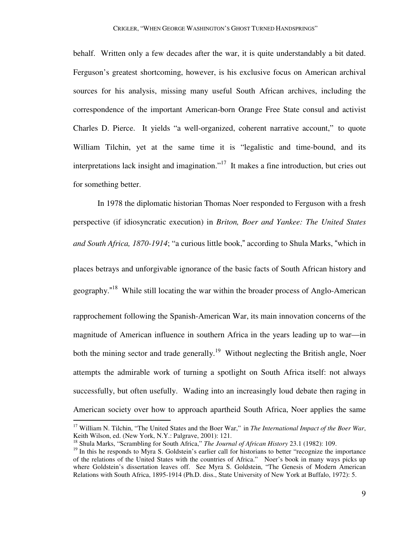behalf. Written only a few decades after the war, it is quite understandably a bit dated. Ferguson's greatest shortcoming, however, is his exclusive focus on American archival sources for his analysis, missing many useful South African archives, including the correspondence of the important American-born Orange Free State consul and activist Charles D. Pierce. It yields "a well-organized, coherent narrative account," to quote William Tilchin, yet at the same time it is "legalistic and time-bound, and its interpretations lack insight and imagination."<sup>17</sup> It makes a fine introduction, but cries out for something better.

 In 1978 the diplomatic historian Thomas Noer responded to Ferguson with a fresh perspective (if idiosyncratic execution) in *Briton, Boer and Yankee: The United States and South Africa, 1870-1914*; "a curious little book," according to Shula Marks, "which in

places betrays and unforgivable ignorance of the basic facts of South African history and geography."<sup>18</sup> While still locating the war within the broader process of Anglo-American

rapprochement following the Spanish-American War, its main innovation concerns of the magnitude of American influence in southern Africa in the years leading up to war—in both the mining sector and trade generally.<sup>19</sup> Without neglecting the British angle, Noer attempts the admirable work of turning a spotlight on South Africa itself: not always successfully, but often usefully. Wading into an increasingly loud debate then raging in American society over how to approach apartheid South Africa, Noer applies the same

<sup>&</sup>lt;sup>17</sup> William N. Tilchin, "The United States and the Boer War," in *The International Impact of the Boer War*, Keith Wilson, ed. (New York, N.Y.: Palgrave, 2001): 121.

<sup>18</sup> Shula Marks, "Scrambling for South Africa," *The Journal of African History* 23.1 (1982): 109.

<sup>&</sup>lt;sup>19</sup> In this he responds to Myra S. Goldstein's earlier call for historians to better "recognize the importance of the relations of the United States with the countries of Africa." Noer's book in many ways picks up where Goldstein's dissertation leaves off. See Myra S. Goldstein, "The Genesis of Modern American Relations with South Africa, 1895-1914 (Ph.D. diss., State University of New York at Buffalo, 1972): 5.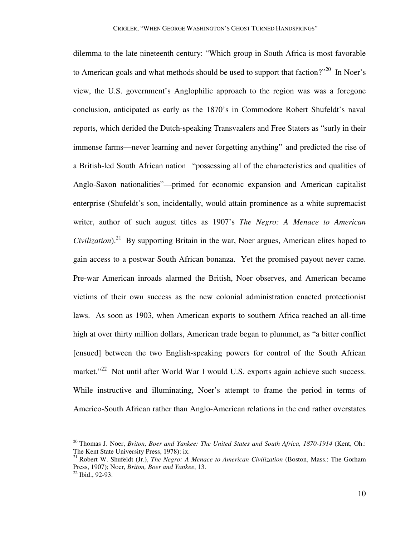dilemma to the late nineteenth century: "Which group in South Africa is most favorable to American goals and what methods should be used to support that faction? $1^{20}$  In Noer's view, the U.S. government's Anglophilic approach to the region was was a foregone conclusion, anticipated as early as the 1870's in Commodore Robert Shufeldt's naval reports, which derided the Dutch-speaking Transvaalers and Free Staters as "surly in their immense farms—never learning and never forgetting anything" and predicted the rise of a British-led South African nation "possessing all of the characteristics and qualities of Anglo-Saxon nationalities"—primed for economic expansion and American capitalist enterprise (Shufeldt's son, incidentally, would attain prominence as a white supremacist writer, author of such august titles as 1907's *The Negro: A Menace to American Civilization*).<sup>21</sup> By supporting Britain in the war, Noer argues, American elites hoped to gain access to a postwar South African bonanza. Yet the promised payout never came. Pre-war American inroads alarmed the British, Noer observes, and American became victims of their own success as the new colonial administration enacted protectionist laws. As soon as 1903, when American exports to southern Africa reached an all-time high at over thirty million dollars, American trade began to plummet, as "a bitter conflict [ensued] between the two English-speaking powers for control of the South African market."<sup>22</sup> Not until after World War I would U.S. exports again achieve such success. While instructive and illuminating, Noer's attempt to frame the period in terms of Americo-South African rather than Anglo-American relations in the end rather overstates

-

<sup>20</sup> Thomas J. Noer, *Briton, Boer and Yankee: The United States and South Africa, 1870-1914* (Kent, Oh.: The Kent State University Press, 1978): ix.

<sup>21</sup> Robert W. Shufeldt (Jr.), *The Negro: A Menace to American Civilization* (Boston, Mass.: The Gorham Press, 1907); Noer, *Briton, Boer and Yankee*, 13.

<sup>22</sup> Ibid., 92-93.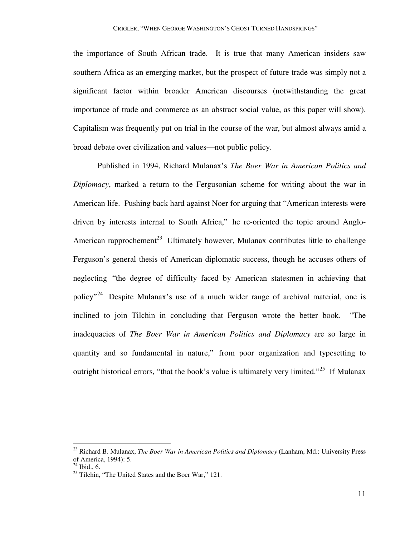the importance of South African trade. It is true that many American insiders saw southern Africa as an emerging market, but the prospect of future trade was simply not a significant factor within broader American discourses (notwithstanding the great importance of trade and commerce as an abstract social value, as this paper will show). Capitalism was frequently put on trial in the course of the war, but almost always amid a broad debate over civilization and values—not public policy.

 Published in 1994, Richard Mulanax's *The Boer War in American Politics and Diplomacy*, marked a return to the Fergusonian scheme for writing about the war in American life. Pushing back hard against Noer for arguing that "American interests were driven by interests internal to South Africa," he re-oriented the topic around Anglo-American rapprochement<sup>23</sup> Ultimately however, Mulanax contributes little to challenge Ferguson's general thesis of American diplomatic success, though he accuses others of neglecting "the degree of difficulty faced by American statesmen in achieving that policy<sup>"24</sup> Despite Mulanax's use of a much wider range of archival material, one is inclined to join Tilchin in concluding that Ferguson wrote the better book. "The inadequacies of *The Boer War in American Politics and Diplomacy* are so large in quantity and so fundamental in nature," from poor organization and typesetting to outright historical errors, "that the book's value is ultimately very limited."<sup>25</sup> If Mulanax

<sup>23</sup> Richard B. Mulanax, *The Boer War in American Politics and Diplomacy* (Lanham, Md.: University Press of America, 1994): 5.

 $^{24}$  Ibid., 6.

 $^{25}$  Tilchin, "The United States and the Boer War," 121.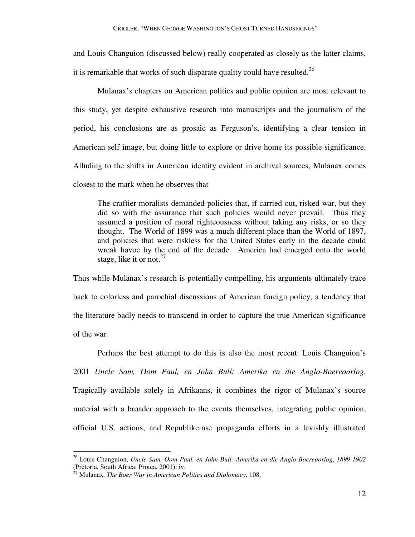and Louis Changuion (discussed below) really cooperated as closely as the latter claims,

it is remarkable that works of such disparate quality could have resulted.<sup>26</sup>

 Mulanax's chapters on American politics and public opinion are most relevant to this study, yet despite exhaustive research into manuscripts and the journalism of the period, his conclusions are as prosaic as Ferguson's, identifying a clear tension in American self image, but doing little to explore or drive home its possible significance. Alluding to the shifts in American identity evident in archival sources, Mulanax comes closest to the mark when he observes that

 The craftier moralists demanded policies that, if carried out, risked war, but they did so with the assurance that such policies would never prevail. Thus they assumed a position of moral righteousness without taking any risks, or so they thought. The World of 1899 was a much different place than the World of 1897, and policies that were riskless for the United States early in the decade could wreak havoc by the end of the decade. America had emerged onto the world stage, like it or not. $27$ 

Thus while Mulanax's research is potentially compelling, his arguments ultimately trace back to colorless and parochial discussions of American foreign policy, a tendency that the literature badly needs to transcend in order to capture the true American significance of the war.

 Perhaps the best attempt to do this is also the most recent: Louis Changuion's 2001 *Uncle Sam, Oom Paul, en John Bull: Amerika en die Anglo-Boereoorlog*. Tragically available solely in Afrikaans, it combines the rigor of Mulanax's source material with a broader approach to the events themselves, integrating public opinion, official U.S. actions, and Republikeinse propaganda efforts in a lavishly illustrated

<sup>26</sup> Louis Changuion, *Uncle Sam, Oom Paul, en John Bull: Amerika en die Anglo-Boereoorlog*, *1899-1902* (Pretoria, South Africa: Protea, 2001): iv.

<sup>27</sup> Mulanax, *The Boer War in American Politics and Diplomacy*, 108.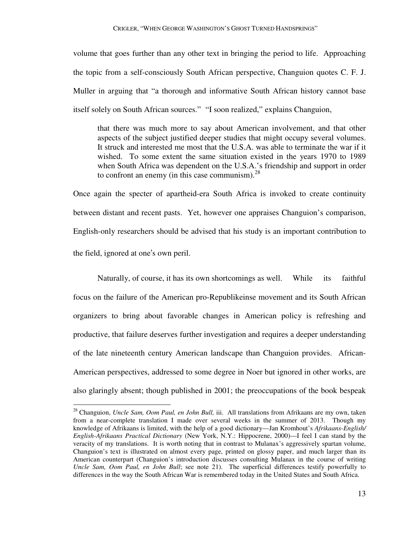volume that goes further than any other text in bringing the period to life. Approaching the topic from a self-consciously South African perspective, Changuion quotes C. F. J. Muller in arguing that "a thorough and informative South African history cannot base itself solely on South African sources." "I soon realized," explains Changuion,

 that there was much more to say about American involvement, and that other aspects of the subject justified deeper studies that might occupy several volumes. It struck and interested me most that the U.S.A. was able to terminate the war if it wished. To some extent the same situation existed in the years 1970 to 1989 when South Africa was dependent on the U.S.A.'s friendship and support in order to confront an enemy (in this case communism). $^{28}$ 

Once again the specter of apartheid-era South Africa is invoked to create continuity between distant and recent pasts. Yet, however one appraises Changuion's comparison, English-only researchers should be advised that his study is an important contribution to the field, ignored at one's own peril.

Naturally, of course, it has its own shortcomings as well. While its faithful focus on the failure of the American pro-Republikeinse movement and its South African organizers to bring about favorable changes in American policy is refreshing and productive, that failure deserves further investigation and requires a deeper understanding of the late nineteenth century American landscape than Changuion provides. African-American perspectives, addressed to some degree in Noer but ignored in other works, are also glaringly absent; though published in 2001; the preoccupations of the book bespeak

<sup>28</sup> Changuion, *Uncle Sam, Oom Paul, en John Bull,* iii. All translations from Afrikaans are my own, taken from a near-complete translation I made over several weeks in the summer of 2013. Though my knowledge of Afrikaans is limited, with the help of a good dictionary—Jan Kromhout's *Afrikaans-English/ English-Afrikaans Practical Dictionary* (New York, N.Y.: Hippocrene, 2000)—I feel I can stand by the veracity of my translations. It is worth noting that in contrast to Mulanax's aggressively spartan volume, Changuion's text is illustrated on almost every page, printed on glossy paper, and much larger than its American counterpart (Changuion's introduction discusses consulting Mulanax in the course of writing *Uncle Sam, Oom Paul, en John Bull*; see note 21). The superficial differences testify powerfully to differences in the way the South African War is remembered today in the United States and South Africa.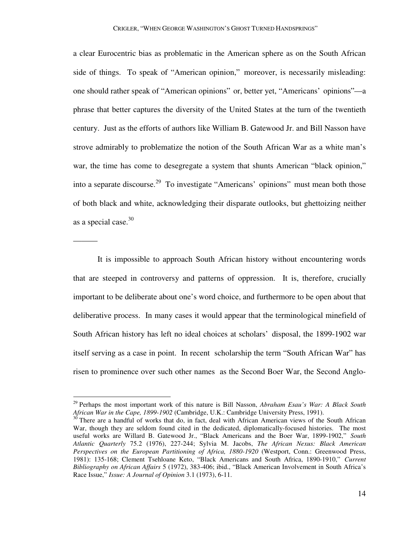a clear Eurocentric bias as problematic in the American sphere as on the South African side of things. To speak of "American opinion," moreover, is necessarily misleading: one should rather speak of "American opinions" or, better yet, "Americans' opinions"—a phrase that better captures the diversity of the United States at the turn of the twentieth century. Just as the efforts of authors like William B. Gatewood Jr. and Bill Nasson have strove admirably to problematize the notion of the South African War as a white man's war, the time has come to desegregate a system that shunts American "black opinion," into a separate discourse.<sup>29</sup> To investigate "Americans' opinions" must mean both those of both black and white, acknowledging their disparate outlooks, but ghettoizing neither as a special case. $30$ 

 It is impossible to approach South African history without encountering words that are steeped in controversy and patterns of oppression. It is, therefore, crucially important to be deliberate about one's word choice, and furthermore to be open about that deliberative process. In many cases it would appear that the terminological minefield of South African history has left no ideal choices at scholars' disposal, the 1899-1902 war itself serving as a case in point. In recent scholarship the term "South African War" has risen to prominence over such other names as the Second Boer War, the Second Anglo-

———

<sup>29</sup> Perhaps the most important work of this nature is Bill Nasson, *Abraham Esau's War: A Black South African War in the Cape, 1899-1902* (Cambridge, U.K.: Cambridge University Press, 1991).

 $30$  There are a handful of works that do, in fact, deal with African American views of the South African War, though they are seldom found cited in the dedicated, diplomatically-focused histories. The most useful works are Willard B. Gatewood Jr., "Black Americans and the Boer War, 1899-1902," *South Atlantic Quarterly* 75.2 (1976), 227-244; Sylvia M. Jacobs, *The African Nexus: Black American Perspectives on the European Partitioning of Africa, 1880-1920* (Westport, Conn.: Greenwood Press, 1981): 135-168; Clement Tsehloane Keto, "Black Americans and South Africa, 1890-1910," *Current Bibliography on African Affairs* 5 (1972), 383-406; ibid., "Black American Involvement in South Africa's Race Issue," *Issue: A Journal of Opinion* 3.1 (1973), 6-11.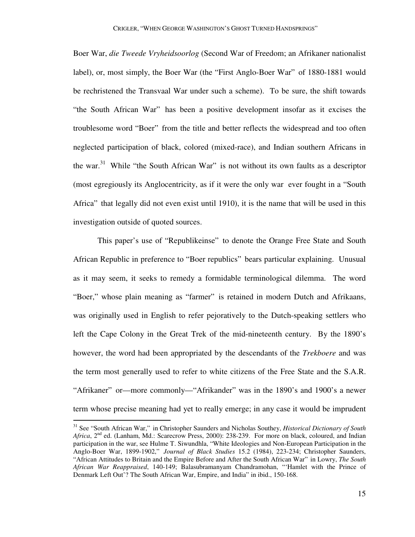Boer War, *die Tweede Vryheidsoorlog* (Second War of Freedom; an Afrikaner nationalist label), or, most simply, the Boer War (the "First Anglo-Boer War" of 1880-1881 would be rechristened the Transvaal War under such a scheme). To be sure, the shift towards "the South African War" has been a positive development insofar as it excises the troublesome word "Boer" from the title and better reflects the widespread and too often neglected participation of black, colored (mixed-race), and Indian southern Africans in the war.<sup>31</sup> While "the South African War" is not without its own faults as a descriptor (most egregiously its Anglocentricity, as if it were the only war ever fought in a "South Africa" that legally did not even exist until 1910), it is the name that will be used in this investigation outside of quoted sources.

 This paper's use of "Republikeinse" to denote the Orange Free State and South African Republic in preference to "Boer republics" bears particular explaining. Unusual as it may seem, it seeks to remedy a formidable terminological dilemma. The word "Boer," whose plain meaning as "farmer" is retained in modern Dutch and Afrikaans, was originally used in English to refer pejoratively to the Dutch-speaking settlers who left the Cape Colony in the Great Trek of the mid-nineteenth century. By the 1890's however, the word had been appropriated by the descendants of the *Trekboere* and was the term most generally used to refer to white citizens of the Free State and the S.A.R. "Afrikaner" or—more commonly—"Afrikander" was in the 1890's and 1900's a newer term whose precise meaning had yet to really emerge; in any case it would be imprudent

<sup>31</sup> See "South African War," in Christopher Saunders and Nicholas Southey, *Historical Dictionary of South*  Africa, 2<sup>nd</sup> ed. (Lanham, Md.: Scarecrow Press, 2000): 238-239. For more on black, coloured, and Indian participation in the war, see Hulme T. Siwundhla, "White Ideologies and Non-European Participation in the Anglo-Boer War, 1899-1902," *Journal of Black Studies* 15.2 (1984), 223-234; Christopher Saunders, "African Attitudes to Britain and the Empire Before and After the South African War" in Lowry, *The South African War Reappraised*, 140-149; Balasubramanyam Chandramohan, "'Hamlet with the Prince of Denmark Left Out'? The South African War, Empire, and India" in ibid., 150-168.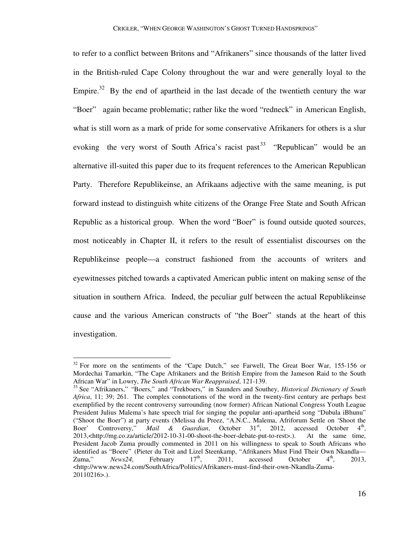to refer to a conflict between Britons and "Afrikaners" since thousands of the latter lived in the British-ruled Cape Colony throughout the war and were generally loyal to the Empire.<sup>32</sup> By the end of apartheid in the last decade of the twentieth century the war "Boer" again became problematic; rather like the word "redneck" in American English, what is still worn as a mark of pride for some conservative Afrikaners for others is a slur evoking the very worst of South Africa's racist past<sup>33</sup> "Republican" would be an alternative ill-suited this paper due to its frequent references to the American Republican Party. Therefore Republikeinse, an Afrikaans adjective with the same meaning, is put forward instead to distinguish white citizens of the Orange Free State and South African Republic as a historical group. When the word "Boer" is found outside quoted sources, most noticeably in Chapter II, it refers to the result of essentialist discourses on the Republikeinse people—a construct fashioned from the accounts of writers and eyewitnesses pitched towards a captivated American public intent on making sense of the situation in southern Africa. Indeed, the peculiar gulf between the actual Republikeinse cause and the various American constructs of "the Boer" stands at the heart of this investigation.

 $32$  For more on the sentiments of the "Cape Dutch," see Farwell, The Great Boer War, 155-156 or Mordechai Tamarkin, "The Cape Afrikaners and the British Empire from the Jameson Raid to the South African War" in Lowry, *The South African War Reappraised*, 121-139.

<sup>33</sup> See "Afrikaners," "Boers," and "Trekboers," in Saunders and Southey, *Historical Dictionary of South Africa*, 11; 39; 261. The complex connotations of the word in the twenty-first century are perhaps best exemplified by the recent controversy surrounding (now former) African National Congress Youth League President Julius Malema's hate speech trial for singing the popular anti-apartheid song "Dubula iBhunu" ("Shoot the Boer") at party events (Melissa du Preez, "A.N.C., Malema, Afriforum Settle on 'Shoot the Boer' Controversy," *Mail & Guardian*, October 31<sup>st</sup>, 2012, accessed October  $4^{\text{th}}$ , 2013,<http://mg.co.za/article/2012-10-31-00-shoot-the-boer-debate-put-to-rest>.). At the same time, President Jacob Zuma proudly commented in 2011 on his willingness to speak to South Africans who identified as "Boere" (Pieter du Toit and Lizel Steenkamp, "Afrikaners Must Find Their Own Nkandla—<br>Zuma," News24, February  $17^{\text{th}}$ , 2011, accessed October  $4^{\text{th}}$ , 2013, Zuma," *News24*, February  $17<sup>th</sup>$ , 2011, accessed October  $4<sup>th</sup>$ , 2013,  $\lt$ http://www.news24.com/SouthAfrica/Politics/Afrikaners-must-find-their-own-Nkandla-Zuma-20110216>.).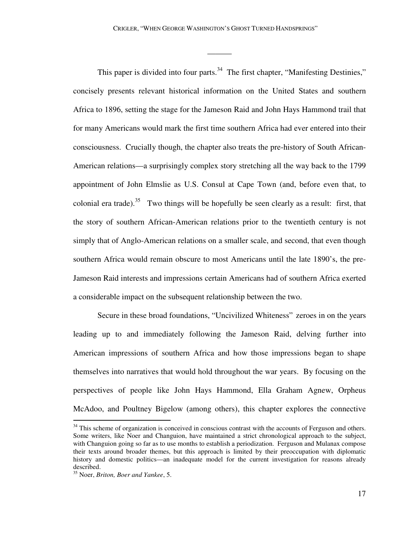———

This paper is divided into four parts.<sup>34</sup> The first chapter, "Manifesting Destinies," concisely presents relevant historical information on the United States and southern Africa to 1896, setting the stage for the Jameson Raid and John Hays Hammond trail that for many Americans would mark the first time southern Africa had ever entered into their consciousness. Crucially though, the chapter also treats the pre-history of South African-American relations—a surprisingly complex story stretching all the way back to the 1799 appointment of John Elmslie as U.S. Consul at Cape Town (and, before even that, to colonial era trade).<sup>35</sup> Two things will be hopefully be seen clearly as a result: first, that the story of southern African-American relations prior to the twentieth century is not simply that of Anglo-American relations on a smaller scale, and second, that even though southern Africa would remain obscure to most Americans until the late 1890's, the pre-Jameson Raid interests and impressions certain Americans had of southern Africa exerted a considerable impact on the subsequent relationship between the two.

 Secure in these broad foundations, "Uncivilized Whiteness" zeroes in on the years leading up to and immediately following the Jameson Raid, delving further into American impressions of southern Africa and how those impressions began to shape themselves into narratives that would hold throughout the war years. By focusing on the perspectives of people like John Hays Hammond, Ella Graham Agnew, Orpheus McAdoo, and Poultney Bigelow (among others), this chapter explores the connective

<sup>&</sup>lt;sup>34</sup> This scheme of organization is conceived in conscious contrast with the accounts of Ferguson and others. Some writers, like Noer and Changuion, have maintained a strict chronological approach to the subject, with Changuion going so far as to use months to establish a periodization. Ferguson and Mulanax compose their texts around broader themes, but this approach is limited by their preoccupation with diplomatic history and domestic politics—an inadequate model for the current investigation for reasons already described.

<sup>35</sup> Noer, *Briton, Boer and Yankee*, 5.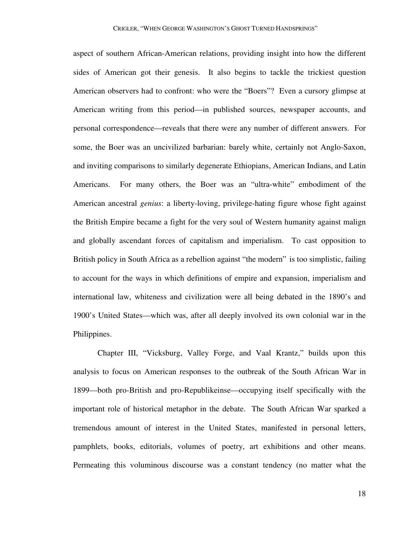aspect of southern African-American relations, providing insight into how the different sides of American got their genesis. It also begins to tackle the trickiest question American observers had to confront: who were the "Boers"? Even a cursory glimpse at American writing from this period—in published sources, newspaper accounts, and personal correspondence—reveals that there were any number of different answers. For some, the Boer was an uncivilized barbarian: barely white, certainly not Anglo-Saxon, and inviting comparisons to similarly degenerate Ethiopians, American Indians, and Latin Americans. For many others, the Boer was an "ultra-white" embodiment of the American ancestral *genius*: a liberty-loving, privilege-hating figure whose fight against the British Empire became a fight for the very soul of Western humanity against malign and globally ascendant forces of capitalism and imperialism. To cast opposition to British policy in South Africa as a rebellion against "the modern" is too simplistic, failing to account for the ways in which definitions of empire and expansion, imperialism and international law, whiteness and civilization were all being debated in the 1890's and 1900's United States—which was, after all deeply involved its own colonial war in the Philippines.

 Chapter III, "Vicksburg, Valley Forge, and Vaal Krantz," builds upon this analysis to focus on American responses to the outbreak of the South African War in 1899—both pro-British and pro-Republikeinse—occupying itself specifically with the important role of historical metaphor in the debate. The South African War sparked a tremendous amount of interest in the United States, manifested in personal letters, pamphlets, books, editorials, volumes of poetry, art exhibitions and other means. Permeating this voluminous discourse was a constant tendency (no matter what the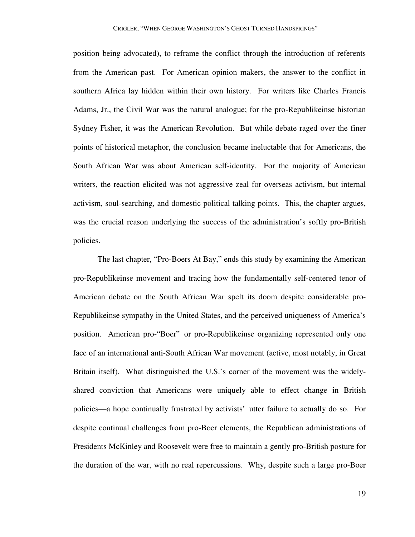position being advocated), to reframe the conflict through the introduction of referents from the American past. For American opinion makers, the answer to the conflict in southern Africa lay hidden within their own history. For writers like Charles Francis Adams, Jr., the Civil War was the natural analogue; for the pro-Republikeinse historian Sydney Fisher, it was the American Revolution. But while debate raged over the finer points of historical metaphor, the conclusion became ineluctable that for Americans, the South African War was about American self-identity. For the majority of American writers, the reaction elicited was not aggressive zeal for overseas activism, but internal activism, soul-searching, and domestic political talking points. This, the chapter argues, was the crucial reason underlying the success of the administration's softly pro-British policies.

 The last chapter, "Pro-Boers At Bay," ends this study by examining the American pro-Republikeinse movement and tracing how the fundamentally self-centered tenor of American debate on the South African War spelt its doom despite considerable pro-Republikeinse sympathy in the United States, and the perceived uniqueness of America's position. American pro-"Boer" or pro-Republikeinse organizing represented only one face of an international anti-South African War movement (active, most notably, in Great Britain itself). What distinguished the U.S.'s corner of the movement was the widelyshared conviction that Americans were uniquely able to effect change in British policies—a hope continually frustrated by activists' utter failure to actually do so. For despite continual challenges from pro-Boer elements, the Republican administrations of Presidents McKinley and Roosevelt were free to maintain a gently pro-British posture for the duration of the war, with no real repercussions. Why, despite such a large pro-Boer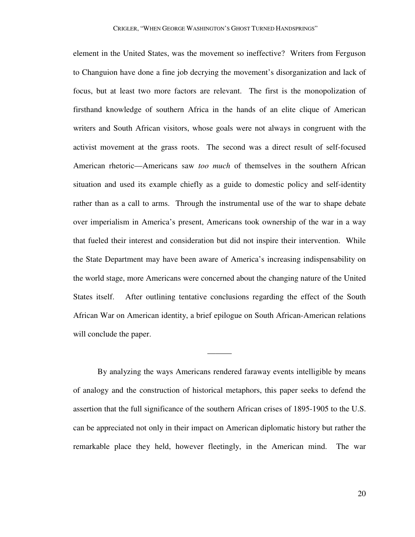element in the United States, was the movement so ineffective? Writers from Ferguson to Changuion have done a fine job decrying the movement's disorganization and lack of focus, but at least two more factors are relevant. The first is the monopolization of firsthand knowledge of southern Africa in the hands of an elite clique of American writers and South African visitors, whose goals were not always in congruent with the activist movement at the grass roots. The second was a direct result of self-focused American rhetoric—Americans saw *too much* of themselves in the southern African situation and used its example chiefly as a guide to domestic policy and self-identity rather than as a call to arms. Through the instrumental use of the war to shape debate over imperialism in America's present, Americans took ownership of the war in a way that fueled their interest and consideration but did not inspire their intervention. While the State Department may have been aware of America's increasing indispensability on the world stage, more Americans were concerned about the changing nature of the United States itself. After outlining tentative conclusions regarding the effect of the South African War on American identity, a brief epilogue on South African-American relations will conclude the paper.

 By analyzing the ways Americans rendered faraway events intelligible by means of analogy and the construction of historical metaphors, this paper seeks to defend the assertion that the full significance of the southern African crises of 1895-1905 to the U.S. can be appreciated not only in their impact on American diplomatic history but rather the remarkable place they held, however fleetingly, in the American mind. The war

———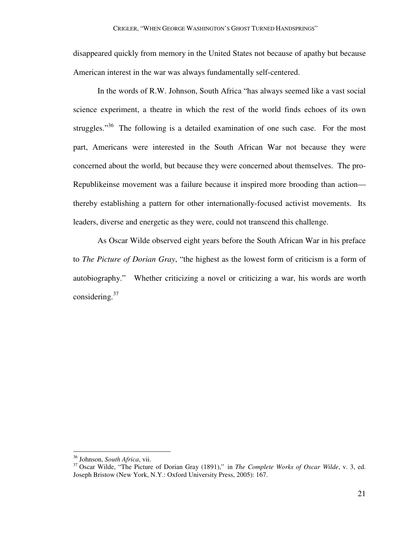disappeared quickly from memory in the United States not because of apathy but because American interest in the war was always fundamentally self-centered.

 In the words of R.W. Johnson, South Africa "has always seemed like a vast social science experiment, a theatre in which the rest of the world finds echoes of its own struggles."<sup>36</sup> The following is a detailed examination of one such case. For the most part, Americans were interested in the South African War not because they were concerned about the world, but because they were concerned about themselves. The pro-Republikeinse movement was a failure because it inspired more brooding than action thereby establishing a pattern for other internationally-focused activist movements. Its leaders, diverse and energetic as they were, could not transcend this challenge.

 As Oscar Wilde observed eight years before the South African War in his preface to *The Picture of Dorian Gray*, "the highest as the lowest form of criticism is a form of autobiography." Whether criticizing a novel or criticizing a war, his words are worth considering. $37$ 

<sup>36</sup> Johnson, *South Africa*, vii.

<sup>37</sup> Oscar Wilde, "The Picture of Dorian Gray (1891)," in *The Complete Works of Oscar Wilde*, v. 3, ed. Joseph Bristow (New York, N.Y.: Oxford University Press, 2005): 167.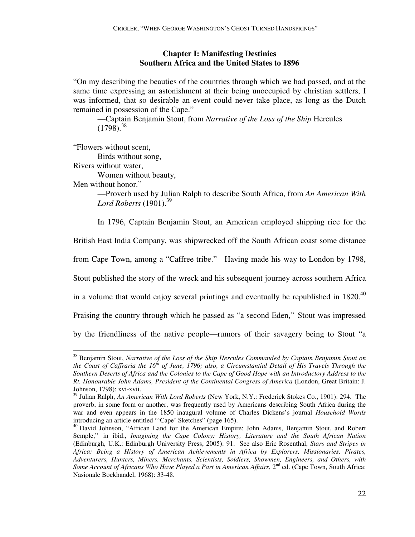## **Chapter I: Manifesting Destinies Southern Africa and the United States to 1896**

"On my describing the beauties of the countries through which we had passed, and at the same time expressing an astonishment at their being unoccupied by christian settlers, I was informed, that so desirable an event could never take place, as long as the Dutch remained in possession of the Cape."

 —Captain Benjamin Stout, from *Narrative of the Loss of the Ship* Hercules  $(1798)^{38}$ 

"Flowers without scent,

Birds without song,

Rivers without water,

Women without beauty,

Men without honor."

 —Proverb used by Julian Ralph to describe South Africa, from *An American With Lord Roberts* (1901).<sup>39</sup>

In 1796, Captain Benjamin Stout, an American employed shipping rice for the

British East India Company, was shipwrecked off the South African coast some distance

from Cape Town, among a "Caffree tribe." Having made his way to London by 1798,

Stout published the story of the wreck and his subsequent journey across southern Africa

in a volume that would enjoy several printings and eventually be republished in  $1820^{40}$ 

Praising the country through which he passed as "a second Eden," Stout was impressed

by the friendliness of the native people—rumors of their savagery being to Stout "a

<sup>-</sup><sup>38</sup> Benjamin Stout, *Narrative of the Loss of the Ship Hercules Commanded by Captain Benjamin Stout on the Coast of Caffraria the 16th of June, 1796; also, a Circumstantial Detail of His Travels Through the Southern Deserts of Africa and the Colonies to the Cape of Good Hope with an Introductory Address to the Rt. Honourable John Adams, President of the Continental Congress of America* (London, Great Britain: J. Johnson, 1798): xvi-xvii.

<sup>39</sup> Julian Ralph, *An American With Lord Roberts* (New York, N.Y.: Frederick Stokes Co., 1901): 294. The proverb, in some form or another, was frequently used by Americans describing South Africa during the war and even appears in the 1850 inaugural volume of Charles Dickens's journal *Household Words* introducing an article entitled "'Cape' Sketches" (page 165).

<sup>&</sup>lt;sup>40</sup> David Johnson, "African Land for the American Empire: John Adams, Benjamin Stout, and Robert Semple," in ibid., *Imagining the Cape Colony: History, Literature and the South African Nation* (Edinburgh, U.K.: Edinburgh University Press, 2005): 91. See also Eric Rosenthal, *Stars and Stripes in Africa: Being a History of American Achievements in Africa by Explorers, Missionaries, Pirates, Adventurers, Hunters, Miners, Merchants, Scientists, Soldiers, Showmen, Engineers, and Others, with Some Account of Africans Who Have Played a Part in American Affairs*, 2<sup>nd</sup> ed. (Cape Town, South Africa: Nasionale Boekhandel, 1968): 33-48.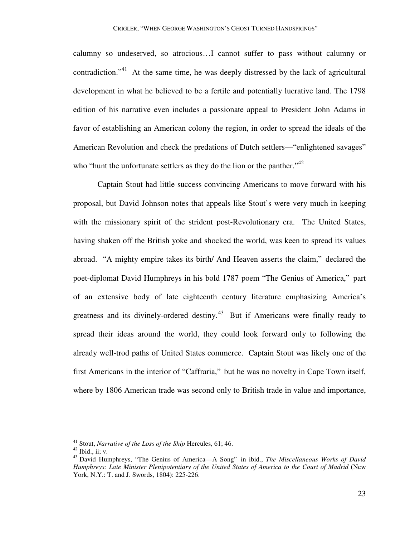calumny so undeserved, so atrocious…I cannot suffer to pass without calumny or contradiction."<sup>41</sup> At the same time, he was deeply distressed by the lack of agricultural development in what he believed to be a fertile and potentially lucrative land. The 1798 edition of his narrative even includes a passionate appeal to President John Adams in favor of establishing an American colony the region, in order to spread the ideals of the American Revolution and check the predations of Dutch settlers—"enlightened savages" who "hunt the unfortunate settlers as they do the lion or the panther."<sup>42</sup>

 Captain Stout had little success convincing Americans to move forward with his proposal, but David Johnson notes that appeals like Stout's were very much in keeping with the missionary spirit of the strident post-Revolutionary era. The United States, having shaken off the British yoke and shocked the world, was keen to spread its values abroad. "A mighty empire takes its birth/ And Heaven asserts the claim," declared the poet-diplomat David Humphreys in his bold 1787 poem "The Genius of America," part of an extensive body of late eighteenth century literature emphasizing America's greatness and its divinely-ordered destiny.<sup>43</sup> But if Americans were finally ready to spread their ideas around the world, they could look forward only to following the already well-trod paths of United States commerce. Captain Stout was likely one of the first Americans in the interior of "Caffraria," but he was no novelty in Cape Town itself, where by 1806 American trade was second only to British trade in value and importance,

-

<sup>41</sup> Stout, *Narrative of the Loss of the Ship* Hercules, 61; 46.

 $42$  Ibid., ii; v.

<sup>43</sup> David Humphreys, "The Genius of America—A Song" in ibid., *The Miscellaneous Works of David Humphreys: Late Minister Plenipotentiary of the United States of America to the Court of Madrid* (New York, N.Y.: T. and J. Swords, 1804): 225-226.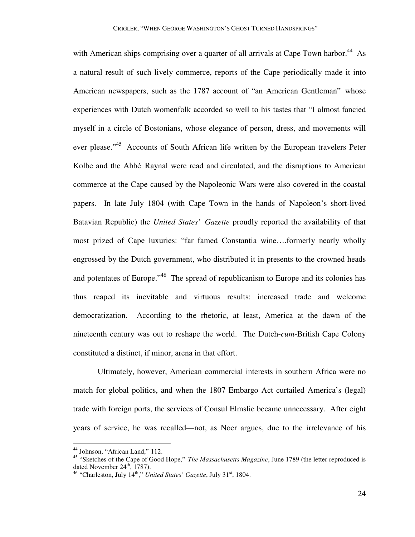with American ships comprising over a quarter of all arrivals at Cape Town harbor.<sup>44</sup> As a natural result of such lively commerce, reports of the Cape periodically made it into American newspapers, such as the 1787 account of "an American Gentleman" whose experiences with Dutch womenfolk accorded so well to his tastes that "I almost fancied myself in a circle of Bostonians, whose elegance of person, dress, and movements will ever please."<sup>45</sup> Accounts of South African life written by the European travelers Peter Kolbe and the Abbé Raynal were read and circulated, and the disruptions to American commerce at the Cape caused by the Napoleonic Wars were also covered in the coastal papers. In late July 1804 (with Cape Town in the hands of Napoleon's short-lived Batavian Republic) the *United States' Gazette* proudly reported the availability of that most prized of Cape luxuries: "far famed Constantia wine….formerly nearly wholly engrossed by the Dutch government, who distributed it in presents to the crowned heads and potentates of Europe."<sup>46</sup> The spread of republicanism to Europe and its colonies has thus reaped its inevitable and virtuous results: increased trade and welcome democratization. According to the rhetoric, at least, America at the dawn of the nineteenth century was out to reshape the world. The Dutch-*cum*-British Cape Colony constituted a distinct, if minor, arena in that effort.

 Ultimately, however, American commercial interests in southern Africa were no match for global politics, and when the 1807 Embargo Act curtailed America's (legal) trade with foreign ports, the services of Consul Elmslie became unnecessary. After eight years of service, he was recalled—not, as Noer argues, due to the irrelevance of his

-

<sup>&</sup>lt;sup>44</sup> Johnson, "African Land," 112.

<sup>45</sup> "Sketches of the Cape of Good Hope," *The Massachusetts Magazine*, June 1789 (the letter reproduced is dated November  $24^{\text{th}}$ , 1787).

<sup>&</sup>lt;sup>46</sup> "Charleston, July 14<sup>th</sup>," *United States' Gazette*, July 31<sup>st</sup>, 1804.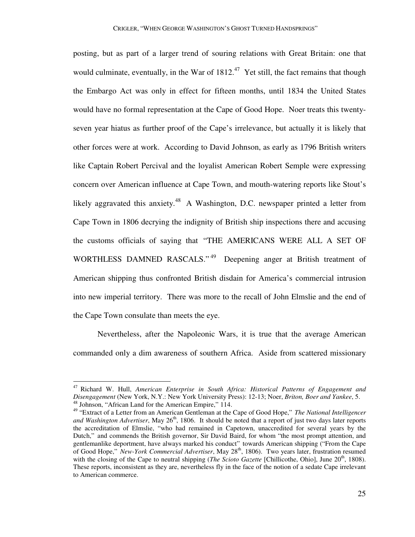posting, but as part of a larger trend of souring relations with Great Britain: one that would culminate, eventually, in the War of  $1812<sup>47</sup>$  Yet still, the fact remains that though the Embargo Act was only in effect for fifteen months, until 1834 the United States would have no formal representation at the Cape of Good Hope. Noer treats this twentyseven year hiatus as further proof of the Cape's irrelevance, but actually it is likely that other forces were at work. According to David Johnson, as early as 1796 British writers like Captain Robert Percival and the loyalist American Robert Semple were expressing concern over American influence at Cape Town, and mouth-watering reports like Stout's likely aggravated this anxiety.<sup>48</sup> A Washington, D.C. newspaper printed a letter from Cape Town in 1806 decrying the indignity of British ship inspections there and accusing the customs officials of saying that "THE AMERICANS WERE ALL A SET OF WORTHLESS DAMNED RASCALS."<sup>49</sup> Deepening anger at British treatment of American shipping thus confronted British disdain for America's commercial intrusion into new imperial territory. There was more to the recall of John Elmslie and the end of the Cape Town consulate than meets the eye.

 Nevertheless, after the Napoleonic Wars, it is true that the average American commanded only a dim awareness of southern Africa. Aside from scattered missionary

<sup>47</sup> Richard W. Hull, *American Enterprise in South Africa: Historical Patterns of Engagement and Disengagement* (New York, N.Y.: New York University Press): 12-13; Noer, *Briton, Boer and Yankee*, 5. <sup>48</sup> Johnson, "African Land for the American Empire," 114.

<sup>49</sup> "Extract of a Letter from an American Gentleman at the Cape of Good Hope," *The National Intelligencer*  and Washington Advertiser, May 26<sup>th</sup>, 1806. It should be noted that a report of just two days later reports the accreditation of Elmslie, "who had remained in Capetown, unaccredited for several years by the Dutch," and commends the British governor, Sir David Baird, for whom "the most prompt attention, and gentlemanlike deportment, have always marked his conduct" towards American shipping ("From the Cape of Good Hope," *New-York Commercial Advertiser*, May 28<sup>th</sup>, 1806). Two years later, frustration resumed with the closing of the Cape to neutral shipping (*The Scioto Gazette* [Chillicothe, Ohio], June 20<sup>th</sup>, 1808). These reports, inconsistent as they are, nevertheless fly in the face of the notion of a sedate Cape irrelevant to American commerce.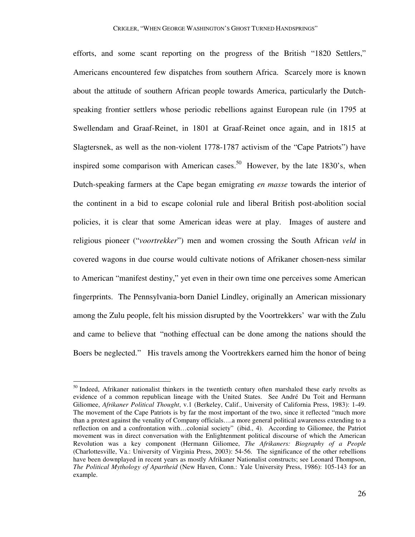efforts, and some scant reporting on the progress of the British "1820 Settlers," Americans encountered few dispatches from southern Africa. Scarcely more is known about the attitude of southern African people towards America, particularly the Dutchspeaking frontier settlers whose periodic rebellions against European rule (in 1795 at Swellendam and Graaf-Reinet, in 1801 at Graaf-Reinet once again, and in 1815 at Slagtersnek, as well as the non-violent 1778-1787 activism of the "Cape Patriots") have inspired some comparison with American cases.<sup>50</sup> However, by the late 1830's, when Dutch-speaking farmers at the Cape began emigrating *en masse* towards the interior of the continent in a bid to escape colonial rule and liberal British post-abolition social policies, it is clear that some American ideas were at play. Images of austere and religious pioneer ("*voortrekker*") men and women crossing the South African *veld* in covered wagons in due course would cultivate notions of Afrikaner chosen-ness similar to American "manifest destiny," yet even in their own time one perceives some American fingerprints. The Pennsylvania-born Daniel Lindley, originally an American missionary among the Zulu people, felt his mission disrupted by the Voortrekkers' war with the Zulu and came to believe that "nothing effectual can be done among the nations should the Boers be neglected." His travels among the Voortrekkers earned him the honor of being

 $50$  Indeed, Afrikaner nationalist thinkers in the twentieth century often marshaled these early revolts as evidence of a common republican lineage with the United States. See André Du Toit and Hermann Giliomee, *Afrikaner Political Thought*, v.1 (Berkeley, Calif., University of California Press, 1983): 1-49. The movement of the Cape Patriots is by far the most important of the two, since it reflected "much more than a protest against the venality of Company officials….a more general political awareness extending to a reflection on and a confrontation with…colonial society" (ibid., 4). According to Giliomee, the Patriot movement was in direct conversation with the Enlightenment political discourse of which the American Revolution was a key component (Hermann Giliomee, *The Afrikaners: Biography of a People*  (Charlottesville, Va.: University of Virginia Press, 2003): 54-56. The significance of the other rebellions have been downplayed in recent years as mostly Afrikaner Nationalist constructs; see Leonard Thompson, *The Political Mythology of Apartheid* (New Haven, Conn.: Yale University Press, 1986): 105-143 for an example.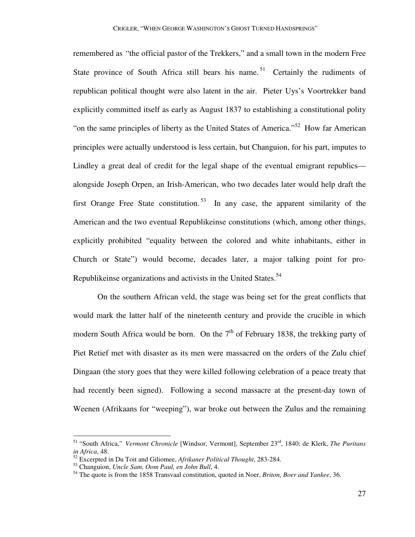remembered as "the official pastor of the Trekkers," and a small town in the modern Free State province of South Africa still bears his name.<sup>51</sup> Certainly the rudiments of republican political thought were also latent in the air. Pieter Uys's Voortrekker band explicitly committed itself as early as August 1837 to establishing a constitutional polity "on the same principles of liberty as the United States of America."<sup>52</sup> How far American principles were actually understood is less certain, but Changuion, for his part, imputes to Lindley a great deal of credit for the legal shape of the eventual emigrant republics alongside Joseph Orpen, an Irish-American, who two decades later would help draft the first Orange Free State constitution.<sup>53</sup> In any case, the apparent similarity of the American and the two eventual Republikeinse constitutions (which, among other things, explicitly prohibited "equality between the colored and white inhabitants, either in Church or State") would become, decades later, a major talking point for pro-Republikeinse organizations and activists in the United States.<sup>54</sup>

 On the southern African veld, the stage was being set for the great conflicts that would mark the latter half of the nineteenth century and provide the crucible in which modern South Africa would be born. On the  $7<sup>th</sup>$  of February 1838, the trekking party of Piet Retief met with disaster as its men were massacred on the orders of the Zulu chief Dingaan (the story goes that they were killed following celebration of a peace treaty that had recently been signed). Following a second massacre at the present-day town of Weenen (Afrikaans for "weeping"), war broke out between the Zulus and the remaining

<sup>51</sup> "South Africa," *Vermont Chronicle* [Windsor, Vermont], September 23rd, 1840; de Klerk, *The Puritans in Africa*, 48.

<sup>52</sup> Excerpted in Du Toit and Giliomee, *Afrikaner Political Thought*, 283-284.

<sup>53</sup> Changuion, *Uncle Sam, Oom Paul, en John Bull*, 4.

<sup>54</sup> The quote is from the 1858 Transvaal constitution, quoted in Noer, *Briton, Boer and Yankee*, 36.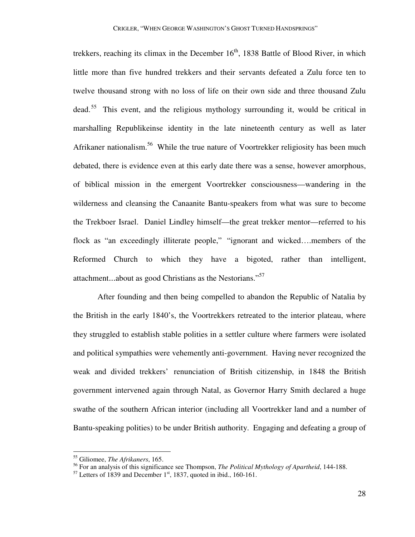trekkers, reaching its climax in the December  $16<sup>th</sup>$ , 1838 Battle of Blood River, in which little more than five hundred trekkers and their servants defeated a Zulu force ten to twelve thousand strong with no loss of life on their own side and three thousand Zulu dead.<sup>55</sup> This event, and the religious mythology surrounding it, would be critical in marshalling Republikeinse identity in the late nineteenth century as well as later Afrikaner nationalism.<sup>56</sup> While the true nature of Voortrekker religiosity has been much debated, there is evidence even at this early date there was a sense, however amorphous, of biblical mission in the emergent Voortrekker consciousness—wandering in the wilderness and cleansing the Canaanite Bantu-speakers from what was sure to become the Trekboer Israel. Daniel Lindley himself—the great trekker mentor—referred to his flock as "an exceedingly illiterate people," "ignorant and wicked….members of the Reformed Church to which they have a bigoted, rather than intelligent, attachment...about as good Christians as the Nestorians."<sup>57</sup>

 After founding and then being compelled to abandon the Republic of Natalia by the British in the early 1840's, the Voortrekkers retreated to the interior plateau, where they struggled to establish stable polities in a settler culture where farmers were isolated and political sympathies were vehemently anti-government. Having never recognized the weak and divided trekkers' renunciation of British citizenship, in 1848 the British government intervened again through Natal, as Governor Harry Smith declared a huge swathe of the southern African interior (including all Voortrekker land and a number of Bantu-speaking polities) to be under British authority. Engaging and defeating a group of

<sup>55</sup> Giliomee, *The Afrikaners*, 165.

<sup>56</sup> For an analysis of this significance see Thompson, *The Political Mythology of Apartheid*, 144-188.

 $<sup>57</sup>$  Letters of 1839 and December 1<sup>st</sup>, 1837, quoted in ibid., 160-161.</sup>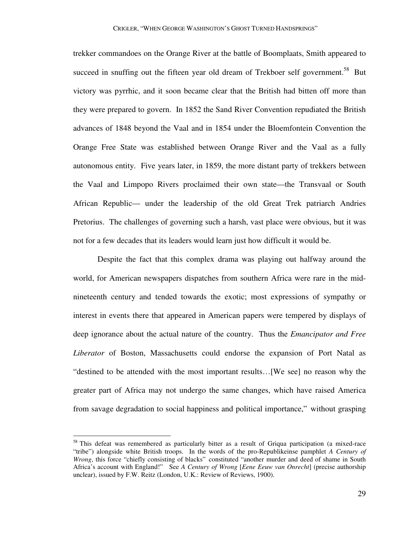trekker commandoes on the Orange River at the battle of Boomplaats, Smith appeared to succeed in snuffing out the fifteen year old dream of Trekboer self government.<sup>58</sup> But victory was pyrrhic, and it soon became clear that the British had bitten off more than they were prepared to govern. In 1852 the Sand River Convention repudiated the British advances of 1848 beyond the Vaal and in 1854 under the Bloemfontein Convention the Orange Free State was established between Orange River and the Vaal as a fully autonomous entity. Five years later, in 1859, the more distant party of trekkers between the Vaal and Limpopo Rivers proclaimed their own state—the Transvaal or South African Republic— under the leadership of the old Great Trek patriarch Andries Pretorius. The challenges of governing such a harsh, vast place were obvious, but it was not for a few decades that its leaders would learn just how difficult it would be.

 Despite the fact that this complex drama was playing out halfway around the world, for American newspapers dispatches from southern Africa were rare in the midnineteenth century and tended towards the exotic; most expressions of sympathy or interest in events there that appeared in American papers were tempered by displays of deep ignorance about the actual nature of the country. Thus the *Emancipator and Free Liberator* of Boston, Massachusetts could endorse the expansion of Port Natal as "destined to be attended with the most important results…[We see] no reason why the greater part of Africa may not undergo the same changes, which have raised America from savage degradation to social happiness and political importance," without grasping

<sup>&</sup>lt;sup>58</sup> This defeat was remembered as particularly bitter as a result of Griqua participation (a mixed-race "tribe") alongside white British troops. In the words of the pro-Republikeinse pamphlet *A Century of Wrong*, this force "chiefly consisting of blacks" constituted "another murder and deed of shame in South Africa's account with England!" See *A Century of Wrong* [*Eene Eeuw van Onrecht*] (precise authorship unclear), issued by F.W. Reitz (London, U.K.: Review of Reviews, 1900).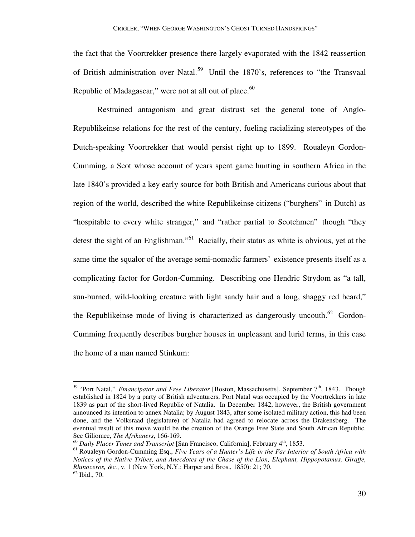the fact that the Voortrekker presence there largely evaporated with the 1842 reassertion of British administration over Natal.<sup>59</sup> Until the 1870's, references to "the Transvaal Republic of Madagascar," were not at all out of place. $60$ 

 Restrained antagonism and great distrust set the general tone of Anglo-Republikeinse relations for the rest of the century, fueling racializing stereotypes of the Dutch-speaking Voortrekker that would persist right up to 1899. Roualeyn Gordon-Cumming, a Scot whose account of years spent game hunting in southern Africa in the late 1840's provided a key early source for both British and Americans curious about that region of the world, described the white Republikeinse citizens ("burghers" in Dutch) as "hospitable to every white stranger," and "rather partial to Scotchmen" though "they detest the sight of an Englishman."<sup>61</sup> Racially, their status as white is obvious, yet at the same time the squalor of the average semi-nomadic farmers' existence presents itself as a complicating factor for Gordon-Cumming. Describing one Hendric Strydom as "a tall, sun-burned, wild-looking creature with light sandy hair and a long, shaggy red beard," the Republikeinse mode of living is characterized as dangerously uncouth.<sup>62</sup> Gordon-Cumming frequently describes burgher houses in unpleasant and lurid terms, in this case the home of a man named Stinkum:

<sup>&</sup>lt;sup>59</sup> "Port Natal," *Emancipator and Free Liberator* [Boston, Massachusetts], September 7<sup>th</sup>, 1843. Though established in 1824 by a party of British adventurers, Port Natal was occupied by the Voortrekkers in late 1839 as part of the short-lived Republic of Natalia. In December 1842, however, the British government announced its intention to annex Natalia; by August 1843, after some isolated military action, this had been done, and the Volksraad (legislature) of Natalia had agreed to relocate across the Drakensberg. The eventual result of this move would be the creation of the Orange Free State and South African Republic. See Giliomee, *The Afrikaners*, 166-169.

<sup>&</sup>lt;sup>60</sup> Daily Placer Times and Transcript [San Francisco, California], February 4<sup>th</sup>, 1853.

<sup>61</sup> Roualeyn Gordon-Cumming Esq., *Five Years of a Hunter's Life in the Far Interior of South Africa with Notices of the Native Tribes, and Anecdotes of the Chase of the Lion, Elephant, Hippopotamus, Giraffe, Rhinoceros, &c.*, v. 1 (New York, N.Y.: Harper and Bros., 1850): 21; 70.  $62$  Ibid., 70.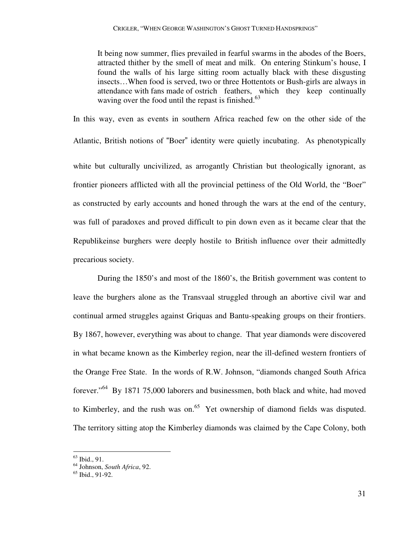It being now summer, flies prevailed in fearful swarms in the abodes of the Boers, attracted thither by the smell of meat and milk. On entering Stinkum's house, I found the walls of his large sitting room actually black with these disgusting insects…When food is served, two or three Hottentots or Bush-girls are always in attendance with fans made of ostrich feathers, which they keep continually waving over the food until the repast is finished. $63$ 

In this way, even as events in southern Africa reached few on the other side of the Atlantic, British notions of "Boer" identity were quietly incubating. As phenotypically white but culturally uncivilized, as arrogantly Christian but theologically ignorant, as frontier pioneers afflicted with all the provincial pettiness of the Old World, the "Boer" as constructed by early accounts and honed through the wars at the end of the century, was full of paradoxes and proved difficult to pin down even as it became clear that the Republikeinse burghers were deeply hostile to British influence over their admittedly precarious society.

 During the 1850's and most of the 1860's, the British government was content to leave the burghers alone as the Transvaal struggled through an abortive civil war and continual armed struggles against Griquas and Bantu-speaking groups on their frontiers. By 1867, however, everything was about to change. That year diamonds were discovered in what became known as the Kimberley region, near the ill-defined western frontiers of the Orange Free State. In the words of R.W. Johnson, "diamonds changed South Africa forever."<sup>64</sup> By 1871 75,000 laborers and businessmen, both black and white, had moved to Kimberley, and the rush was on.<sup>65</sup> Yet ownership of diamond fields was disputed. The territory sitting atop the Kimberley diamonds was claimed by the Cape Colony, both

 $63$  Ibid., 91.

<sup>64</sup> Johnson, *South Africa*, 92.

 $65$  Ibid., 91-92.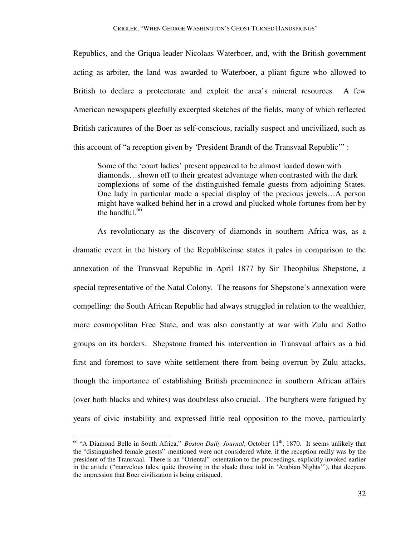Republics, and the Griqua leader Nicolaas Waterboer, and, with the British government acting as arbiter, the land was awarded to Waterboer, a pliant figure who allowed to British to declare a protectorate and exploit the area's mineral resources. A few American newspapers gleefully excerpted sketches of the fields, many of which reflected British caricatures of the Boer as self-conscious, racially suspect and uncivilized, such as this account of "a reception given by 'President Brandt of the Transvaal Republic'" :

 Some of the 'court ladies' present appeared to be almost loaded down with diamonds…shown off to their greatest advantage when contrasted with the dark complexions of some of the distinguished female guests from adjoining States. One lady in particular made a special display of the precious jewels…A person might have walked behind her in a crowd and plucked whole fortunes from her by the handful. $66$ 

 As revolutionary as the discovery of diamonds in southern Africa was, as a dramatic event in the history of the Republikeinse states it pales in comparison to the annexation of the Transvaal Republic in April 1877 by Sir Theophilus Shepstone, a special representative of the Natal Colony. The reasons for Shepstone's annexation were compelling: the South African Republic had always struggled in relation to the wealthier, more cosmopolitan Free State, and was also constantly at war with Zulu and Sotho groups on its borders. Shepstone framed his intervention in Transvaal affairs as a bid first and foremost to save white settlement there from being overrun by Zulu attacks, though the importance of establishing British preeminence in southern African affairs (over both blacks and whites) was doubtless also crucial. The burghers were fatigued by years of civic instability and expressed little real opposition to the move, particularly

-

<sup>&</sup>lt;sup>66</sup> "A Diamond Belle in South Africa," *Boston Daily Journal*, October 11<sup>th</sup>, 1870. It seems unlikely that the "distinguished female guests" mentioned were not considered white, if the reception really was by the president of the Transvaal. There is an "Oriental" ostentation to the proceedings, explicitly invoked earlier in the article ("marvelous tales, quite throwing in the shade those told in 'Arabian Nights'"), that deepens the impression that Boer civilization is being critiqued.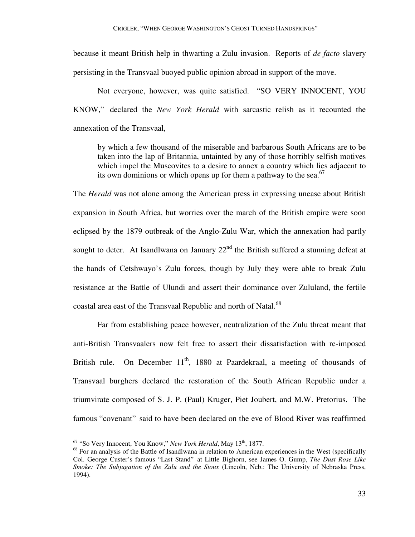because it meant British help in thwarting a Zulu invasion. Reports of *de facto* slavery persisting in the Transvaal buoyed public opinion abroad in support of the move.

 Not everyone, however, was quite satisfied. "SO VERY INNOCENT, YOU KNOW," declared the *New York Herald* with sarcastic relish as it recounted the annexation of the Transvaal,

 by which a few thousand of the miserable and barbarous South Africans are to be taken into the lap of Britannia, untainted by any of those horribly selfish motives which impel the Muscovites to a desire to annex a country which lies adjacent to its own dominions or which opens up for them a pathway to the sea.<sup>67</sup>

The *Herald* was not alone among the American press in expressing unease about British expansion in South Africa, but worries over the march of the British empire were soon eclipsed by the 1879 outbreak of the Anglo-Zulu War, which the annexation had partly sought to deter. At Isandlwana on January  $22<sup>nd</sup>$  the British suffered a stunning defeat at the hands of Cetshwayo's Zulu forces, though by July they were able to break Zulu resistance at the Battle of Ulundi and assert their dominance over Zululand, the fertile coastal area east of the Transvaal Republic and north of Natal.<sup>68</sup>

 Far from establishing peace however, neutralization of the Zulu threat meant that anti-British Transvaalers now felt free to assert their dissatisfaction with re-imposed British rule. On December  $11<sup>th</sup>$ , 1880 at Paardekraal, a meeting of thousands of Transvaal burghers declared the restoration of the South African Republic under a triumvirate composed of S. J. P. (Paul) Kruger, Piet Joubert, and M.W. Pretorius. The famous "covenant" said to have been declared on the eve of Blood River was reaffirmed

<sup>&</sup>lt;sup>67</sup> "So Very Innocent, You Know," *New York Herald*, May 13<sup>th</sup>, 1877.

<sup>&</sup>lt;sup>68</sup> For an analysis of the Battle of Isandlwana in relation to American experiences in the West (specifically Col. George Custer's famous "Last Stand" at Little Bighorn, see James O. Gump, *The Dust Rose Like Smoke: The Subjugation of the Zulu and the Sioux* (Lincoln, Neb.: The University of Nebraska Press, 1994).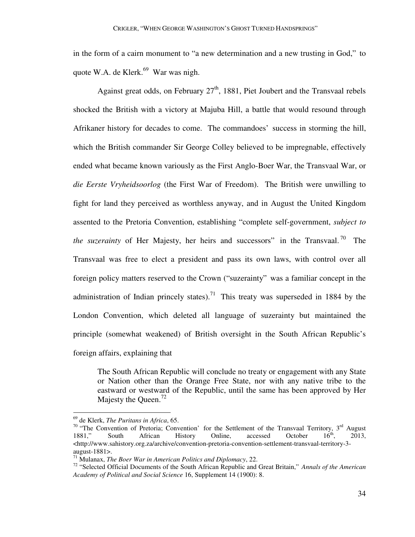in the form of a cairn monument to "a new determination and a new trusting in God," to quote W.A. de Klerk. $69$  War was nigh.

Against great odds, on February  $27<sup>th</sup>$ , 1881, Piet Joubert and the Transvaal rebels shocked the British with a victory at Majuba Hill, a battle that would resound through Afrikaner history for decades to come. The commandoes' success in storming the hill, which the British commander Sir George Colley believed to be impregnable, effectively ended what became known variously as the First Anglo-Boer War, the Transvaal War, or *die Eerste Vryheidsoorlog* (the First War of Freedom). The British were unwilling to fight for land they perceived as worthless anyway, and in August the United Kingdom assented to the Pretoria Convention, establishing "complete self-government, *subject to the suzerainty* of Her Majesty, her heirs and successors" in the Transvaal.<sup>70</sup> The Transvaal was free to elect a president and pass its own laws, with control over all foreign policy matters reserved to the Crown ("suzerainty" was a familiar concept in the administration of Indian princely states).<sup>71</sup> This treaty was superseded in 1884 by the London Convention, which deleted all language of suzerainty but maintained the principle (somewhat weakened) of British oversight in the South African Republic's foreign affairs, explaining that

 The South African Republic will conclude no treaty or engagement with any State or Nation other than the Orange Free State, nor with any native tribe to the eastward or westward of the Republic, until the same has been approved by Her Majesty the Queen.<sup>72</sup>

<sup>69</sup> de Klerk, *The Puritans in Africa*, 65.

<sup>&</sup>lt;sup>70</sup> "The Convention of Pretoria; Convention' for the Settlement of the Transvaal Territory,  $3<sup>rd</sup>$  August 1881," South African History Online, accessed October 16<sup>th</sup>. 2013. 1881," South African History Online, accessed October 16<sup>th</sup>, 2013, <http://www.sahistory.org.za/archive/convention-pretoria-convention-settlement-transvaal-territory-3august-1881>.

<sup>71</sup> Mulanax, *The Boer War in American Politics and Diplomacy*, 22.

<sup>72</sup> "Selected Official Documents of the South African Republic and Great Britain," *Annals of the American Academy of Political and Social Science* 16, Supplement 14 (1900): 8.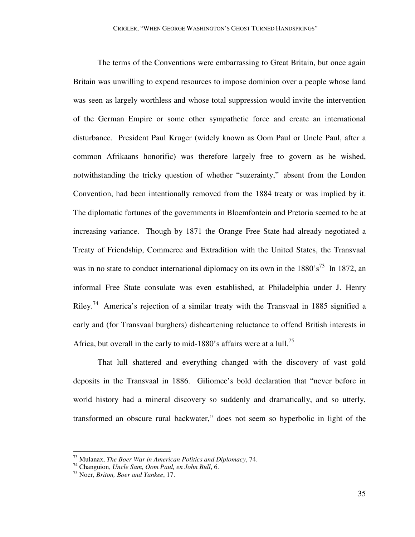The terms of the Conventions were embarrassing to Great Britain, but once again Britain was unwilling to expend resources to impose dominion over a people whose land was seen as largely worthless and whose total suppression would invite the intervention of the German Empire or some other sympathetic force and create an international disturbance. President Paul Kruger (widely known as Oom Paul or Uncle Paul, after a common Afrikaans honorific) was therefore largely free to govern as he wished, notwithstanding the tricky question of whether "suzerainty," absent from the London Convention, had been intentionally removed from the 1884 treaty or was implied by it. The diplomatic fortunes of the governments in Bloemfontein and Pretoria seemed to be at increasing variance. Though by 1871 the Orange Free State had already negotiated a Treaty of Friendship, Commerce and Extradition with the United States, the Transvaal was in no state to conduct international diplomacy on its own in the  $1880's^{73}$  In 1872, an informal Free State consulate was even established, at Philadelphia under J. Henry Riley.<sup>74</sup> America's rejection of a similar treaty with the Transvaal in 1885 signified a early and (for Transvaal burghers) disheartening reluctance to offend British interests in Africa, but overall in the early to mid-1880's affairs were at a lull.<sup>75</sup>

 That lull shattered and everything changed with the discovery of vast gold deposits in the Transvaal in 1886. Giliomee's bold declaration that "never before in world history had a mineral discovery so suddenly and dramatically, and so utterly, transformed an obscure rural backwater," does not seem so hyperbolic in light of the

<sup>73</sup> Mulanax, *The Boer War in American Politics and Diplomacy*, 74.

<sup>74</sup> Changuion, *Uncle Sam, Oom Paul, en John Bull*, 6.

<sup>75</sup> Noer, *Briton, Boer and Yankee*, 17.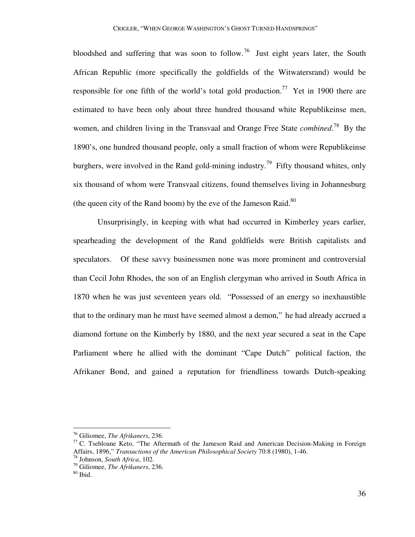bloodshed and suffering that was soon to follow.<sup>76</sup> Just eight years later, the South African Republic (more specifically the goldfields of the Witwatersrand) would be responsible for one fifth of the world's total gold production.<sup>77</sup> Yet in 1900 there are estimated to have been only about three hundred thousand white Republikeinse men, women, and children living in the Transvaal and Orange Free State *combined*. <sup>78</sup> By the 1890's, one hundred thousand people, only a small fraction of whom were Republikeinse burghers, were involved in the Rand gold-mining industry.<sup>79</sup> Fifty thousand whites, only six thousand of whom were Transvaal citizens, found themselves living in Johannesburg (the queen city of the Rand boom) by the eve of the Jameson Raid. $80$ 

 Unsurprisingly, in keeping with what had occurred in Kimberley years earlier, spearheading the development of the Rand goldfields were British capitalists and speculators. Of these savvy businessmen none was more prominent and controversial than Cecil John Rhodes, the son of an English clergyman who arrived in South Africa in 1870 when he was just seventeen years old. "Possessed of an energy so inexhaustible that to the ordinary man he must have seemed almost a demon," he had already accrued a diamond fortune on the Kimberly by 1880, and the next year secured a seat in the Cape Parliament where he allied with the dominant "Cape Dutch" political faction, the Afrikaner Bond, and gained a reputation for friendliness towards Dutch-speaking

<sup>76</sup> Giliomee, *The Afrikaners*, 236.

 $77$  C. Tsehloane Keto, "The Aftermath of the Jameson Raid and American Decision-Making in Foreign Affairs, 1896," *Transactions of the American Philosophical Society* 70:8 (1980), 1-46.

<sup>78</sup> Johnson, *South Africa*, 102.

<sup>79</sup> Giliomee, *The Afrikaners*, 236.

 $80$  Ibid.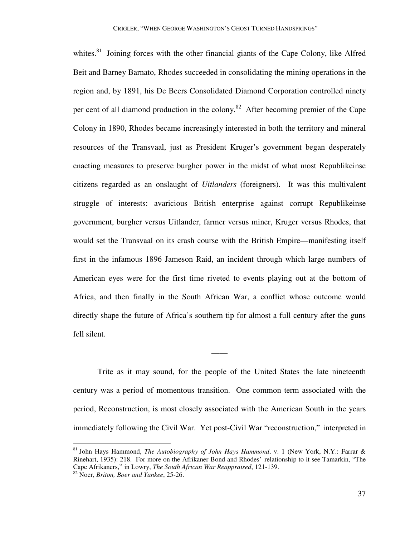whites.<sup>81</sup> Joining forces with the other financial giants of the Cape Colony, like Alfred Beit and Barney Barnato, Rhodes succeeded in consolidating the mining operations in the region and, by 1891, his De Beers Consolidated Diamond Corporation controlled ninety per cent of all diamond production in the colony.<sup>82</sup> After becoming premier of the Cape Colony in 1890, Rhodes became increasingly interested in both the territory and mineral resources of the Transvaal, just as President Kruger's government began desperately enacting measures to preserve burgher power in the midst of what most Republikeinse citizens regarded as an onslaught of *Uitlanders* (foreigners). It was this multivalent struggle of interests: avaricious British enterprise against corrupt Republikeinse government, burgher versus Uitlander, farmer versus miner, Kruger versus Rhodes, that would set the Transvaal on its crash course with the British Empire—manifesting itself first in the infamous 1896 Jameson Raid, an incident through which large numbers of American eyes were for the first time riveted to events playing out at the bottom of Africa, and then finally in the South African War, a conflict whose outcome would directly shape the future of Africa's southern tip for almost a full century after the guns fell silent.

 Trite as it may sound, for the people of the United States the late nineteenth century was a period of momentous transition. One common term associated with the period, Reconstruction, is most closely associated with the American South in the years immediately following the Civil War. Yet post-Civil War "reconstruction," interpreted in

——

<sup>81</sup> John Hays Hammond, *The Autobiography of John Hays Hammond*, v. 1 (New York, N.Y.: Farrar & Rinehart, 1935): 218. For more on the Afrikaner Bond and Rhodes' relationship to it see Tamarkin, "The Cape Afrikaners," in Lowry, *The South African War Reappraised*, 121-139.

<sup>82</sup> Noer, *Briton, Boer and Yankee*, 25-26.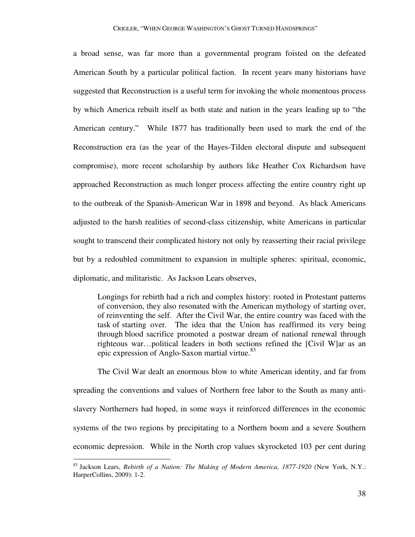a broad sense, was far more than a governmental program foisted on the defeated American South by a particular political faction. In recent years many historians have suggested that Reconstruction is a useful term for invoking the whole momentous process by which America rebuilt itself as both state and nation in the years leading up to "the American century." While 1877 has traditionally been used to mark the end of the Reconstruction era (as the year of the Hayes-Tilden electoral dispute and subsequent compromise), more recent scholarship by authors like Heather Cox Richardson have approached Reconstruction as much longer process affecting the entire country right up to the outbreak of the Spanish-American War in 1898 and beyond. As black Americans adjusted to the harsh realities of second-class citizenship, white Americans in particular sought to transcend their complicated history not only by reasserting their racial privilege but by a redoubled commitment to expansion in multiple spheres: spiritual, economic, diplomatic, and militaristic. As Jackson Lears observes,

 Longings for rebirth had a rich and complex history: rooted in Protestant patterns of conversion, they also resonated with the American mythology of starting over, of reinventing the self. After the Civil War, the entire country was faced with the task of starting over. The idea that the Union has reaffirmed its very being through blood sacrifice promoted a postwar dream of national renewal through righteous war…political leaders in both sections refined the [Civil W]ar as an epic expression of Anglo-Saxon martial virtue.<sup>83</sup>

 The Civil War dealt an enormous blow to white American identity, and far from spreading the conventions and values of Northern free labor to the South as many antislavery Northerners had hoped, in some ways it reinforced differences in the economic systems of the two regions by precipitating to a Northern boom and a severe Southern economic depression. While in the North crop values skyrocketed 103 per cent during

-

<sup>83</sup> Jackson Lears, *Rebirth of a Nation: The Making of Modern America, 1877-1920* (New York, N.Y.: HarperCollins, 2009): 1-2.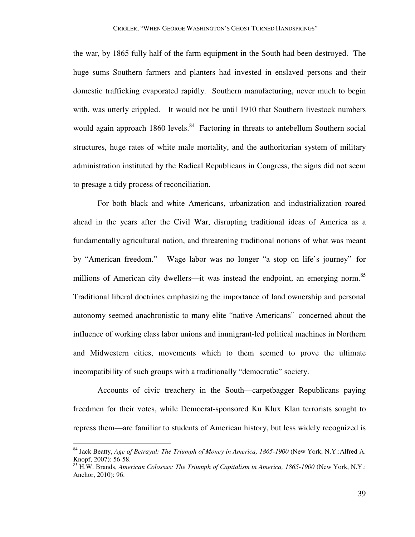the war, by 1865 fully half of the farm equipment in the South had been destroyed. The huge sums Southern farmers and planters had invested in enslaved persons and their domestic trafficking evaporated rapidly. Southern manufacturing, never much to begin with, was utterly crippled. It would not be until 1910 that Southern livestock numbers would again approach 1860 levels.<sup>84</sup> Factoring in threats to antebellum Southern social structures, huge rates of white male mortality, and the authoritarian system of military administration instituted by the Radical Republicans in Congress, the signs did not seem to presage a tidy process of reconciliation.

 For both black and white Americans, urbanization and industrialization roared ahead in the years after the Civil War, disrupting traditional ideas of America as a fundamentally agricultural nation, and threatening traditional notions of what was meant by "American freedom." Wage labor was no longer "a stop on life's journey" for millions of American city dwellers—it was instead the endpoint, an emerging norm.<sup>85</sup> Traditional liberal doctrines emphasizing the importance of land ownership and personal autonomy seemed anachronistic to many elite "native Americans" concerned about the influence of working class labor unions and immigrant-led political machines in Northern and Midwestern cities, movements which to them seemed to prove the ultimate incompatibility of such groups with a traditionally "democratic" society.

 Accounts of civic treachery in the South—carpetbagger Republicans paying freedmen for their votes, while Democrat-sponsored Ku Klux Klan terrorists sought to repress them—are familiar to students of American history, but less widely recognized is

-

<sup>84</sup> Jack Beatty, *Age of Betrayal: The Triumph of Money in America, 1865-1900* (New York, N.Y.:Alfred A. Knopf, 2007): 56-58.

<sup>85</sup> H.W. Brands, *American Colossus: The Triumph of Capitalism in America, 1865-1900* (New York, N.Y.: Anchor, 2010): 96.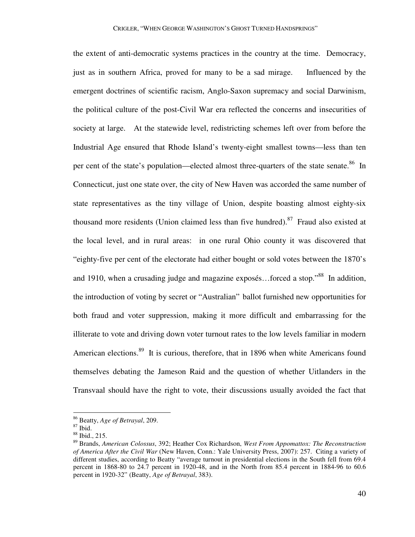the extent of anti-democratic systems practices in the country at the time. Democracy, just as in southern Africa, proved for many to be a sad mirage. Influenced by the emergent doctrines of scientific racism, Anglo-Saxon supremacy and social Darwinism, the political culture of the post-Civil War era reflected the concerns and insecurities of society at large. At the statewide level, redistricting schemes left over from before the Industrial Age ensured that Rhode Island's twenty-eight smallest towns—less than ten per cent of the state's population—elected almost three-quarters of the state senate.<sup>86</sup> In Connecticut, just one state over, the city of New Haven was accorded the same number of state representatives as the tiny village of Union, despite boasting almost eighty-six thousand more residents (Union claimed less than five hundred).<sup>87</sup> Fraud also existed at the local level, and in rural areas: in one rural Ohio county it was discovered that "eighty-five per cent of the electorate had either bought or sold votes between the 1870's and 1910, when a crusading judge and magazine exposés…forced a stop."<sup>88</sup> In addition, the introduction of voting by secret or "Australian" ballot furnished new opportunities for both fraud and voter suppression, making it more difficult and embarrassing for the illiterate to vote and driving down voter turnout rates to the low levels familiar in modern American elections.<sup>89</sup> It is curious, therefore, that in 1896 when white Americans found themselves debating the Jameson Raid and the question of whether Uitlanders in the Transvaal should have the right to vote, their discussions usually avoided the fact that

<sup>86</sup> Beatty, *Age of Betrayal*, 209.

<sup>87</sup> Ibid.

<sup>88</sup> Ibid., 215.

<sup>89</sup> Brands, *American Colossus*, 392; Heather Cox Richardson, *West From Appomattox: The Reconstruction of America After the Civil War* (New Haven, Conn.: Yale University Press, 2007): 257. Citing a variety of different studies, according to Beatty "average turnout in presidential elections in the South fell from 69.4 percent in 1868-80 to 24.7 percent in 1920-48, and in the North from 85.4 percent in 1884-96 to 60.6 percent in 1920-32" (Beatty, *Age of Betrayal*, 383).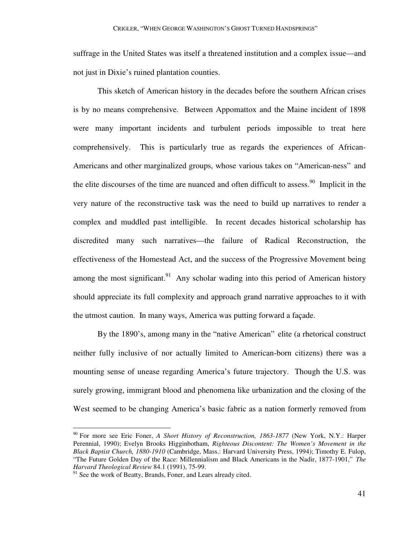suffrage in the United States was itself a threatened institution and a complex issue—and not just in Dixie's ruined plantation counties.

 This sketch of American history in the decades before the southern African crises is by no means comprehensive. Between Appomattox and the Maine incident of 1898 were many important incidents and turbulent periods impossible to treat here comprehensively. This is particularly true as regards the experiences of African-Americans and other marginalized groups, whose various takes on "American-ness" and the elite discourses of the time are nuanced and often difficult to assess.<sup>90</sup> Implicit in the very nature of the reconstructive task was the need to build up narratives to render a complex and muddled past intelligible. In recent decades historical scholarship has discredited many such narratives—the failure of Radical Reconstruction, the effectiveness of the Homestead Act, and the success of the Progressive Movement being among the most significant.<sup>91</sup> Any scholar wading into this period of American history should appreciate its full complexity and approach grand narrative approaches to it with the utmost caution. In many ways, America was putting forward a façade.

 By the 1890's, among many in the "native American" elite (a rhetorical construct neither fully inclusive of nor actually limited to American-born citizens) there was a mounting sense of unease regarding America's future trajectory. Though the U.S. was surely growing, immigrant blood and phenomena like urbanization and the closing of the West seemed to be changing America's basic fabric as a nation formerly removed from

<u>.</u>

<sup>90</sup> For more see Eric Foner, *A Short History of Reconstruction, 1863-1877* (New York, N.Y.: Harper Perennial, 1990); Evelyn Brooks Higginbotham, *Righteous Discontent: The Women's Movement in the Black Baptist Church, 1880-1910* (Cambridge, Mass.: Harvard University Press, 1994); Timothy E. Fulop, "The Future Golden Day of the Race: Millennialism and Black Americans in the Nadir, 1877-1901," *The Harvard Theological Review* 84.1 (1991), 75-99.

<sup>&</sup>lt;sup>91</sup> See the work of Beatty, Brands, Foner, and Lears already cited.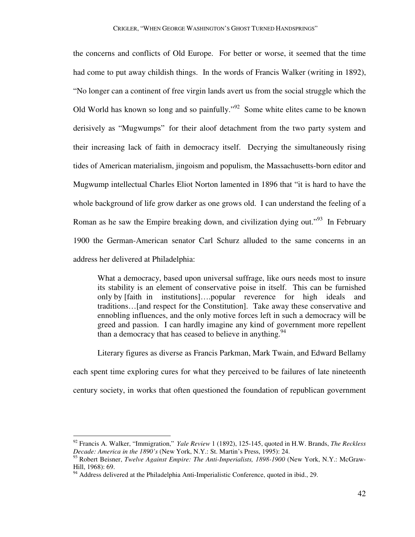the concerns and conflicts of Old Europe. For better or worse, it seemed that the time had come to put away childish things. In the words of Francis Walker (writing in 1892), "No longer can a continent of free virgin lands avert us from the social struggle which the Old World has known so long and so painfully."<sup>92</sup> Some white elites came to be known derisively as "Mugwumps" for their aloof detachment from the two party system and their increasing lack of faith in democracy itself. Decrying the simultaneously rising tides of American materialism, jingoism and populism, the Massachusetts-born editor and Mugwump intellectual Charles Eliot Norton lamented in 1896 that "it is hard to have the whole background of life grow darker as one grows old. I can understand the feeling of a Roman as he saw the Empire breaking down, and civilization dying out."<sup>93</sup> In February 1900 the German-American senator Carl Schurz alluded to the same concerns in an address her delivered at Philadelphia:

 What a democracy, based upon universal suffrage, like ours needs most to insure its stability is an element of conservative poise in itself. This can be furnished only by [faith in institutions]….popular reverence for high ideals and traditions…[and respect for the Constitution]. Take away these conservative and ennobling influences, and the only motive forces left in such a democracy will be greed and passion. I can hardly imagine any kind of government more repellent than a democracy that has ceased to believe in anything.  $94$ 

Literary figures as diverse as Francis Parkman, Mark Twain, and Edward Bellamy

each spent time exploring cures for what they perceived to be failures of late nineteenth

century society, in works that often questioned the foundation of republican government

<sup>92</sup> Francis A. Walker, "Immigration," *Yale Review* 1 (1892), 125-145, quoted in H.W. Brands, *The Reckless Decade: America in the 1890's* (New York, N.Y.: St. Martin's Press, 1995): 24.

<sup>93</sup> Robert Beisner, *Twelve Against Empire: The Anti-Imperialists, 1898-1900* (New York, N.Y.: McGraw-Hill, 1968): 69.

<sup>&</sup>lt;sup>94</sup> Address delivered at the Philadelphia Anti-Imperialistic Conference, quoted in ibid., 29.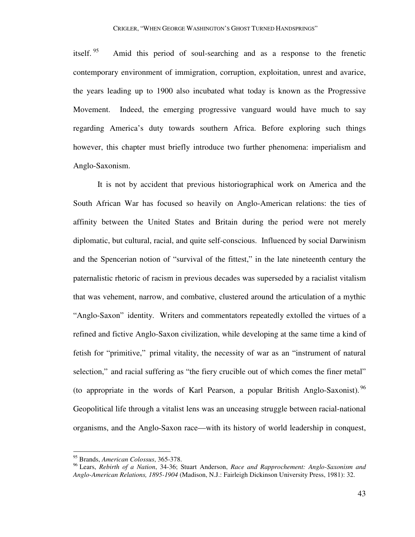itself. <sup>95</sup> Amid this period of soul-searching and as a response to the frenetic contemporary environment of immigration, corruption, exploitation, unrest and avarice, the years leading up to 1900 also incubated what today is known as the Progressive Movement. Indeed, the emerging progressive vanguard would have much to say regarding America's duty towards southern Africa. Before exploring such things however, this chapter must briefly introduce two further phenomena: imperialism and Anglo-Saxonism.

 It is not by accident that previous historiographical work on America and the South African War has focused so heavily on Anglo-American relations: the ties of affinity between the United States and Britain during the period were not merely diplomatic, but cultural, racial, and quite self-conscious. Influenced by social Darwinism and the Spencerian notion of "survival of the fittest," in the late nineteenth century the paternalistic rhetoric of racism in previous decades was superseded by a racialist vitalism that was vehement, narrow, and combative, clustered around the articulation of a mythic "Anglo-Saxon" identity. Writers and commentators repeatedly extolled the virtues of a refined and fictive Anglo-Saxon civilization, while developing at the same time a kind of fetish for "primitive," primal vitality, the necessity of war as an "instrument of natural selection," and racial suffering as "the fiery crucible out of which comes the finer metal" (to appropriate in the words of Karl Pearson, a popular British Anglo-Saxonist).  $96$ Geopolitical life through a vitalist lens was an unceasing struggle between racial-national organisms, and the Anglo-Saxon race—with its history of world leadership in conquest,

<sup>95</sup> Brands, *American Colossus*, 365-378.

<sup>96</sup> Lears, *Rebirth of a Nation*, 34-36; Stuart Anderson, *Race and Rapprochement: Anglo-Saxonism and Anglo-American Relations, 1895-1904* (Madison, N.J.: Fairleigh Dickinson University Press, 1981): 32.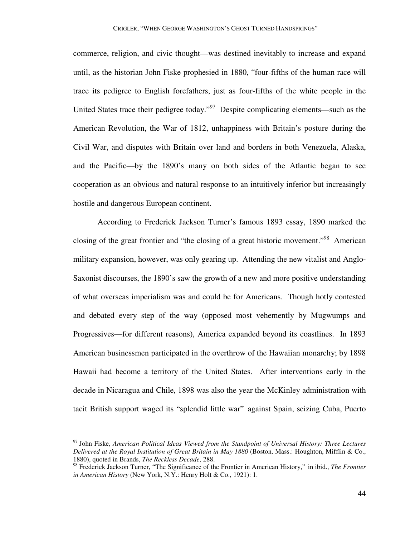commerce, religion, and civic thought—was destined inevitably to increase and expand until, as the historian John Fiske prophesied in 1880, "four-fifths of the human race will trace its pedigree to English forefathers, just as four-fifths of the white people in the United States trace their pedigree today."<sup>97</sup> Despite complicating elements—such as the American Revolution, the War of 1812, unhappiness with Britain's posture during the Civil War, and disputes with Britain over land and borders in both Venezuela, Alaska, and the Pacific—by the 1890's many on both sides of the Atlantic began to see cooperation as an obvious and natural response to an intuitively inferior but increasingly hostile and dangerous European continent.

 According to Frederick Jackson Turner's famous 1893 essay, 1890 marked the closing of the great frontier and "the closing of a great historic movement."<sup>98</sup> American military expansion, however, was only gearing up. Attending the new vitalist and Anglo-Saxonist discourses, the 1890's saw the growth of a new and more positive understanding of what overseas imperialism was and could be for Americans. Though hotly contested and debated every step of the way (opposed most vehemently by Mugwumps and Progressives—for different reasons), America expanded beyond its coastlines. In 1893 American businessmen participated in the overthrow of the Hawaiian monarchy; by 1898 Hawaii had become a territory of the United States. After interventions early in the decade in Nicaragua and Chile, 1898 was also the year the McKinley administration with tacit British support waged its "splendid little war" against Spain, seizing Cuba, Puerto

-

<sup>97</sup> John Fiske, *American Political Ideas Viewed from the Standpoint of Universal History: Three Lectures Delivered at the Royal Institution of Great Britain in May 1880* (Boston, Mass.: Houghton, Mifflin & Co., 1880), quoted in Brands, *The Reckless Decade*, 288.

<sup>98</sup> Frederick Jackson Turner, "The Significance of the Frontier in American History," in ibid., *The Frontier in American History* (New York, N.Y.: Henry Holt & Co., 1921): 1.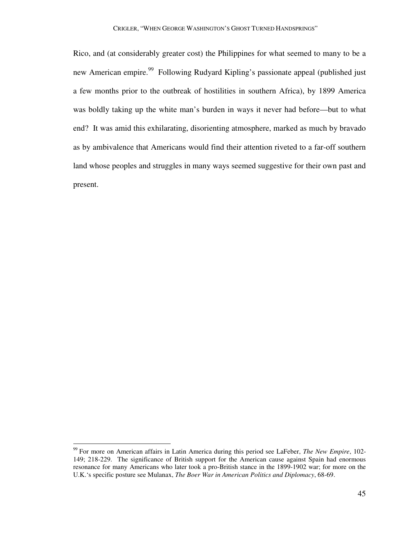Rico, and (at considerably greater cost) the Philippines for what seemed to many to be a new American empire.<sup>99</sup> Following Rudyard Kipling's passionate appeal (published just a few months prior to the outbreak of hostilities in southern Africa), by 1899 America was boldly taking up the white man's burden in ways it never had before—but to what end? It was amid this exhilarating, disorienting atmosphere, marked as much by bravado as by ambivalence that Americans would find their attention riveted to a far-off southern land whose peoples and struggles in many ways seemed suggestive for their own past and present.

<sup>99</sup> For more on American affairs in Latin America during this period see LaFeber, *The New Empire*, 102- 149; 218-229. The significance of British support for the American cause against Spain had enormous resonance for many Americans who later took a pro-British stance in the 1899-1902 war; for more on the U.K.'s specific posture see Mulanax, *The Boer War in American Politics and Diplomacy*, 68-69.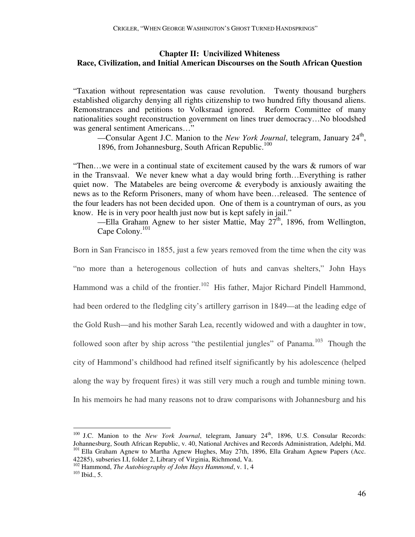## **Chapter II: Uncivilized Whiteness Race, Civilization, and Initial American Discourses on the South African Question**

"Taxation without representation was cause revolution. Twenty thousand burghers established oligarchy denying all rights citizenship to two hundred fifty thousand aliens. Remonstrances and petitions to Volksraad ignored. Reform Committee of many nationalities sought reconstruction government on lines truer democracy…No bloodshed was general sentiment Americans…"

-Consular Agent J.C. Manion to the *New York Journal*, telegram, January 24<sup>th</sup>, 1896, from Johannesburg, South African Republic.<sup>100</sup>

"Then…we were in a continual state of excitement caused by the wars & rumors of war in the Transvaal. We never knew what a day would bring forth…Everything is rather quiet now. The Matabeles are being overcome & everybody is anxiously awaiting the news as to the Reform Prisoners, many of whom have been…released. The sentence of the four leaders has not been decided upon. One of them is a countryman of ours, as you know. He is in very poor health just now but is kept safely in jail."

—Ella Graham Agnew to her sister Mattie, May  $27<sup>th</sup>$ , 1896, from Wellington, Cape Colony.<sup>101</sup>

Born in San Francisco in 1855, just a few years removed from the time when the city was

"no more than a heterogenous collection of huts and canvas shelters," John Hays Hammond was a child of the frontier.<sup>102</sup> His father, Major Richard Pindell Hammond, had been ordered to the fledgling city's artillery garrison in 1849—at the leading edge of the Gold Rush—and his mother Sarah Lea, recently widowed and with a daughter in tow, followed soon after by ship across "the pestilential jungles" of Panama.<sup>103</sup> Though the city of Hammond's childhood had refined itself significantly by his adolescence (helped along the way by frequent fires) it was still very much a rough and tumble mining town. In his memoirs he had many reasons not to draw comparisons with Johannesburg and his

<sup>&</sup>lt;sup>100</sup> J.C. Manion to the *New York Journal*, telegram, January 24<sup>th</sup>, 1896, U.S. Consular Records: Johannesburg, South African Republic, v. 40, National Archives and Records Administration, Adelphi, Md. <sup>101</sup> Ella Graham Agnew to Martha Agnew Hughes, May 27th, 1896, Ella Graham Agnew Papers (Acc. 42285), subseries I.I, folder 2, Library of Virginia, Richmond, Va.

<sup>102</sup> Hammond, *The Autobiography of John Hays Hammond*, v. 1, 4

 $103$  Ibid., 5.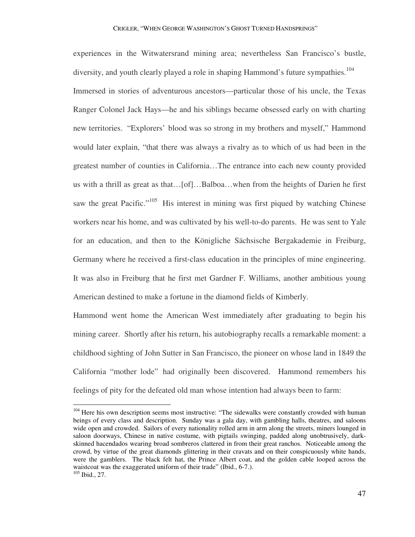experiences in the Witwatersrand mining area; nevertheless San Francisco's bustle, diversity, and youth clearly played a role in shaping Hammond's future sympathies.<sup>104</sup> Immersed in stories of adventurous ancestors—particular those of his uncle, the Texas Ranger Colonel Jack Hays—he and his siblings became obsessed early on with charting new territories. "Explorers' blood was so strong in my brothers and myself," Hammond would later explain, "that there was always a rivalry as to which of us had been in the greatest number of counties in California…The entrance into each new county provided us with a thrill as great as that…[of]…Balboa…when from the heights of Darien he first saw the great Pacific."<sup>105</sup> His interest in mining was first piqued by watching Chinese workers near his home, and was cultivated by his well-to-do parents. He was sent to Yale for an education, and then to the Königliche Sächsische Bergakademie in Freiburg, Germany where he received a first-class education in the principles of mine engineering. It was also in Freiburg that he first met Gardner F. Williams, another ambitious young American destined to make a fortune in the diamond fields of Kimberly.

Hammond went home the American West immediately after graduating to begin his mining career. Shortly after his return, his autobiography recalls a remarkable moment: a childhood sighting of John Sutter in San Francisco, the pioneer on whose land in 1849 the California "mother lode" had originally been discovered. Hammond remembers his feelings of pity for the defeated old man whose intention had always been to farm:

<sup>&</sup>lt;sup>104</sup> Here his own description seems most instructive: "The sidewalks were constantly crowded with human beings of every class and description. Sunday was a gala day, with gambling halls, theatres, and saloons wide open and crowded. Sailors of every nationality rolled arm in arm along the streets, miners lounged in saloon doorways, Chinese in native costume, with pigtails swinging, padded along unobtrusively, darkskinned hacendados wearing broad sombreros clattered in from their great ranchos. Noticeable among the crowd, by virtue of the great diamonds glittering in their cravats and on their conspicuously white hands, were the gamblers. The black felt hat, the Prince Albert coat, and the golden cable looped across the waistcoat was the exaggerated uniform of their trade" (Ibid., 6-7.). <sup>105</sup> Ibid., 27.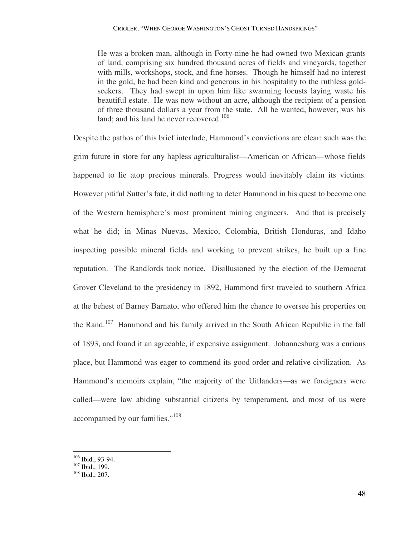He was a broken man, although in Forty-nine he had owned two Mexican grants of land, comprising six hundred thousand acres of fields and vineyards, together with mills, workshops, stock, and fine horses. Though he himself had no interest in the gold, he had been kind and generous in his hospitality to the ruthless goldseekers. They had swept in upon him like swarming locusts laying waste his beautiful estate. He was now without an acre, although the recipient of a pension of three thousand dollars a year from the state. All he wanted, however, was his land; and his land he never recovered.<sup>106</sup>

Despite the pathos of this brief interlude, Hammond's convictions are clear: such was the grim future in store for any hapless agriculturalist—American or African—whose fields happened to lie atop precious minerals. Progress would inevitably claim its victims. However pitiful Sutter's fate, it did nothing to deter Hammond in his quest to become one of the Western hemisphere's most prominent mining engineers. And that is precisely what he did; in Minas Nuevas, Mexico, Colombia, British Honduras, and Idaho inspecting possible mineral fields and working to prevent strikes, he built up a fine reputation. The Randlords took notice. Disillusioned by the election of the Democrat Grover Cleveland to the presidency in 1892, Hammond first traveled to southern Africa at the behest of Barney Barnato, who offered him the chance to oversee his properties on the Rand.<sup>107</sup> Hammond and his family arrived in the South African Republic in the fall of 1893, and found it an agreeable, if expensive assignment. Johannesburg was a curious place, but Hammond was eager to commend its good order and relative civilization. As Hammond's memoirs explain, "the majority of the Uitlanders—as we foreigners were called—were law abiding substantial citizens by temperament, and most of us were accompanied by our families."<sup>108</sup>

 $106$  Ibid., 93-94.

 $107$  Ibid., 199.

<sup>108</sup> Ibid., 207.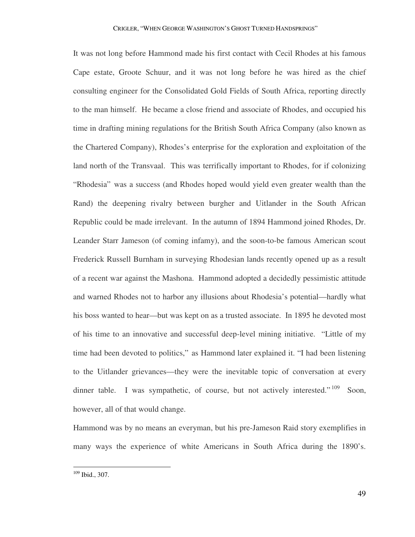It was not long before Hammond made his first contact with Cecil Rhodes at his famous Cape estate, Groote Schuur, and it was not long before he was hired as the chief consulting engineer for the Consolidated Gold Fields of South Africa, reporting directly to the man himself. He became a close friend and associate of Rhodes, and occupied his time in drafting mining regulations for the British South Africa Company (also known as the Chartered Company), Rhodes's enterprise for the exploration and exploitation of the land north of the Transvaal. This was terrifically important to Rhodes, for if colonizing "Rhodesia" was a success (and Rhodes hoped would yield even greater wealth than the Rand) the deepening rivalry between burgher and Uitlander in the South African Republic could be made irrelevant. In the autumn of 1894 Hammond joined Rhodes, Dr. Leander Starr Jameson (of coming infamy), and the soon-to-be famous American scout Frederick Russell Burnham in surveying Rhodesian lands recently opened up as a result of a recent war against the Mashona. Hammond adopted a decidedly pessimistic attitude and warned Rhodes not to harbor any illusions about Rhodesia's potential—hardly what his boss wanted to hear—but was kept on as a trusted associate. In 1895 he devoted most of his time to an innovative and successful deep-level mining initiative. "Little of my time had been devoted to politics," as Hammond later explained it. "I had been listening to the Uitlander grievances—they were the inevitable topic of conversation at every dinner table. I was sympathetic, of course, but not actively interested."<sup>109</sup> Soon, however, all of that would change.

Hammond was by no means an everyman, but his pre-Jameson Raid story exemplifies in many ways the experience of white Americans in South Africa during the 1890's.

<sup>109</sup> Ibid., 307.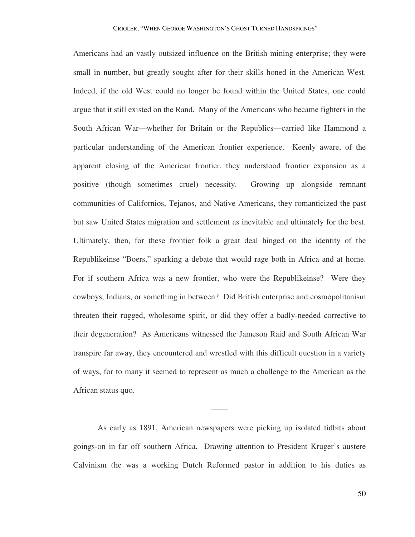Americans had an vastly outsized influence on the British mining enterprise; they were small in number, but greatly sought after for their skills honed in the American West. Indeed, if the old West could no longer be found within the United States, one could argue that it still existed on the Rand. Many of the Americans who became fighters in the South African War—whether for Britain or the Republics—carried like Hammond a particular understanding of the American frontier experience. Keenly aware, of the apparent closing of the American frontier, they understood frontier expansion as a positive (though sometimes cruel) necessity. Growing up alongside remnant communities of Californios, Tejanos, and Native Americans, they romanticized the past but saw United States migration and settlement as inevitable and ultimately for the best. Ultimately, then, for these frontier folk a great deal hinged on the identity of the Republikeinse "Boers," sparking a debate that would rage both in Africa and at home. For if southern Africa was a new frontier, who were the Republikeinse? Were they cowboys, Indians, or something in between? Did British enterprise and cosmopolitanism threaten their rugged, wholesome spirit, or did they offer a badly-needed corrective to their degeneration? As Americans witnessed the Jameson Raid and South African War transpire far away, they encountered and wrestled with this difficult question in a variety of ways, for to many it seemed to represent as much a challenge to the American as the African status quo.

 As early as 1891, American newspapers were picking up isolated tidbits about goings-on in far off southern Africa. Drawing attention to President Kruger's austere Calvinism (he was a working Dutch Reformed pastor in addition to his duties as

——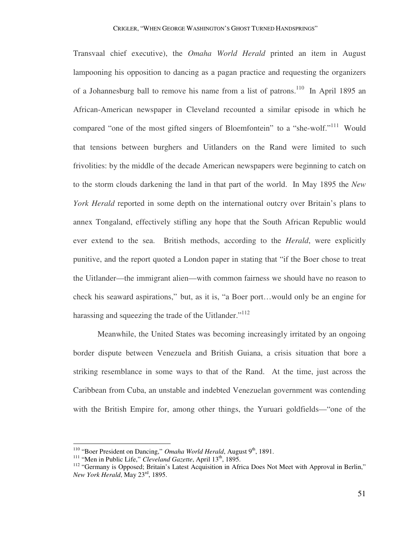Transvaal chief executive), the *Omaha World Herald* printed an item in August lampooning his opposition to dancing as a pagan practice and requesting the organizers of a Johannesburg ball to remove his name from a list of patrons.<sup>110</sup> In April 1895 an African-American newspaper in Cleveland recounted a similar episode in which he compared "one of the most gifted singers of Bloemfontein" to a "she-wolf."<sup>111</sup> Would that tensions between burghers and Uitlanders on the Rand were limited to such frivolities: by the middle of the decade American newspapers were beginning to catch on to the storm clouds darkening the land in that part of the world. In May 1895 the *New York Herald* reported in some depth on the international outcry over Britain's plans to annex Tongaland, effectively stifling any hope that the South African Republic would ever extend to the sea. British methods, according to the *Herald*, were explicitly punitive, and the report quoted a London paper in stating that "if the Boer chose to treat the Uitlander—the immigrant alien—with common fairness we should have no reason to check his seaward aspirations," but, as it is, "a Boer port…would only be an engine for harassing and squeezing the trade of the Uitlander."<sup>112</sup>

 Meanwhile, the United States was becoming increasingly irritated by an ongoing border dispute between Venezuela and British Guiana, a crisis situation that bore a striking resemblance in some ways to that of the Rand. At the time, just across the Caribbean from Cuba, an unstable and indebted Venezuelan government was contending with the British Empire for, among other things, the Yuruari goldfields—"one of the

<sup>&</sup>lt;sup>110</sup> "Boer President on Dancing," *Omaha World Herald*, August 9<sup>th</sup>, 1891.

<sup>&</sup>lt;sup>111</sup> "Men in Public Life," *Cleveland Gazette*, April 13<sup>th</sup>, 1895.

<sup>&</sup>lt;sup>112</sup> "Germany is Opposed; Britain's Latest Acquisition in Africa Does Not Meet with Approval in Berlin," *New York Herald*, May 23rd, 1895.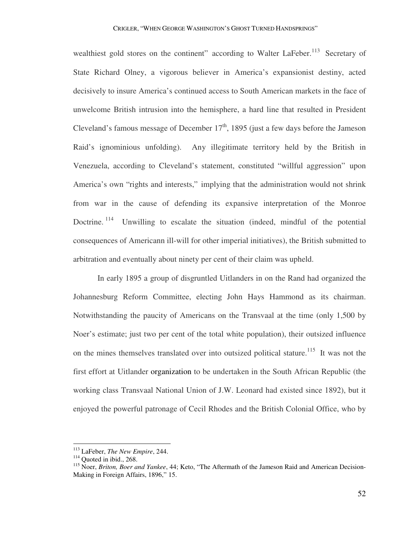wealthiest gold stores on the continent" according to Walter LaFeber.<sup>113</sup> Secretary of State Richard Olney, a vigorous believer in America's expansionist destiny, acted decisively to insure America's continued access to South American markets in the face of unwelcome British intrusion into the hemisphere, a hard line that resulted in President Cleveland's famous message of December  $17<sup>th</sup>$ , 1895 (just a few days before the Jameson Raid's ignominious unfolding). Any illegitimate territory held by the British in Venezuela, according to Cleveland's statement, constituted "willful aggression" upon America's own "rights and interests," implying that the administration would not shrink from war in the cause of defending its expansive interpretation of the Monroe Doctrine.<sup>114</sup> Unwilling to escalate the situation (indeed, mindful of the potential consequences of Americann ill-will for other imperial initiatives), the British submitted to arbitration and eventually about ninety per cent of their claim was upheld.

 In early 1895 a group of disgruntled Uitlanders in on the Rand had organized the Johannesburg Reform Committee, electing John Hays Hammond as its chairman. Notwithstanding the paucity of Americans on the Transvaal at the time (only 1,500 by Noer's estimate; just two per cent of the total white population), their outsized influence on the mines themselves translated over into outsized political stature.<sup>115</sup> It was not the first effort at Uitlander organization to be undertaken in the South African Republic (the working class Transvaal National Union of J.W. Leonard had existed since 1892), but it enjoyed the powerful patronage of Cecil Rhodes and the British Colonial Office, who by

<sup>113</sup> LaFeber, *The New Empire*, 244.

 $114$  Quoted in ibid., 268.

<sup>115</sup> Noer, *Briton, Boer and Yankee*, 44; Keto, "The Aftermath of the Jameson Raid and American Decision-Making in Foreign Affairs, 1896," 15.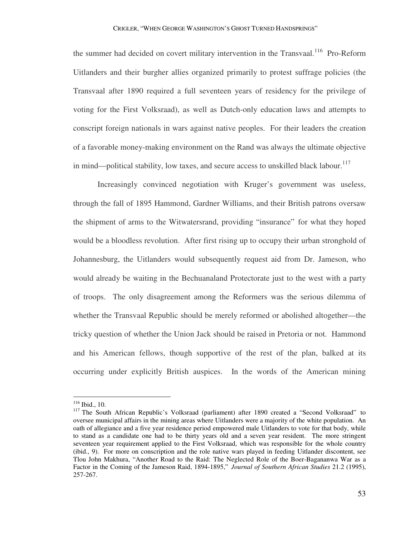the summer had decided on covert military intervention in the Transvaal.<sup>116</sup> Pro-Reform Uitlanders and their burgher allies organized primarily to protest suffrage policies (the Transvaal after 1890 required a full seventeen years of residency for the privilege of voting for the First Volksraad), as well as Dutch-only education laws and attempts to conscript foreign nationals in wars against native peoples. For their leaders the creation of a favorable money-making environment on the Rand was always the ultimate objective in mind—political stability, low taxes, and secure access to unskilled black labour. $117$ 

 Increasingly convinced negotiation with Kruger's government was useless, through the fall of 1895 Hammond, Gardner Williams, and their British patrons oversaw the shipment of arms to the Witwatersrand, providing "insurance" for what they hoped would be a bloodless revolution. After first rising up to occupy their urban stronghold of Johannesburg, the Uitlanders would subsequently request aid from Dr. Jameson, who would already be waiting in the Bechuanaland Protectorate just to the west with a party of troops. The only disagreement among the Reformers was the serious dilemma of whether the Transvaal Republic should be merely reformed or abolished altogether—the tricky question of whether the Union Jack should be raised in Pretoria or not. Hammond and his American fellows, though supportive of the rest of the plan, balked at its occurring under explicitly British auspices. In the words of the American mining

 $116$  Ibid., 10.

<sup>&</sup>lt;sup>117</sup> The South African Republic's Volksraad (parliament) after 1890 created a "Second Volksraad" to oversee municipal affairs in the mining areas where Uitlanders were a majority of the white population. An oath of allegiance and a five year residence period empowered male Uitlanders to vote for that body, while to stand as a candidate one had to be thirty years old and a seven year resident. The more stringent seventeen year requirement applied to the First Volksraad, which was responsible for the whole country (ibid., 9). For more on conscription and the role native wars played in feeding Uitlander discontent, see Tlou John Makhura, "Another Road to the Raid: The Neglected Role of the Boer-Bagananwa War as a Factor in the Coming of the Jameson Raid, 1894-1895," *Journal of Southern African Studies* 21.2 (1995), 257-267.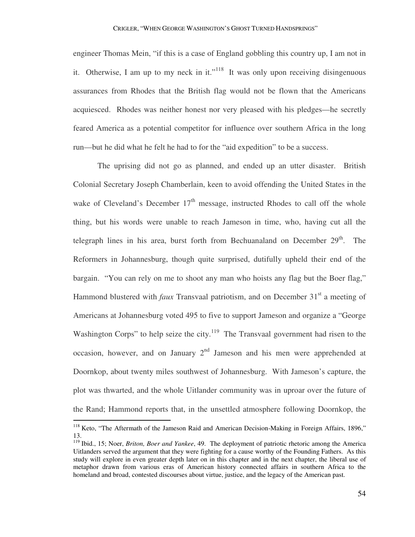engineer Thomas Mein, "if this is a case of England gobbling this country up, I am not in it. Otherwise, I am up to my neck in it."<sup>118</sup> It was only upon receiving disingenuous assurances from Rhodes that the British flag would not be flown that the Americans acquiesced. Rhodes was neither honest nor very pleased with his pledges—he secretly feared America as a potential competitor for influence over southern Africa in the long run—but he did what he felt he had to for the "aid expedition" to be a success.

 The uprising did not go as planned, and ended up an utter disaster. British Colonial Secretary Joseph Chamberlain, keen to avoid offending the United States in the wake of Cleveland's December  $17<sup>th</sup>$  message, instructed Rhodes to call off the whole thing, but his words were unable to reach Jameson in time, who, having cut all the telegraph lines in his area, burst forth from Bechuanaland on December  $29<sup>th</sup>$ . The Reformers in Johannesburg, though quite surprised, dutifully upheld their end of the bargain. "You can rely on me to shoot any man who hoists any flag but the Boer flag," Hammond blustered with *faux* Transvaal patriotism, and on December 31<sup>st</sup> a meeting of Americans at Johannesburg voted 495 to five to support Jameson and organize a "George Washington Corps" to help seize the city.<sup>119</sup> The Transvaal government had risen to the occasion, however, and on January  $2<sup>nd</sup>$  Jameson and his men were apprehended at Doornkop, about twenty miles southwest of Johannesburg. With Jameson's capture, the plot was thwarted, and the whole Uitlander community was in uproar over the future of the Rand; Hammond reports that, in the unsettled atmosphere following Doornkop, the

<sup>&</sup>lt;sup>118</sup> Keto, "The Aftermath of the Jameson Raid and American Decision-Making in Foreign Affairs, 1896," 13.

<sup>119</sup> Ibid., 15; Noer, *Briton, Boer and Yankee*, 49. The deployment of patriotic rhetoric among the America Uitlanders served the argument that they were fighting for a cause worthy of the Founding Fathers. As this study will explore in even greater depth later on in this chapter and in the next chapter, the liberal use of metaphor drawn from various eras of American history connected affairs in southern Africa to the homeland and broad, contested discourses about virtue, justice, and the legacy of the American past.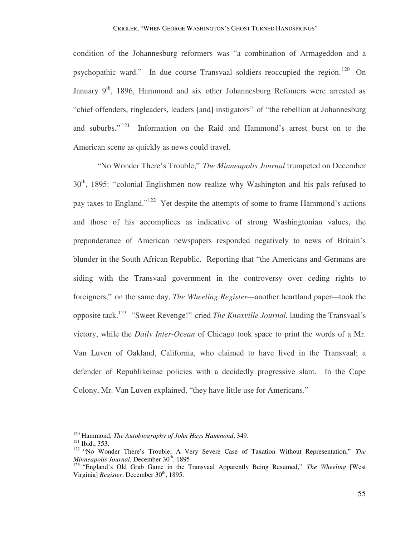condition of the Johannesburg reformers was "a combination of Armageddon and a psychopathic ward." In due course Transvaal soldiers reoccupied the region.<sup>120</sup> On January  $9<sup>th</sup>$ , 1896, Hammond and six other Johannesburg Refomers were arrested as "chief offenders, ringleaders, leaders [and] instigators" of "the rebellion at Johannesburg and suburbs."<sup>121</sup> Information on the Raid and Hammond's arrest burst on to the American scene as quickly as news could travel.

 "No Wonder There's Trouble," *The Minneapolis Journal* trumpeted on December  $30<sup>th</sup>$ , 1895: "colonial Englishmen now realize why Washington and his pals refused to pay taxes to England."<sup>122</sup> Yet despite the attempts of some to frame Hammond's actions and those of his accomplices as indicative of strong Washingtonian values, the preponderance of American newspapers responded negatively to news of Britain's blunder in the South African Republic. Reporting that "the Americans and Germans are siding with the Transvaal government in the controversy over ceding rights to foreigners," on the same day, *The Wheeling Register—*another heartland paper*—*took the opposite tack.<sup>123</sup> "Sweet Revenge!" cried *The Knoxville Journal*, lauding the Transvaal's victory, while the *Daily Inter-Ocean* of Chicago took space to print the words of a Mr. Van Luven of Oakland, California, who claimed to have lived in the Transvaal; a defender of Republikeinse policies with a decidedly progressive slant. In the Cape Colony, Mr. Van Luven explained, "they have little use for Americans."

<sup>120</sup> Hammond, *The Autobiography of John Hays Hammond*, 349.

<sup>121</sup> Ibid., 353.

<sup>122</sup> "No Wonder There's Trouble; A Very Severe Case of Taxation Without Representation," *The Minneapolis Journal*, December 30<sup>th</sup>, 1895

<sup>&</sup>lt;sup>123</sup> "England's Old Grab Game in the Transvaal Apparently Being Resumed," The Wheeling [West Virginia] *Register*, December 30<sup>th</sup>, 1895.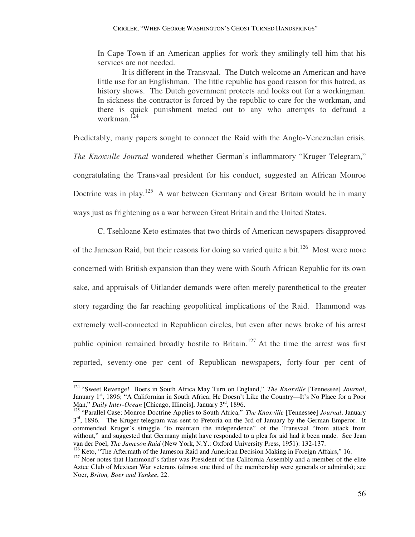In Cape Town if an American applies for work they smilingly tell him that his services are not needed.

It is different in the Transvaal. The Dutch welcome an American and have little use for an Englishman. The little republic has good reason for this hatred, as history shows. The Dutch government protects and looks out for a workingman. In sickness the contractor is forced by the republic to care for the workman, and there is quick punishment meted out to any who attempts to defraud a workman.<sup>124</sup>

Predictably, many papers sought to connect the Raid with the Anglo-Venezuelan crisis. *The Knoxville Journal* wondered whether German's inflammatory "Kruger Telegram," congratulating the Transvaal president for his conduct, suggested an African Monroe Doctrine was in play.<sup>125</sup> A war between Germany and Great Britain would be in many ways just as frightening as a war between Great Britain and the United States.

 C. Tsehloane Keto estimates that two thirds of American newspapers disapproved of the Jameson Raid, but their reasons for doing so varied quite a bit.<sup>126</sup> Most were more concerned with British expansion than they were with South African Republic for its own sake, and appraisals of Uitlander demands were often merely parenthetical to the greater story regarding the far reaching geopolitical implications of the Raid. Hammond was extremely well-connected in Republican circles, but even after news broke of his arrest public opinion remained broadly hostile to Britain.<sup>127</sup> At the time the arrest was first reported, seventy-one per cent of Republican newspapers, forty-four per cent of

<sup>124</sup> "Sweet Revenge! Boers in South Africa May Turn on England," *The Knoxville* [Tennessee] *Journal*, January 1st, 1896; "A Californian in South Africa; He Doesn't Like the Country—It's No Place for a Poor Man," *Daily Inter-Ocean* [Chicago, Illinois], January 3rd, 1896.

<sup>125</sup> "Parallel Case; Monroe Doctrine Applies to South Africa," *The Knoxville* [Tennessee] *Journal*, January 3<sup>rd</sup>, 1896. The Kruger telegram was sent to Pretoria on the 3rd of January by the German Emperor. It commended Kruger's struggle "to maintain the independence" of the Transvaal "from attack from without," and suggested that Germany might have responded to a plea for aid had it been made. See Jean van der Poel, *The Jameson Raid* (New York, N.Y.: Oxford University Press, 1951): 132-137.

<sup>&</sup>lt;sup>126</sup> Keto, "The Aftermath of the Jameson Raid and American Decision Making in Foreign Affairs," 16.

<sup>&</sup>lt;sup>127</sup> Noer notes that Hammond's father was President of the California Assembly and a member of the elite Aztec Club of Mexican War veterans (almost one third of the membership were generals or admirals); see Noer, *Briton, Boer and Yankee*, 22.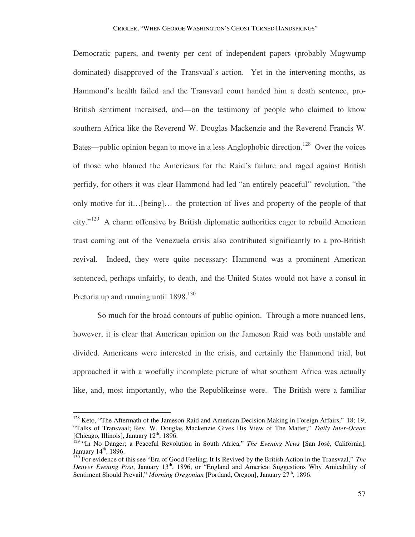Democratic papers, and twenty per cent of independent papers (probably Mugwump dominated) disapproved of the Transvaal's action. Yet in the intervening months, as Hammond's health failed and the Transvaal court handed him a death sentence, pro-British sentiment increased, and—on the testimony of people who claimed to know southern Africa like the Reverend W. Douglas Mackenzie and the Reverend Francis W. Bates—public opinion began to move in a less Anglophobic direction.<sup>128</sup> Over the voices of those who blamed the Americans for the Raid's failure and raged against British perfidy, for others it was clear Hammond had led "an entirely peaceful" revolution, "the only motive for it…[being]… the protection of lives and property of the people of that city."<sup>129</sup> A charm offensive by British diplomatic authorities eager to rebuild American trust coming out of the Venezuela crisis also contributed significantly to a pro-British revival. Indeed, they were quite necessary: Hammond was a prominent American sentenced, perhaps unfairly, to death, and the United States would not have a consul in Pretoria up and running until  $1898$ <sup>130</sup>

 So much for the broad contours of public opinion. Through a more nuanced lens, however, it is clear that American opinion on the Jameson Raid was both unstable and divided. Americans were interested in the crisis, and certainly the Hammond trial, but approached it with a woefully incomplete picture of what southern Africa was actually like, and, most importantly, who the Republikeinse were. The British were a familiar

<sup>&</sup>lt;sup>128</sup> Keto, "The Aftermath of the Jameson Raid and American Decision Making in Foreign Affairs," 18; 19; "Talks of Transvaal; Rev. W. Douglas Mackenzie Gives His View of The Matter," *Daily Inter-Ocean* [Chicago, Illinois], January 12<sup>th</sup>, 1896.

<sup>129</sup> "In No Danger; a Peaceful Revolution in South Africa," *The Evening News* [San José, California], January  $14<sup>th</sup>$ , 1896.

<sup>130</sup> For evidence of this see "Era of Good Feeling; It Is Revived by the British Action in the Transvaal," *The Denver Evening Post*, January 13<sup>th</sup>, 1896, or "England and America: Suggestions Why Amicability of Sentiment Should Prevail," *Morning Oregonian* [Portland, Oregon], January 27<sup>th</sup>, 1896.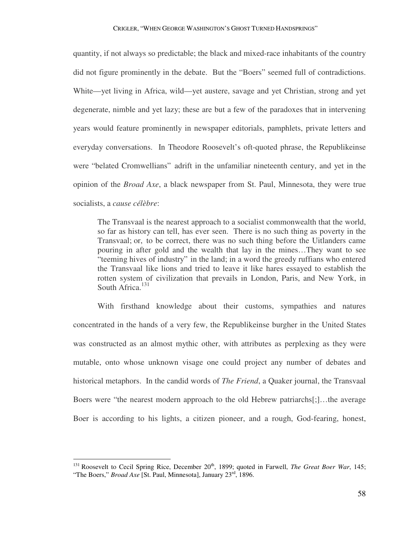quantity, if not always so predictable; the black and mixed-race inhabitants of the country did not figure prominently in the debate. But the "Boers" seemed full of contradictions. White—yet living in Africa, wild—yet austere, savage and yet Christian, strong and yet degenerate, nimble and yet lazy; these are but a few of the paradoxes that in intervening years would feature prominently in newspaper editorials, pamphlets, private letters and everyday conversations. In Theodore Roosevelt's oft-quoted phrase, the Republikeinse were "belated Cromwellians" adrift in the unfamiliar nineteenth century, and yet in the opinion of the *Broad Axe*, a black newspaper from St. Paul, Minnesota, they were true socialists, a *cause célèbre*:

The Transvaal is the nearest approach to a socialist commonwealth that the world, so far as history can tell, has ever seen. There is no such thing as poverty in the Transvaal; or, to be correct, there was no such thing before the Uitlanders came pouring in after gold and the wealth that lay in the mines…They want to see "teeming hives of industry" in the land; in a word the greedy ruffians who entered the Transvaal like lions and tried to leave it like hares essayed to establish the rotten system of civilization that prevails in London, Paris, and New York, in South Africa. $131$ 

 With firsthand knowledge about their customs, sympathies and natures concentrated in the hands of a very few, the Republikeinse burgher in the United States was constructed as an almost mythic other, with attributes as perplexing as they were mutable, onto whose unknown visage one could project any number of debates and historical metaphors. In the candid words of *The Friend*, a Quaker journal, the Transvaal Boers were "the nearest modern approach to the old Hebrew patriarchs[;]…the average Boer is according to his lights, a citizen pioneer, and a rough, God-fearing, honest,

<sup>&</sup>lt;sup>131</sup> Roosevelt to Cecil Spring Rice, December  $20<sup>th</sup>$ , 1899; quoted in Farwell, *The Great Boer War*, 145; "The Boers," *Broad Axe* [St. Paul, Minnesota], January 23<sup>rd</sup>, 1896.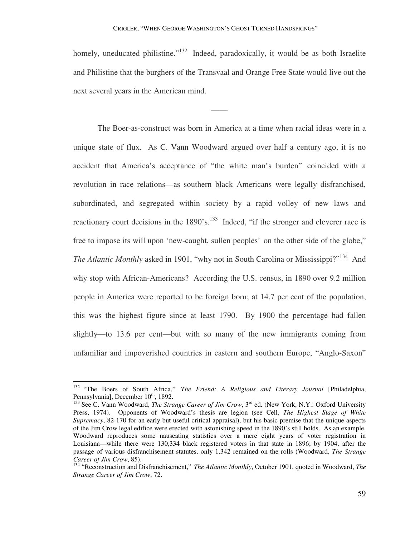homely, uneducated philistine."<sup>132</sup> Indeed, paradoxically, it would be as both Israelite and Philistine that the burghers of the Transvaal and Orange Free State would live out the next several years in the American mind.

——

 The Boer-as-construct was born in America at a time when racial ideas were in a unique state of flux. As C. Vann Woodward argued over half a century ago, it is no accident that America's acceptance of "the white man's burden" coincided with a revolution in race relations—as southern black Americans were legally disfranchised, subordinated, and segregated within society by a rapid volley of new laws and reactionary court decisions in the 1890's.<sup>133</sup> Indeed, "if the stronger and cleverer race is free to impose its will upon 'new-caught, sullen peoples' on the other side of the globe," *The Atlantic Monthly* asked in 1901, "why not in South Carolina or Mississippi?"<sup>134</sup> And why stop with African-Americans? According the U.S. census, in 1890 over 9.2 million people in America were reported to be foreign born; at 14.7 per cent of the population, this was the highest figure since at least 1790. By 1900 the percentage had fallen slightly—to 13.6 per cent—but with so many of the new immigrants coming from unfamiliar and impoverished countries in eastern and southern Europe, "Anglo-Saxon"

<sup>132</sup> "The Boers of South Africa," *The Friend: A Religious and Literary Journal* [Philadelphia, Pennsylvania], December 10<sup>th</sup>, 1892.

<sup>&</sup>lt;sup>133</sup> See C. Vann Woodward, *The Strange Career of Jim Crow*, 3<sup>rd</sup> ed. (New York, N.Y.: Oxford University Press, 1974). Opponents of Woodward's thesis are legion (see Cell, *The Highest Stage of White Supremacy*, 82-170 for an early but useful critical appraisal), but his basic premise that the unique aspects of the Jim Crow legal edifice were erected with astonishing speed in the 1890's still holds. As an example, Woodward reproduces some nauseating statistics over a mere eight years of voter registration in Louisiana—while there were 130,334 black registered voters in that state in 1896; by 1904, after the passage of various disfranchisement statutes, only 1,342 remained on the rolls (Woodward, *The Strange Career of Jim Crow*, 85).

<sup>134</sup> "Reconstruction and Disfranchisement," *The Atlantic Monthly*, October 1901, quoted in Woodward, *The Strange Career of Jim Crow*, 72.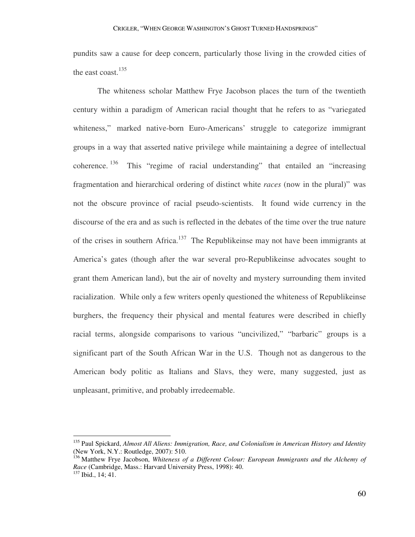pundits saw a cause for deep concern, particularly those living in the crowded cities of the east coast. $135$ 

 The whiteness scholar Matthew Frye Jacobson places the turn of the twentieth century within a paradigm of American racial thought that he refers to as "variegated whiteness," marked native-born Euro-Americans' struggle to categorize immigrant groups in a way that asserted native privilege while maintaining a degree of intellectual coherence.<sup>136</sup> This "regime of racial understanding" that entailed an "increasing fragmentation and hierarchical ordering of distinct white *races* (now in the plural)" was not the obscure province of racial pseudo-scientists. It found wide currency in the discourse of the era and as such is reflected in the debates of the time over the true nature of the crises in southern Africa.<sup>137</sup> The Republikeinse may not have been immigrants at America's gates (though after the war several pro-Republikeinse advocates sought to grant them American land), but the air of novelty and mystery surrounding them invited racialization. While only a few writers openly questioned the whiteness of Republikeinse burghers, the frequency their physical and mental features were described in chiefly racial terms, alongside comparisons to various "uncivilized," "barbaric" groups is a significant part of the South African War in the U.S. Though not as dangerous to the American body politic as Italians and Slavs, they were, many suggested, just as unpleasant, primitive, and probably irredeemable.

<sup>135</sup> Paul Spickard, *Almost All Aliens: Immigration, Race, and Colonialism in American History and Identity*  (New York, N.Y.: Routledge, 2007): 510.

<sup>136</sup> Matthew Frye Jacobson, *Whiteness of a Different Colour: European Immigrants and the Alchemy of Race* (Cambridge, Mass.: Harvard University Press, 1998): 40. <sup>137</sup> Ibid., 14; 41.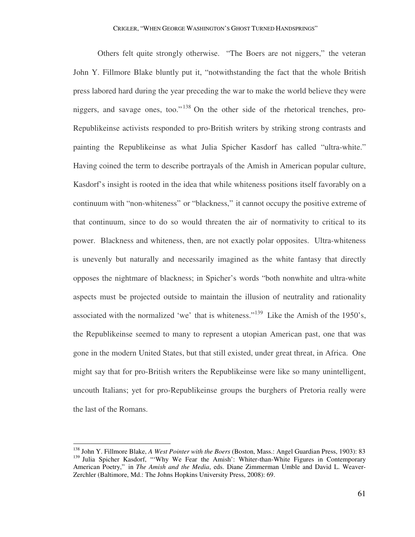Others felt quite strongly otherwise. "The Boers are not niggers," the veteran John Y. Fillmore Blake bluntly put it, "notwithstanding the fact that the whole British press labored hard during the year preceding the war to make the world believe they were niggers, and savage ones, too." <sup>138</sup> On the other side of the rhetorical trenches, pro-Republikeinse activists responded to pro-British writers by striking strong contrasts and painting the Republikeinse as what Julia Spicher Kasdorf has called "ultra-white." Having coined the term to describe portrayals of the Amish in American popular culture, Kasdorf's insight is rooted in the idea that while whiteness positions itself favorably on a continuum with "non-whiteness" or "blackness," it cannot occupy the positive extreme of that continuum, since to do so would threaten the air of normativity to critical to its power. Blackness and whiteness, then, are not exactly polar opposites. Ultra-whiteness is unevenly but naturally and necessarily imagined as the white fantasy that directly opposes the nightmare of blackness; in Spicher's words "both nonwhite and ultra-white aspects must be projected outside to maintain the illusion of neutrality and rationality associated with the normalized 'we' that is whiteness."<sup>139</sup> Like the Amish of the 1950's, the Republikeinse seemed to many to represent a utopian American past, one that was gone in the modern United States, but that still existed, under great threat, in Africa. One might say that for pro-British writers the Republikeinse were like so many unintelligent, uncouth Italians; yet for pro-Republikeinse groups the burghers of Pretoria really were the last of the Romans.

<sup>138</sup> John Y. Fillmore Blake, *A West Pointer with the Boers* (Boston, Mass.: Angel Guardian Press, 1903): 83 <sup>139</sup> Julia Spicher Kasdorf, "'Why We Fear the Amish': Whiter-than-White Figures in Contemporary American Poetry," in *The Amish and the Media*, eds. Diane Zimmerman Umble and David L. Weaver-Zerchler (Baltimore, Md.: The Johns Hopkins University Press, 2008): 69.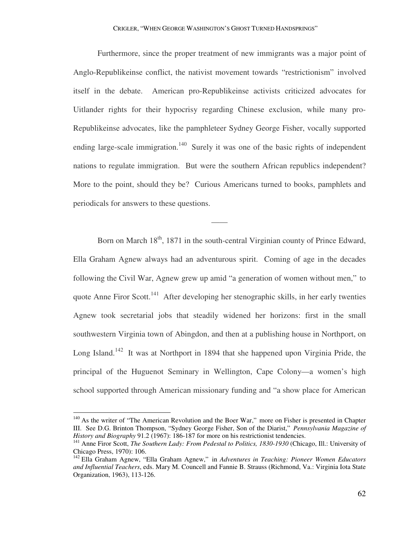Furthermore, since the proper treatment of new immigrants was a major point of Anglo-Republikeinse conflict, the nativist movement towards "restrictionism" involved itself in the debate. American pro-Republikeinse activists criticized advocates for Uitlander rights for their hypocrisy regarding Chinese exclusion, while many pro-Republikeinse advocates, like the pamphleteer Sydney George Fisher, vocally supported ending large-scale immigration.<sup>140</sup> Surely it was one of the basic rights of independent nations to regulate immigration. But were the southern African republics independent? More to the point, should they be? Curious Americans turned to books, pamphlets and periodicals for answers to these questions.

——

Born on March  $18<sup>th</sup>$ , 1871 in the south-central Virginian county of Prince Edward, Ella Graham Agnew always had an adventurous spirit. Coming of age in the decades following the Civil War, Agnew grew up amid "a generation of women without men," to quote Anne Firor Scott.<sup>141</sup> After developing her stenographic skills, in her early twenties Agnew took secretarial jobs that steadily widened her horizons: first in the small southwestern Virginia town of Abingdon, and then at a publishing house in Northport, on Long Island.<sup>142</sup> It was at Northport in 1894 that she happened upon Virginia Pride, the principal of the Huguenot Seminary in Wellington, Cape Colony—a women's high school supported through American missionary funding and "a show place for American

<sup>&</sup>lt;sup>140</sup> As the writer of "The American Revolution and the Boer War," more on Fisher is presented in Chapter III. See D.G. Brinton Thompson, "Sydney George Fisher, Son of the Diarist," *Pennsylvania Magazine of History and Biography* 91.2 (1967): 186-187 for more on his restrictionist tendencies.

<sup>141</sup> Anne Firor Scott, *The Southern Lady: From Pedestal to Politics, 1830-1930* (Chicago, Ill.: University of Chicago Press, 1970): 106.

<sup>142</sup> Ella Graham Agnew, "Ella Graham Agnew," in *Adventures in Teaching: Pioneer Women Educators and Influential Teachers*, eds. Mary M. Councell and Fannie B. Strauss (Richmond, Va.: Virginia Iota State Organization, 1963), 113-126.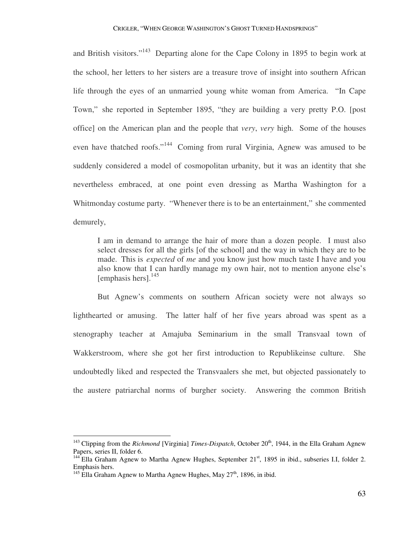and British visitors."<sup>143</sup> Departing alone for the Cape Colony in 1895 to begin work at the school, her letters to her sisters are a treasure trove of insight into southern African life through the eyes of an unmarried young white woman from America. "In Cape Town," she reported in September 1895, "they are building a very pretty P.O. [post office] on the American plan and the people that *very*, *very* high. Some of the houses even have thatched roofs."<sup>144</sup> Coming from rural Virginia, Agnew was amused to be suddenly considered a model of cosmopolitan urbanity, but it was an identity that she nevertheless embraced, at one point even dressing as Martha Washington for a Whitmonday costume party. "Whenever there is to be an entertainment," she commented demurely,

I am in demand to arrange the hair of more than a dozen people. I must also select dresses for all the girls [of the school] and the way in which they are to be made. This is *expected* of *me* and you know just how much taste I have and you also know that I can hardly manage my own hair, not to mention anyone else's [emphasis hers]. $^{145}$ 

 But Agnew's comments on southern African society were not always so lighthearted or amusing. The latter half of her five years abroad was spent as a stenography teacher at Amajuba Seminarium in the small Transvaal town of Wakkerstroom, where she got her first introduction to Republikeinse culture. She undoubtedly liked and respected the Transvaalers she met, but objected passionately to the austere patriarchal norms of burgher society. Answering the common British

<sup>&</sup>lt;sup>143</sup> Clipping from the *Richmond* [Virginia] *Times-Dispatch*, October 20<sup>th</sup>, 1944, in the Ella Graham Agnew Papers, series II, folder 6.

 $^{144}$  Ella Graham Agnew to Martha Agnew Hughes, September 21<sup>st</sup>, 1895 in ibid., subseries I.I, folder 2. Emphasis hers.

<sup>&</sup>lt;sup>145</sup> Ella Graham Agnew to Martha Agnew Hughes, May  $27<sup>th</sup>$ , 1896, in ibid.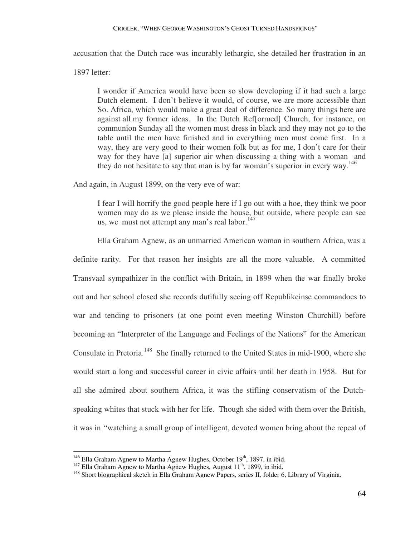## CRIGLER, "WHEN GEORGE WASHINGTON'S GHOST TURNED HANDSPRINGS"

accusation that the Dutch race was incurably lethargic, she detailed her frustration in an

1897 letter:

 $\overline{a}$ 

I wonder if America would have been so slow developing if it had such a large Dutch element. I don't believe it would, of course, we are more accessible than So. Africa, which would make a great deal of difference. So many things here are against all my former ideas. In the Dutch Ref[ormed] Church, for instance, on communion Sunday all the women must dress in black and they may not go to the table until the men have finished and in everything men must come first. In a way, they are very good to their women folk but as for me, I don't care for their way for they have [a] superior air when discussing a thing with a woman and they do not hesitate to say that man is by far woman's superior in every way.<sup>146</sup>

And again, in August 1899, on the very eve of war:

I fear I will horrify the good people here if I go out with a hoe, they think we poor women may do as we please inside the house, but outside, where people can see us, we must not attempt any man's real labor.  $147$ 

 Ella Graham Agnew, as an unmarried American woman in southern Africa, was a definite rarity. For that reason her insights are all the more valuable. A committed Transvaal sympathizer in the conflict with Britain, in 1899 when the war finally broke out and her school closed she records dutifully seeing off Republikeinse commandoes to war and tending to prisoners (at one point even meeting Winston Churchill) before becoming an "Interpreter of the Language and Feelings of the Nations" for the American Consulate in Pretoria.<sup>148</sup> She finally returned to the United States in mid-1900, where she would start a long and successful career in civic affairs until her death in 1958. But for all she admired about southern Africa, it was the stifling conservatism of the Dutchspeaking whites that stuck with her for life. Though she sided with them over the British, it was in "watching a small group of intelligent, devoted women bring about the repeal of

 $146$  Ella Graham Agnew to Martha Agnew Hughes, October 19<sup>th</sup>, 1897, in ibid.

 $147$  Ella Graham Agnew to Martha Agnew Hughes, August  $11<sup>th</sup>$ , 1899, in ibid.

<sup>&</sup>lt;sup>148</sup> Short biographical sketch in Ella Graham Agnew Papers, series II, folder 6, Library of Virginia.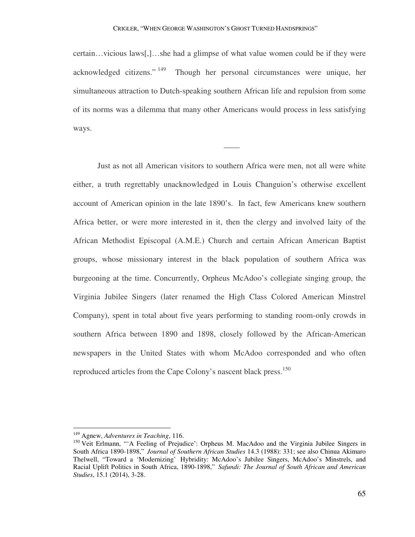certain…vicious laws[,]…she had a glimpse of what value women could be if they were acknowledged citizens." <sup>149</sup> Though her personal circumstances were unique, her simultaneous attraction to Dutch-speaking southern African life and repulsion from some of its norms was a dilemma that many other Americans would process in less satisfying ways.

——

 Just as not all American visitors to southern Africa were men, not all were white either, a truth regrettably unacknowledged in Louis Changuion's otherwise excellent account of American opinion in the late 1890's. In fact, few Americans knew southern Africa better, or were more interested in it, then the clergy and involved laity of the African Methodist Episcopal (A.M.E.) Church and certain African American Baptist groups, whose missionary interest in the black population of southern Africa was burgeoning at the time. Concurrently, Orpheus McAdoo's collegiate singing group, the Virginia Jubilee Singers (later renamed the High Class Colored American Minstrel Company), spent in total about five years performing to standing room-only crowds in southern Africa between 1890 and 1898, closely followed by the African-American newspapers in the United States with whom McAdoo corresponded and who often reproduced articles from the Cape Colony's nascent black press.<sup>150</sup>

<sup>149</sup> Agnew, *Adventures in Teaching*, 116.

<sup>&</sup>lt;sup>150</sup> Veit Erlmann, "'A Feeling of Prejudice': Orpheus M. MacAdoo and the Virginia Jubilee Singers in South Africa 1890-1898," *Journal of Southern African Studies* 14.3 (1988): 331; see also Chinua Akimaro Thelwell, "Toward a 'Modernizing' Hybridity: McAdoo's Jubilee Singers, McAdoo's Minstrels, and Racial Uplift Politics in South Africa, 1890-1898," *Safundi: The Journal of South African and American Studies*, 15.1 (2014), 3-28.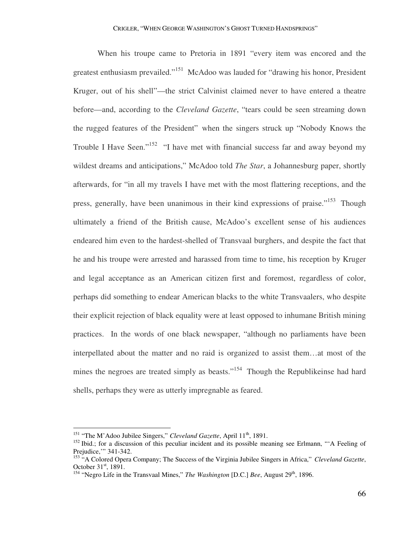When his troupe came to Pretoria in 1891 "every item was encored and the greatest enthusiasm prevailed."<sup>151</sup> McAdoo was lauded for "drawing his honor, President Kruger, out of his shell"—the strict Calvinist claimed never to have entered a theatre before—and, according to the *Cleveland Gazette*, "tears could be seen streaming down the rugged features of the President" when the singers struck up "Nobody Knows the Trouble I Have Seen."<sup>152</sup> "I have met with financial success far and away beyond my wildest dreams and anticipations," McAdoo told *The Star*, a Johannesburg paper, shortly afterwards, for "in all my travels I have met with the most flattering receptions, and the press, generally, have been unanimous in their kind expressions of praise."<sup>153</sup> Though ultimately a friend of the British cause, McAdoo's excellent sense of his audiences endeared him even to the hardest-shelled of Transvaal burghers, and despite the fact that he and his troupe were arrested and harassed from time to time, his reception by Kruger and legal acceptance as an American citizen first and foremost, regardless of color, perhaps did something to endear American blacks to the white Transvaalers, who despite their explicit rejection of black equality were at least opposed to inhumane British mining practices. In the words of one black newspaper, "although no parliaments have been interpellated about the matter and no raid is organized to assist them…at most of the mines the negroes are treated simply as beasts."<sup>154</sup> Though the Republikeinse had hard shells, perhaps they were as utterly impregnable as feared.

<sup>&</sup>lt;sup>151</sup> "The M'Adoo Jubilee Singers," *Cleveland Gazette*, April 11<sup>th</sup>, 1891.

 $152$  Ibid.; for a discussion of this peculiar incident and its possible meaning see Erlmann, "A Feeling of Prejudice,'" 341-342.

<sup>153</sup> "A Colored Opera Company; The Success of the Virginia Jubilee Singers in Africa," *Cleveland Gazette*, October  $31<sup>st</sup>$ , 1891.

<sup>&</sup>lt;sup>154</sup> "Negro Life in the Transvaal Mines," *The Washington* [D.C.] *Bee*, August 29<sup>th</sup>, 1896.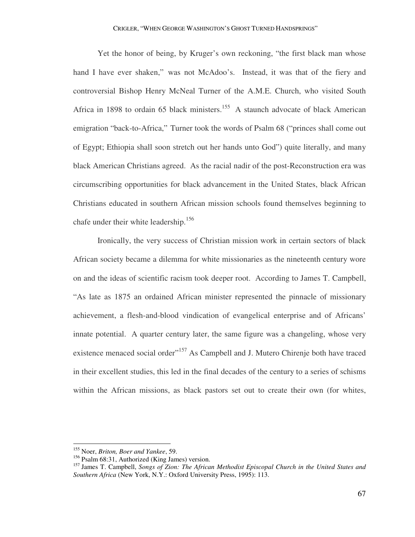Yet the honor of being, by Kruger's own reckoning, "the first black man whose hand I have ever shaken," was not McAdoo's. Instead, it was that of the fiery and controversial Bishop Henry McNeal Turner of the A.M.E. Church, who visited South Africa in 1898 to ordain 65 black ministers.<sup>155</sup> A staunch advocate of black American emigration "back-to-Africa," Turner took the words of Psalm 68 ("princes shall come out of Egypt; Ethiopia shall soon stretch out her hands unto God") quite literally, and many black American Christians agreed. As the racial nadir of the post-Reconstruction era was circumscribing opportunities for black advancement in the United States, black African Christians educated in southern African mission schools found themselves beginning to chafe under their white leadership.<sup>156</sup>

 Ironically, the very success of Christian mission work in certain sectors of black African society became a dilemma for white missionaries as the nineteenth century wore on and the ideas of scientific racism took deeper root. According to James T. Campbell, "As late as 1875 an ordained African minister represented the pinnacle of missionary achievement, a flesh-and-blood vindication of evangelical enterprise and of Africans' innate potential. A quarter century later, the same figure was a changeling, whose very existence menaced social order"<sup>157</sup> As Campbell and J. Mutero Chirenje both have traced in their excellent studies, this led in the final decades of the century to a series of schisms within the African missions, as black pastors set out to create their own (for whites,

<sup>155</sup> Noer, *Briton, Boer and Yankee*, 59.

<sup>156</sup> Psalm 68:31, Authorized (King James) version.

<sup>157</sup> James T. Campbell, *Songs of Zion: The African Methodist Episcopal Church in the United States and Southern Africa* (New York, N.Y.: Oxford University Press, 1995): 113.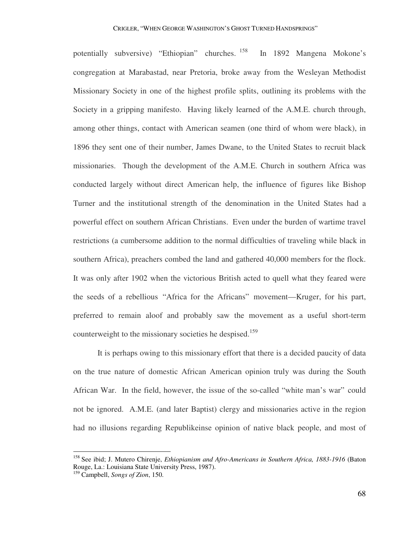potentially subversive) "Ethiopian" churches. <sup>158</sup> In 1892 Mangena Mokone's congregation at Marabastad, near Pretoria, broke away from the Wesleyan Methodist Missionary Society in one of the highest profile splits, outlining its problems with the Society in a gripping manifesto. Having likely learned of the A.M.E. church through, among other things, contact with American seamen (one third of whom were black), in 1896 they sent one of their number, James Dwane, to the United States to recruit black missionaries. Though the development of the A.M.E. Church in southern Africa was conducted largely without direct American help, the influence of figures like Bishop Turner and the institutional strength of the denomination in the United States had a powerful effect on southern African Christians. Even under the burden of wartime travel restrictions (a cumbersome addition to the normal difficulties of traveling while black in southern Africa), preachers combed the land and gathered 40,000 members for the flock. It was only after 1902 when the victorious British acted to quell what they feared were the seeds of a rebellious "Africa for the Africans" movement—Kruger, for his part, preferred to remain aloof and probably saw the movement as a useful short-term counterweight to the missionary societies he despised.<sup>159</sup>

 It is perhaps owing to this missionary effort that there is a decided paucity of data on the true nature of domestic African American opinion truly was during the South African War. In the field, however, the issue of the so-called "white man's war" could not be ignored. A.M.E. (and later Baptist) clergy and missionaries active in the region had no illusions regarding Republikeinse opinion of native black people, and most of

<sup>158</sup> See ibid; J. Mutero Chirenje, *Ethiopianism and Afro-Americans in Southern Africa, 1883-1916* (Baton Rouge, La.: Louisiana State University Press, 1987).

<sup>159</sup> Campbell, *Songs of Zion*, 150.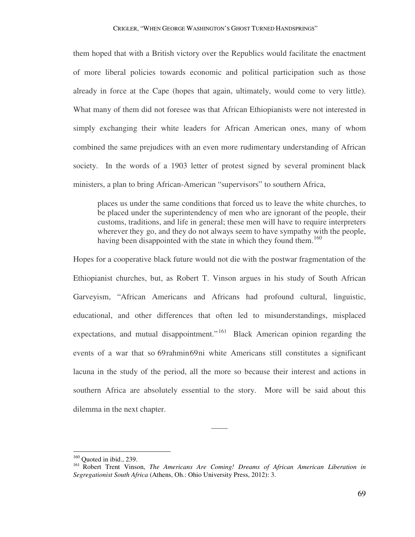them hoped that with a British victory over the Republics would facilitate the enactment of more liberal policies towards economic and political participation such as those already in force at the Cape (hopes that again, ultimately, would come to very little). What many of them did not foresee was that African Ethiopianists were not interested in simply exchanging their white leaders for African American ones, many of whom combined the same prejudices with an even more rudimentary understanding of African society. In the words of a 1903 letter of protest signed by several prominent black ministers, a plan to bring African-American "supervisors" to southern Africa,

places us under the same conditions that forced us to leave the white churches, to be placed under the superintendency of men who are ignorant of the people, their customs, traditions, and life in general; these men will have to require interpreters wherever they go, and they do not always seem to have sympathy with the people, having been disappointed with the state in which they found them.<sup>160</sup>

Hopes for a cooperative black future would not die with the postwar fragmentation of the Ethiopianist churches, but, as Robert T. Vinson argues in his study of South African Garveyism, "African Americans and Africans had profound cultural, linguistic, educational, and other differences that often led to misunderstandings, misplaced expectations, and mutual disappointment."<sup>161</sup> Black American opinion regarding the events of a war that so 69rahmin69ni white Americans still constitutes a significant lacuna in the study of the period, all the more so because their interest and actions in southern Africa are absolutely essential to the story. More will be said about this dilemma in the next chapter.

 $\overline{a}$ 

——

 $160$  Quoted in ibid., 239.

<sup>161</sup> Robert Trent Vinson, *The Americans Are Coming! Dreams of African American Liberation in Segregationist South Africa* (Athens, Oh.: Ohio University Press, 2012): 3.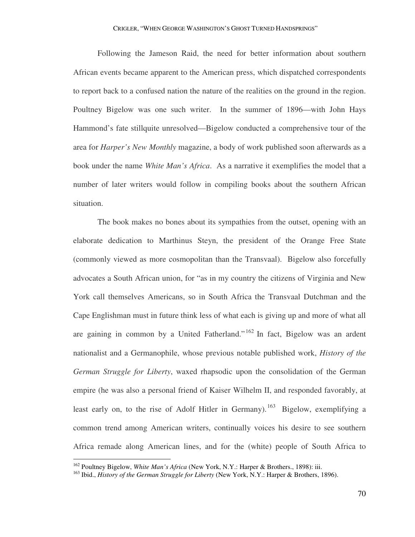Following the Jameson Raid, the need for better information about southern African events became apparent to the American press, which dispatched correspondents to report back to a confused nation the nature of the realities on the ground in the region. Poultney Bigelow was one such writer. In the summer of 1896—with John Hays Hammond's fate stillquite unresolved—Bigelow conducted a comprehensive tour of the area for *Harper's New Monthly* magazine, a body of work published soon afterwards as a book under the name *White Man's Africa*. As a narrative it exemplifies the model that a number of later writers would follow in compiling books about the southern African situation.

 The book makes no bones about its sympathies from the outset, opening with an elaborate dedication to Marthinus Steyn, the president of the Orange Free State (commonly viewed as more cosmopolitan than the Transvaal). Bigelow also forcefully advocates a South African union, for "as in my country the citizens of Virginia and New York call themselves Americans, so in South Africa the Transvaal Dutchman and the Cape Englishman must in future think less of what each is giving up and more of what all are gaining in common by a United Fatherland."  $162$  In fact, Bigelow was an ardent nationalist and a Germanophile, whose previous notable published work, *History of the German Struggle for Liberty*, waxed rhapsodic upon the consolidation of the German empire (he was also a personal friend of Kaiser Wilhelm II, and responded favorably, at least early on, to the rise of Adolf Hitler in Germany).<sup>163</sup> Bigelow, exemplifying a common trend among American writers, continually voices his desire to see southern Africa remade along American lines, and for the (white) people of South Africa to

<sup>162</sup> Poultney Bigelow, *White Man's Africa* (New York, N.Y.: Harper & Brothers., 1898): iii.

<sup>163</sup> Ibid., *History of the German Struggle for Liberty* (New York, N.Y.: Harper & Brothers, 1896).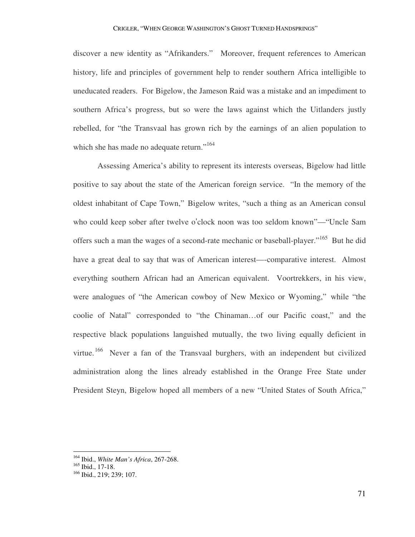## CRIGLER, "WHEN GEORGE WASHINGTON'S GHOST TURNED HANDSPRINGS"

discover a new identity as "Afrikanders." Moreover, frequent references to American history, life and principles of government help to render southern Africa intelligible to uneducated readers. For Bigelow, the Jameson Raid was a mistake and an impediment to southern Africa's progress, but so were the laws against which the Uitlanders justly rebelled, for "the Transvaal has grown rich by the earnings of an alien population to which she has made no adequate return."<sup>164</sup>

 Assessing America's ability to represent its interests overseas, Bigelow had little positive to say about the state of the American foreign service. "In the memory of the oldest inhabitant of Cape Town," Bigelow writes, "such a thing as an American consul who could keep sober after twelve o'clock noon was too seldom known"—"Uncle Sam offers such a man the wages of a second-rate mechanic or baseball-player."<sup>165</sup> But he did have a great deal to say that was of American interest—-comparative interest. Almost everything southern African had an American equivalent. Voortrekkers, in his view, were analogues of "the American cowboy of New Mexico or Wyoming," while "the coolie of Natal" corresponded to "the Chinaman…of our Pacific coast," and the respective black populations languished mutually, the two living equally deficient in virtue.<sup>166</sup> Never a fan of the Transvaal burghers, with an independent but civilized administration along the lines already established in the Orange Free State under President Steyn, Bigelow hoped all members of a new "United States of South Africa,"

<sup>164</sup> Ibid., *White Man's Africa*, 267-268.

<sup>165</sup> Ibid., 17-18.

<sup>166</sup> Ibid., 219; 239; 107.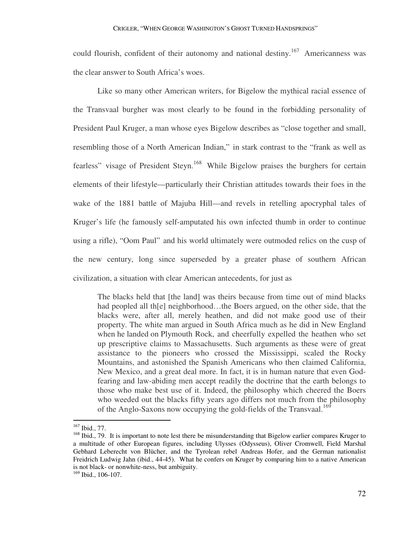could flourish, confident of their autonomy and national destiny.<sup>167</sup> Americanness was the clear answer to South Africa's woes.

 Like so many other American writers, for Bigelow the mythical racial essence of the Transvaal burgher was most clearly to be found in the forbidding personality of President Paul Kruger, a man whose eyes Bigelow describes as "close together and small, resembling those of a North American Indian," in stark contrast to the "frank as well as fearless" visage of President Steyn.<sup>168</sup> While Bigelow praises the burghers for certain elements of their lifestyle—particularly their Christian attitudes towards their foes in the wake of the 1881 battle of Majuba Hill—and revels in retelling apocryphal tales of Kruger's life (he famously self-amputated his own infected thumb in order to continue using a rifle), "Oom Paul" and his world ultimately were outmoded relics on the cusp of the new century, long since superseded by a greater phase of southern African civilization, a situation with clear American antecedents, for just as

The blacks held that [the land] was theirs because from time out of mind blacks had peopled all the l neighborhood...the Boers argued, on the other side, that the blacks were, after all, merely heathen, and did not make good use of their property. The white man argued in South Africa much as he did in New England when he landed on Plymouth Rock, and cheerfully expelled the heathen who set up prescriptive claims to Massachusetts. Such arguments as these were of great assistance to the pioneers who crossed the Mississippi, scaled the Rocky Mountains, and astonished the Spanish Americans who then claimed California, New Mexico, and a great deal more. In fact, it is in human nature that even Godfearing and law-abiding men accept readily the doctrine that the earth belongs to those who make best use of it. Indeed, the philosophy which cheered the Boers who weeded out the blacks fifty years ago differs not much from the philosophy of the Anglo-Saxons now occupying the gold-fields of the Transvaal.<sup>169</sup>

<sup>167</sup> Ibid., 77.

<sup>&</sup>lt;sup>168</sup> Ibid., 79. It is important to note lest there be misunderstanding that Bigelow earlier compares Kruger to a multitude of other European figures, including Ulysses (Odysseus), Oliver Cromwell, Field Marshal Gebhard Leberecht von Blücher, and the Tyrolean rebel Andreas Hofer, and the German nationalist Freidrich Ludwig Jahn (ibid., 44-45). What he confers on Kruger by comparing him to a native American is not black- or nonwhite-ness, but ambiguity.

<sup>169</sup> Ibid., 106-107.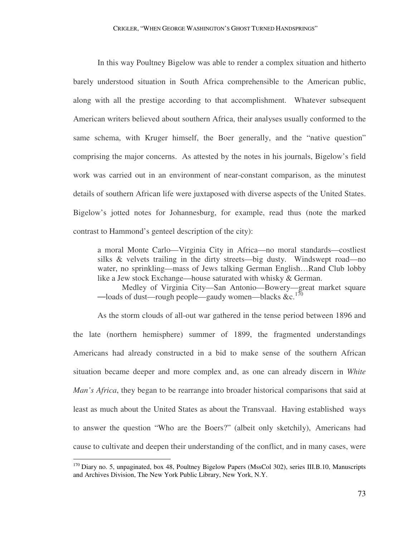In this way Poultney Bigelow was able to render a complex situation and hitherto barely understood situation in South Africa comprehensible to the American public, along with all the prestige according to that accomplishment. Whatever subsequent American writers believed about southern Africa, their analyses usually conformed to the same schema, with Kruger himself, the Boer generally, and the "native question" comprising the major concerns. As attested by the notes in his journals, Bigelow's field work was carried out in an environment of near-constant comparison, as the minutest details of southern African life were juxtaposed with diverse aspects of the United States. Bigelow's jotted notes for Johannesburg, for example, read thus (note the marked contrast to Hammond's genteel description of the city):

a moral Monte Carlo—Virginia City in Africa—no moral standards—costliest silks & velvets trailing in the dirty streets—big dusty. Windswept road—no water, no sprinkling—mass of Jews talking German English…Rand Club lobby like a Jew stock Exchange—house saturated with whisky & German.

Medley of Virginia City—San Antonio—Bowery—great market square —loads of dust—rough people—gaudy women—blacks  $&c.^{170}$ 

 As the storm clouds of all-out war gathered in the tense period between 1896 and the late (northern hemisphere) summer of 1899, the fragmented understandings Americans had already constructed in a bid to make sense of the southern African situation became deeper and more complex and, as one can already discern in *White Man's Africa*, they began to be rearrange into broader historical comparisons that said at least as much about the United States as about the Transvaal. Having established ways to answer the question "Who are the Boers?" (albeit only sketchily), Americans had cause to cultivate and deepen their understanding of the conflict, and in many cases, were

<sup>&</sup>lt;sup>170</sup> Diary no. 5, unpaginated, box 48, Poultney Bigelow Papers (MssCol 302), series III.B.10, Manuscripts and Archives Division, The New York Public Library, New York, N.Y.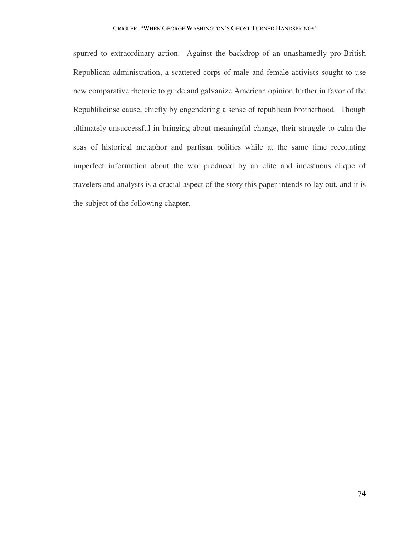## CRIGLER, "WHEN GEORGE WASHINGTON'S GHOST TURNED HANDSPRINGS"

spurred to extraordinary action. Against the backdrop of an unashamedly pro-British Republican administration, a scattered corps of male and female activists sought to use new comparative rhetoric to guide and galvanize American opinion further in favor of the Republikeinse cause, chiefly by engendering a sense of republican brotherhood. Though ultimately unsuccessful in bringing about meaningful change, their struggle to calm the seas of historical metaphor and partisan politics while at the same time recounting imperfect information about the war produced by an elite and incestuous clique of travelers and analysts is a crucial aspect of the story this paper intends to lay out, and it is the subject of the following chapter.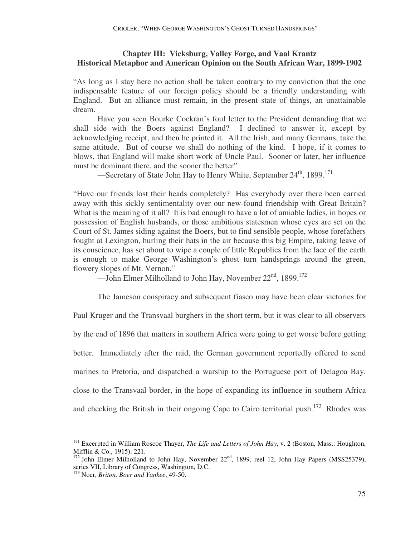## **Chapter III: Vicksburg, Valley Forge, and Vaal Krantz Historical Metaphor and American Opinion on the South African War, 1899-1902**

"As long as I stay here no action shall be taken contrary to my conviction that the one indispensable feature of our foreign policy should be a friendly understanding with England. But an alliance must remain, in the present state of things, an unattainable dream.

 Have you seen Bourke Cockran's foul letter to the President demanding that we shall side with the Boers against England? I declined to answer it, except by acknowledging receipt, and then he printed it. All the Irish, and many Germans, take the same attitude. But of course we shall do nothing of the kind. I hope, if it comes to blows, that England will make short work of Uncle Paul. Sooner or later, her influence must be dominant there, and the sooner the better"

—Secretary of State John Hay to Henry White, September 24<sup>th</sup>, 1899.<sup>171</sup>

"Have our friends lost their heads completely? Has everybody over there been carried away with this sickly sentimentality over our new-found friendship with Great Britain? What is the meaning of it all? It is bad enough to have a lot of amiable ladies, in hopes or possession of English husbands, or those ambitious statesmen whose eyes are set on the Court of St. James siding against the Boers, but to find sensible people, whose forefathers fought at Lexington, hurling their hats in the air because this big Empire, taking leave of its conscience, has set about to wipe a couple of little Republics from the face of the earth is enough to make George Washington's ghost turn handsprings around the green, flowery slopes of Mt. Vernon."

—John Elmer Milholland to John Hay, November  $22<sup>nd</sup>$ , 1899.<sup>172</sup>

 The Jameson conspiracy and subsequent fiasco may have been clear victories for Paul Kruger and the Transvaal burghers in the short term, but it was clear to all observers by the end of 1896 that matters in southern Africa were going to get worse before getting better. Immediately after the raid, the German government reportedly offered to send marines to Pretoria, and dispatched a warship to the Portuguese port of Delagoa Bay, close to the Transvaal border, in the hope of expanding its influence in southern Africa and checking the British in their ongoing Cape to Cairo territorial push.<sup>173</sup> Rhodes was

<sup>&</sup>lt;sup>171</sup> Excerpted in William Roscoe Thayer, *The Life and Letters of John Hay*, v. 2 (Boston, Mass.: Houghton, Mifflin & Co., 1915): 221.

<sup>&</sup>lt;sup>172</sup> John Elmer Milholland to John Hay, November 22<sup>nd</sup>, 1899, reel 12, John Hay Papers (MSS25379), series VII, Library of Congress, Washington, D.C.

<sup>173</sup> Noer, *Briton, Boer and Yankee*, 49-50.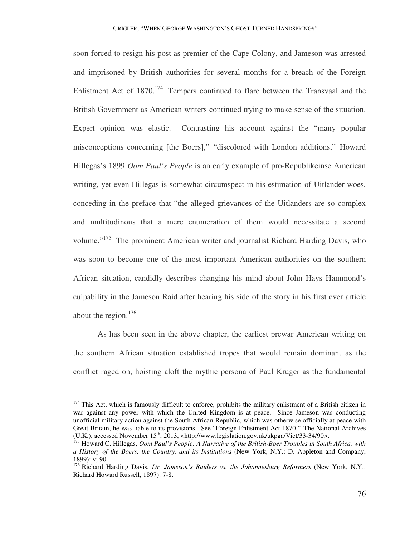soon forced to resign his post as premier of the Cape Colony, and Jameson was arrested and imprisoned by British authorities for several months for a breach of the Foreign Enlistment Act of  $1870$ <sup> $174$ </sup> Tempers continued to flare between the Transvaal and the British Government as American writers continued trying to make sense of the situation. Expert opinion was elastic. Contrasting his account against the "many popular misconceptions concerning [the Boers]," "discolored with London additions," Howard Hillegas's 1899 *Oom Paul's People* is an early example of pro-Republikeinse American writing, yet even Hillegas is somewhat circumspect in his estimation of Uitlander woes, conceding in the preface that "the alleged grievances of the Uitlanders are so complex and multitudinous that a mere enumeration of them would necessitate a second volume."<sup>175</sup> The prominent American writer and journalist Richard Harding Davis, who was soon to become one of the most important American authorities on the southern African situation, candidly describes changing his mind about John Hays Hammond's culpability in the Jameson Raid after hearing his side of the story in his first ever article about the region.<sup>176</sup>

 As has been seen in the above chapter, the earliest prewar American writing on the southern African situation established tropes that would remain dominant as the conflict raged on, hoisting aloft the mythic persona of Paul Kruger as the fundamental

<sup>&</sup>lt;sup>174</sup> This Act, which is famously difficult to enforce, prohibits the military enlistment of a British citizen in war against any power with which the United Kingdom is at peace. Since Jameson was conducting unofficial military action against the South African Republic, which was otherwise officially at peace with Great Britain, he was liable to its provisions. See "Foreign Enlistment Act 1870," The National Archives (U.K.), accessed November 15<sup>th</sup>, 2013, <http://www.legislation.gov.uk/ukpga/Vict/33-34/90>.

<sup>175</sup> Howard C. Hillegas, *Oom Paul's People: A Narrative of the British-Boer Troubles in South Africa, with a History of the Boers, the Country, and its Institutions* (New York, N.Y.: D. Appleton and Company, 1899): v; 90.

<sup>&</sup>lt;sup>176</sup> Richard Harding Davis, *Dr. Jameson's Raiders vs. the Johannesburg Reformers* (New York, N.Y.: Richard Howard Russell, 1897): 7-8.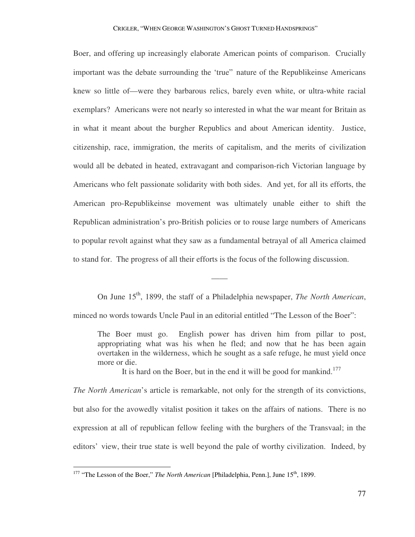Boer, and offering up increasingly elaborate American points of comparison. Crucially important was the debate surrounding the 'true" nature of the Republikeinse Americans knew so little of—were they barbarous relics, barely even white, or ultra-white racial exemplars? Americans were not nearly so interested in what the war meant for Britain as in what it meant about the burgher Republics and about American identity. Justice, citizenship, race, immigration, the merits of capitalism, and the merits of civilization would all be debated in heated, extravagant and comparison-rich Victorian language by Americans who felt passionate solidarity with both sides. And yet, for all its efforts, the American pro-Republikeinse movement was ultimately unable either to shift the Republican administration's pro-British policies or to rouse large numbers of Americans to popular revolt against what they saw as a fundamental betrayal of all America claimed to stand for. The progress of all their efforts is the focus of the following discussion.

On June 15<sup>th</sup>, 1899, the staff of a Philadelphia newspaper, *The North American*, minced no words towards Uncle Paul in an editorial entitled "The Lesson of the Boer":

——

The Boer must go. English power has driven him from pillar to post, appropriating what was his when he fled; and now that he has been again overtaken in the wilderness, which he sought as a safe refuge, he must yield once more or die.

It is hard on the Boer, but in the end it will be good for mankind.<sup>177</sup>

*The North American*'s article is remarkable, not only for the strength of its convictions, but also for the avowedly vitalist position it takes on the affairs of nations. There is no expression at all of republican fellow feeling with the burghers of the Transvaal; in the editors' view, their true state is well beyond the pale of worthy civilization. Indeed, by

<sup>&</sup>lt;sup>177</sup> "The Lesson of the Boer," *The North American* [Philadelphia, Penn.], June 15<sup>th</sup>, 1899.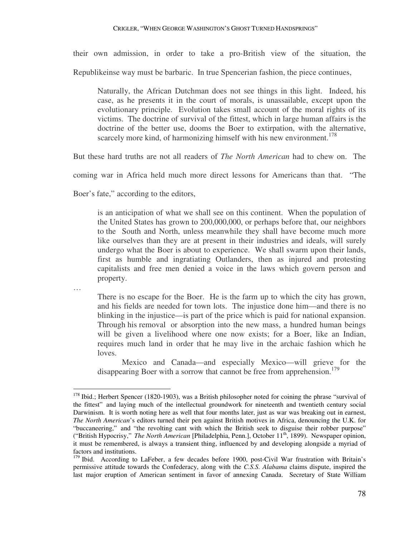their own admission, in order to take a pro-British view of the situation, the

Republikeinse way must be barbaric. In true Spencerian fashion, the piece continues,

Naturally, the African Dutchman does not see things in this light. Indeed, his case, as he presents it in the court of morals, is unassailable, except upon the evolutionary principle. Evolution takes small account of the moral rights of its victims. The doctrine of survival of the fittest, which in large human affairs is the doctrine of the better use, dooms the Boer to extirpation, with the alternative, scarcely more kind, of harmonizing himself with his new environment.<sup>178</sup>

But these hard truths are not all readers of *The North American* had to chew on. The

coming war in Africa held much more direct lessons for Americans than that. "The

Boer's fate," according to the editors,

is an anticipation of what we shall see on this continent. When the population of the United States has grown to 200,000,000, or perhaps before that, our neighbors to the South and North, unless meanwhile they shall have become much more like ourselves than they are at present in their industries and ideals, will surely undergo what the Boer is about to experience. We shall swarm upon their lands, first as humble and ingratiating Outlanders, then as injured and protesting capitalists and free men denied a voice in the laws which govern person and property.

…

There is no escape for the Boer. He is the farm up to which the city has grown, and his fields are needed for town lots. The injustice done him—and there is no blinking in the injustice—is part of the price which is paid for national expansion. Through his removal or absorption into the new mass, a hundred human beings will be given a livelihood where one now exists; for a Boer, like an Indian, requires much land in order that he may live in the archaic fashion which he loves.

Mexico and Canada—and especially Mexico—will grieve for the disappearing Boer with a sorrow that cannot be free from apprehension.<sup>179</sup>

 $\overline{a}$ <sup>178</sup> Ibid.; Herbert Spencer (1820-1903), was a British philosopher noted for coining the phrase "survival of the fittest" and laying much of the intellectual groundwork for nineteenth and twentieth century social Darwinism. It is worth noting here as well that four months later, just as war was breaking out in earnest, *The North American*'s editors turned their pen against British motives in Africa, denouncing the U.K. for "buccaneering," and "the revolting cant with which the British seek to disguise their robber purpose" ("British Hypocrisy," *The North American* [Philadelphia, Penn.], October 11th, 1899). Newspaper opinion, it must be remembered, is always a transient thing, influenced by and developing alongside a myriad of factors and institutions.

 $179$  Ibid. According to LaFeber, a few decades before 1900, post-Civil War frustration with Britain's permissive attitude towards the Confederacy, along with the *C.S.S. Alabama* claims dispute, inspired the last major eruption of American sentiment in favor of annexing Canada. Secretary of State William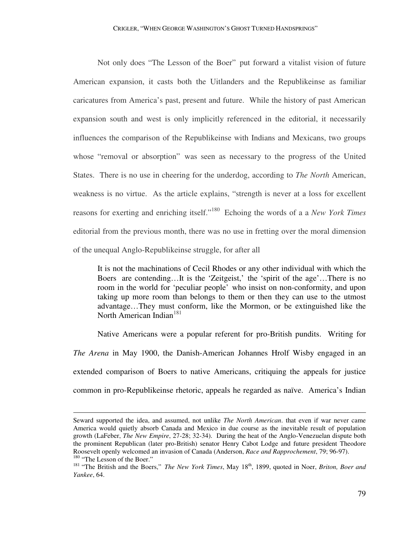Not only does "The Lesson of the Boer" put forward a vitalist vision of future American expansion, it casts both the Uitlanders and the Republikeinse as familiar caricatures from America's past, present and future. While the history of past American expansion south and west is only implicitly referenced in the editorial, it necessarily influences the comparison of the Republikeinse with Indians and Mexicans, two groups whose "removal or absorption" was seen as necessary to the progress of the United States. There is no use in cheering for the underdog, according to *The North* American, weakness is no virtue. As the article explains, "strength is never at a loss for excellent reasons for exerting and enriching itself."<sup>180</sup> Echoing the words of a a *New York Times* editorial from the previous month, there was no use in fretting over the moral dimension of the unequal Anglo-Republikeinse struggle, for after all

It is not the machinations of Cecil Rhodes or any other individual with which the Boers are contending…It is the 'Zeitgeist,' the 'spirit of the age'…There is no room in the world for 'peculiar people' who insist on non-conformity, and upon taking up more room than belongs to them or then they can use to the utmost advantage…They must conform, like the Mormon, or be extinguished like the North American Indian<sup>181</sup>

 Native Americans were a popular referent for pro-British pundits. Writing for *The Arena* in May 1900, the Danish-American Johannes Hrolf Wisby engaged in an extended comparison of Boers to native Americans, critiquing the appeals for justice common in pro-Republikeinse rhetoric, appeals he regarded as naïve. America's Indian

-

Seward supported the idea, and assumed, not unlike *The North American*. that even if war never came America would quietly absorb Canada and Mexico in due course as the inevitable result of population growth (LaFeber, *The New Empire*, 27-28; 32-34). During the heat of the Anglo-Venezuelan dispute both the prominent Republican (later pro-British) senator Henry Cabot Lodge and future president Theodore Roosevelt openly welcomed an invasion of Canada (Anderson, *Race and Rapprochement*, 79; 96-97). <sup>180</sup> "The Lesson of the Boer."

<sup>&</sup>lt;sup>181</sup> "The British and the Boers," *The New York Times*, May 18<sup>th</sup>, 1899, quoted in Noer, *Briton, Boer and Yankee*, 64.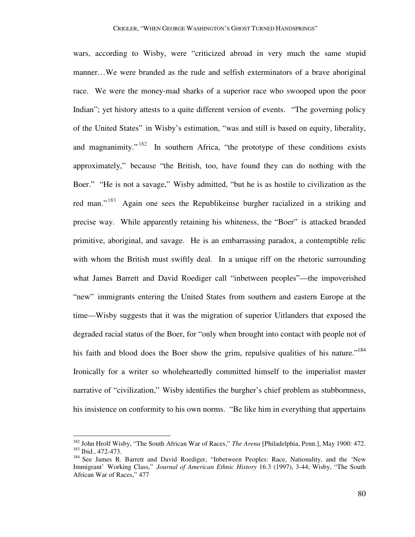wars, according to Wisby, were "criticized abroad in very much the same stupid manner…We were branded as the rude and selfish exterminators of a brave aboriginal race. We were the money-mad sharks of a superior race who swooped upon the poor Indian"; yet history attests to a quite different version of events. "The governing policy of the United States" in Wisby's estimation, "was and still is based on equity, liberality, and magnanimity."<sup>182</sup> In southern Africa, "the prototype of these conditions exists approximately," because "the British, too, have found they can do nothing with the Boer." "He is not a savage," Wisby admitted, "but he is as hostile to civilization as the red man."<sup>183</sup> Again one sees the Republikeinse burgher racialized in a striking and precise way. While apparently retaining his whiteness, the "Boer" is attacked branded primitive, aboriginal, and savage. He is an embarrassing paradox, a contemptible relic with whom the British must swiftly deal. In a unique riff on the rhetoric surrounding what James Barrett and David Roediger call "inbetween peoples"—the impoverished "new" immigrants entering the United States from southern and eastern Europe at the time—Wisby suggests that it was the migration of superior Uitlanders that exposed the degraded racial status of the Boer, for "only when brought into contact with people not of his faith and blood does the Boer show the grim, repulsive qualities of his nature."<sup>184</sup> Ironically for a writer so wholeheartedly committed himself to the imperialist master narrative of "civilization," Wisby identifies the burgher's chief problem as stubbornness, his insistence on conformity to his own norms. "Be like him in everything that appertains

-

<sup>182</sup> John Hrolf Wisby, "The South African War of Races," *The Arena* [Philadelphia, Penn.], May 1900: 472. <sup>183</sup> Ibid., 472-473.

<sup>&</sup>lt;sup>184</sup> See James R. Barrett and David Roediger, "Inbetween Peoples: Race, Nationality, and the 'New Immigrant' Working Class," *Journal of American Ethnic History* 16.3 (1997), 3-44; Wisby, "The South African War of Races," 477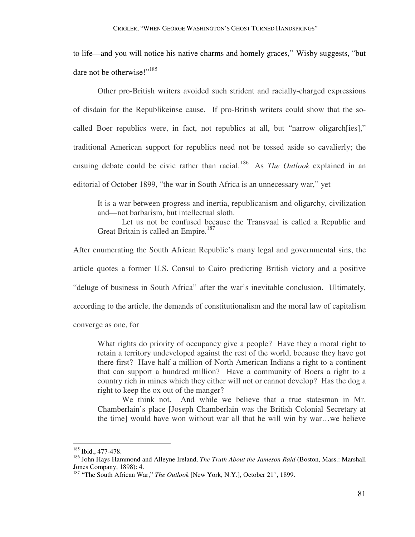to life—and you will notice his native charms and homely graces," Wisby suggests, "but dare not be otherwise!"<sup>185</sup>

 Other pro-British writers avoided such strident and racially-charged expressions of disdain for the Republikeinse cause. If pro-British writers could show that the socalled Boer republics were, in fact, not republics at all, but "narrow oligarch[ies]," traditional American support for republics need not be tossed aside so cavalierly; the ensuing debate could be civic rather than racial.<sup>186</sup> As *The Outlook* explained in an editorial of October 1899, "the war in South Africa is an unnecessary war," yet

It is a war between progress and inertia, republicanism and oligarchy, civilization and—not barbarism, but intellectual sloth.

Let us not be confused because the Transvaal is called a Republic and Great Britain is called an Empire.<sup>187</sup>

After enumerating the South African Republic's many legal and governmental sins, the article quotes a former U.S. Consul to Cairo predicting British victory and a positive "deluge of business in South Africa" after the war's inevitable conclusion. Ultimately, according to the article, the demands of constitutionalism and the moral law of capitalism converge as one, for

What rights do priority of occupancy give a people? Have they a moral right to retain a territory undeveloped against the rest of the world, because they have got there first? Have half a million of North American Indians a right to a continent that can support a hundred million? Have a community of Boers a right to a country rich in mines which they either will not or cannot develop? Has the dog a right to keep the ox out of the manger?

We think not. And while we believe that a true statesman in Mr. Chamberlain's place [Joseph Chamberlain was the British Colonial Secretary at the time] would have won without war all that he will win by war…we believe

<sup>&</sup>lt;sup>185</sup> Ibid., 477-478.

<sup>186</sup> John Hays Hammond and Alleyne Ireland, *The Truth About the Jameson Raid* (Boston, Mass.: Marshall Jones Company, 1898): 4.

<sup>&</sup>lt;sup>187</sup> "The South African War," *The Outlook* [New York, N.Y.], October 21<sup>st</sup>, 1899.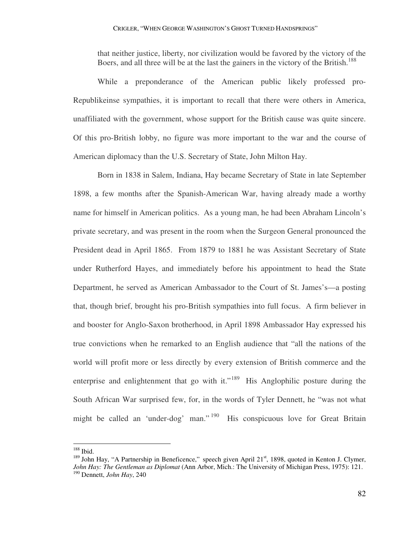that neither justice, liberty, nor civilization would be favored by the victory of the Boers, and all three will be at the last the gainers in the victory of the British.<sup>188</sup>

 While a preponderance of the American public likely professed pro-Republikeinse sympathies, it is important to recall that there were others in America, unaffiliated with the government, whose support for the British cause was quite sincere. Of this pro-British lobby, no figure was more important to the war and the course of American diplomacy than the U.S. Secretary of State, John Milton Hay.

 Born in 1838 in Salem, Indiana, Hay became Secretary of State in late September 1898, a few months after the Spanish-American War, having already made a worthy name for himself in American politics. As a young man, he had been Abraham Lincoln's private secretary, and was present in the room when the Surgeon General pronounced the President dead in April 1865. From 1879 to 1881 he was Assistant Secretary of State under Rutherford Hayes, and immediately before his appointment to head the State Department, he served as American Ambassador to the Court of St. James's—a posting that, though brief, brought his pro-British sympathies into full focus. A firm believer in and booster for Anglo-Saxon brotherhood, in April 1898 Ambassador Hay expressed his true convictions when he remarked to an English audience that "all the nations of the world will profit more or less directly by every extension of British commerce and the enterprise and enlightenment that go with it."<sup>189</sup> His Anglophilic posture during the South African War surprised few, for, in the words of Tyler Dennett, he "was not what might be called an 'under-dog' man."<sup>190</sup> His conspicuous love for Great Britain

<sup>188</sup> Ibid.

 $189$  John Hay, "A Partnership in Beneficence," speech given April 21<sup>st</sup>, 1898, quoted in Kenton J. Clymer, *John Hay: The Gentleman as Diplomat* (Ann Arbor, Mich.: The University of Michigan Press, 1975): 121. <sup>190</sup> Dennett, *John Hay*, 240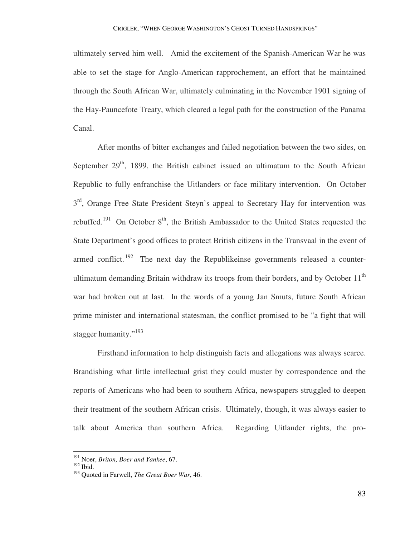ultimately served him well. Amid the excitement of the Spanish-American War he was able to set the stage for Anglo-American rapprochement, an effort that he maintained through the South African War, ultimately culminating in the November 1901 signing of the Hay-Pauncefote Treaty, which cleared a legal path for the construction of the Panama Canal.

 After months of bitter exchanges and failed negotiation between the two sides, on September  $29<sup>th</sup>$ , 1899, the British cabinet issued an ultimatum to the South African Republic to fully enfranchise the Uitlanders or face military intervention. On October 3<sup>rd</sup>, Orange Free State President Steyn's appeal to Secretary Hay for intervention was rebuffed.<sup>191</sup> On October  $8<sup>th</sup>$ , the British Ambassador to the United States requested the State Department's good offices to protect British citizens in the Transvaal in the event of armed conflict.  $192$  The next day the Republikeinse governments released a counterultimatum demanding Britain withdraw its troops from their borders, and by October  $11<sup>th</sup>$ war had broken out at last. In the words of a young Jan Smuts, future South African prime minister and international statesman, the conflict promised to be "a fight that will stagger humanity."<sup>193</sup>

 Firsthand information to help distinguish facts and allegations was always scarce. Brandishing what little intellectual grist they could muster by correspondence and the reports of Americans who had been to southern Africa, newspapers struggled to deepen their treatment of the southern African crisis. Ultimately, though, it was always easier to talk about America than southern Africa. Regarding Uitlander rights, the pro-

<sup>191</sup> Noer, *Briton, Boer and Yankee*, 67.

<sup>192</sup> Ibid.

<sup>193</sup> Quoted in Farwell, *The Great Boer War*, 46.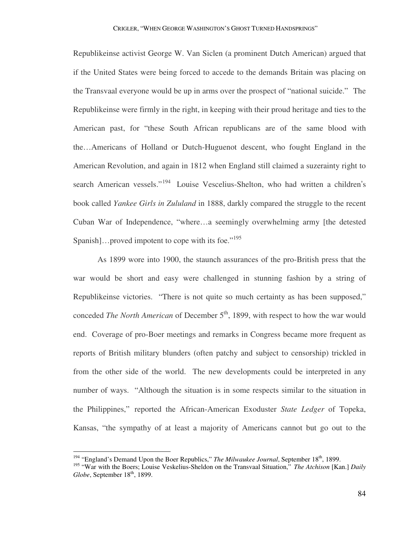Republikeinse activist George W. Van Siclen (a prominent Dutch American) argued that if the United States were being forced to accede to the demands Britain was placing on the Transvaal everyone would be up in arms over the prospect of "national suicide." The Republikeinse were firmly in the right, in keeping with their proud heritage and ties to the American past, for "these South African republicans are of the same blood with the…Americans of Holland or Dutch-Huguenot descent, who fought England in the American Revolution, and again in 1812 when England still claimed a suzerainty right to search American vessels."<sup>194</sup> Louise Vescelius-Shelton, who had written a children's book called *Yankee Girls in Zululand* in 1888, darkly compared the struggle to the recent Cuban War of Independence, "where…a seemingly overwhelming army [the detested Spanish]...proved impotent to cope with its foe."<sup>195</sup>

 As 1899 wore into 1900, the staunch assurances of the pro-British press that the war would be short and easy were challenged in stunning fashion by a string of Republikeinse victories. "There is not quite so much certainty as has been supposed," conceded *The North American* of December 5<sup>th</sup>, 1899, with respect to how the war would end. Coverage of pro-Boer meetings and remarks in Congress became more frequent as reports of British military blunders (often patchy and subject to censorship) trickled in from the other side of the world. The new developments could be interpreted in any number of ways. "Although the situation is in some respects similar to the situation in the Philippines," reported the African-American Exoduster *State Ledger* of Topeka, Kansas, "the sympathy of at least a majority of Americans cannot but go out to the

<sup>&</sup>lt;sup>194</sup> "England's Demand Upon the Boer Republics," *The Milwaukee Journal*, September 18<sup>th</sup>, 1899.

<sup>&</sup>lt;sup>195</sup> "War with the Boers; Louise Veskelius-Sheldon on the Transvaal Situation," *The Atchison* [Kan.] *Daily Globe*, September 18<sup>th</sup>, 1899.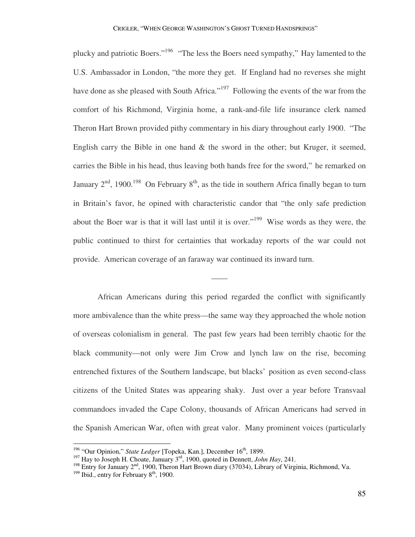plucky and patriotic Boers."<sup>196</sup> "The less the Boers need sympathy," Hay lamented to the U.S. Ambassador in London, "the more they get. If England had no reverses she might have done as she pleased with South Africa."<sup>197</sup> Following the events of the war from the comfort of his Richmond, Virginia home, a rank-and-file life insurance clerk named Theron Hart Brown provided pithy commentary in his diary throughout early 1900. "The English carry the Bible in one hand  $\&$  the sword in the other; but Kruger, it seemed, carries the Bible in his head, thus leaving both hands free for the sword," he remarked on January  $2<sup>nd</sup>$ , 1900.<sup>198</sup> On February  $8<sup>th</sup>$ , as the tide in southern Africa finally began to turn in Britain's favor, he opined with characteristic candor that "the only safe prediction about the Boer war is that it will last until it is over."<sup>199</sup> Wise words as they were, the public continued to thirst for certainties that workaday reports of the war could not provide. American coverage of an faraway war continued its inward turn.

 African Americans during this period regarded the conflict with significantly more ambivalence than the white press—the same way they approached the whole notion of overseas colonialism in general. The past few years had been terribly chaotic for the black community—not only were Jim Crow and lynch law on the rise, becoming entrenched fixtures of the Southern landscape, but blacks' position as even second-class citizens of the United States was appearing shaky. Just over a year before Transvaal commandoes invaded the Cape Colony, thousands of African Americans had served in the Spanish American War, often with great valor. Many prominent voices (particularly

——

<sup>&</sup>lt;sup>196</sup> "Our Opinion," *State Ledger* [Topeka, Kan.], December 16<sup>th</sup>, 1899.

<sup>197</sup> Hay to Joseph H. Choate, January 3rd, 1900, quoted in Dennett, *John Hay*, 241.

<sup>&</sup>lt;sup>198</sup> Entry for January  $2<sup>nd</sup>$ , 1900, Theron Hart Brown diary (37034), Library of Virginia, Richmond, Va.

 $199$  Ibid., entry for February  $8<sup>th</sup>$ , 1900.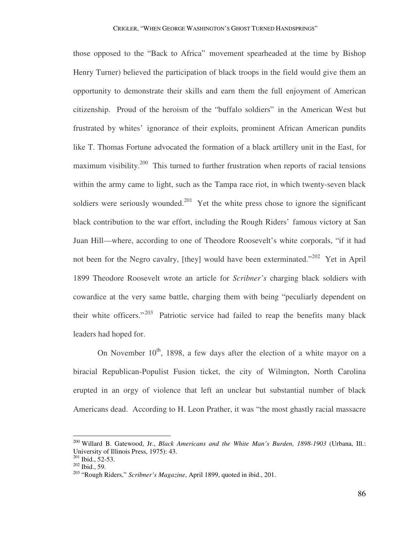those opposed to the "Back to Africa" movement spearheaded at the time by Bishop Henry Turner) believed the participation of black troops in the field would give them an opportunity to demonstrate their skills and earn them the full enjoyment of American citizenship. Proud of the heroism of the "buffalo soldiers" in the American West but frustrated by whites' ignorance of their exploits, prominent African American pundits like T. Thomas Fortune advocated the formation of a black artillery unit in the East, for maximum visibility.<sup>200</sup> This turned to further frustration when reports of racial tensions within the army came to light, such as the Tampa race riot, in which twenty-seven black soldiers were seriously wounded.<sup>201</sup> Yet the white press chose to ignore the significant black contribution to the war effort, including the Rough Riders' famous victory at San Juan Hill—where, according to one of Theodore Roosevelt's white corporals, "if it had not been for the Negro cavalry, [they] would have been exterminated."<sup>202</sup> Yet in April 1899 Theodore Roosevelt wrote an article for *Scribner's* charging black soldiers with cowardice at the very same battle, charging them with being "peculiarly dependent on their white officers."<sup>203</sup> Patriotic service had failed to reap the benefits many black leaders had hoped for.

On November  $10^{th}$ , 1898, a few days after the election of a white mayor on a biracial Republican-Populist Fusion ticket, the city of Wilmington, North Carolina erupted in an orgy of violence that left an unclear but substantial number of black Americans dead. According to H. Leon Prather, it was "the most ghastly racial massacre

<sup>200</sup> Willard B. Gatewood, Jr., *Black Americans and the White Man's Burden, 1898-1903* (Urbana, Ill.: University of Illinois Press, 1975): 43.

 $201$  Ibid., 52-53.

<sup>202</sup> Ibid., 59.

<sup>203</sup> "Rough Riders," *Scribner's Magazine*, April 1899, quoted in ibid., 201.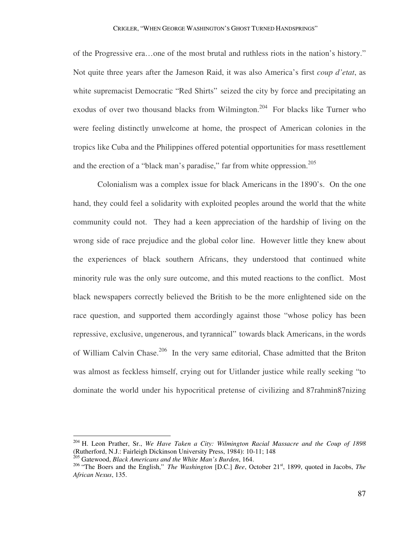of the Progressive era…one of the most brutal and ruthless riots in the nation's history." Not quite three years after the Jameson Raid, it was also America's first *coup d'etat*, as white supremacist Democratic "Red Shirts" seized the city by force and precipitating an exodus of over two thousand blacks from Wilmington.<sup>204</sup> For blacks like Turner who were feeling distinctly unwelcome at home, the prospect of American colonies in the tropics like Cuba and the Philippines offered potential opportunities for mass resettlement and the erection of a "black man's paradise," far from white oppression.<sup>205</sup>

 Colonialism was a complex issue for black Americans in the 1890's. On the one hand, they could feel a solidarity with exploited peoples around the world that the white community could not. They had a keen appreciation of the hardship of living on the wrong side of race prejudice and the global color line. However little they knew about the experiences of black southern Africans, they understood that continued white minority rule was the only sure outcome, and this muted reactions to the conflict. Most black newspapers correctly believed the British to be the more enlightened side on the race question, and supported them accordingly against those "whose policy has been repressive, exclusive, ungenerous, and tyrannical" towards black Americans, in the words of William Calvin Chase.<sup>206</sup> In the very same editorial, Chase admitted that the Briton was almost as feckless himself, crying out for Uitlander justice while really seeking "to dominate the world under his hypocritical pretense of civilizing and 87rahmin87nizing

<sup>204</sup> H. Leon Prather, Sr., *We Have Taken a City: Wilmington Racial Massacre and the Coup of 1898* (Rutherford, N.J.: Fairleigh Dickinson University Press, 1984): 10-11; 148

<sup>205</sup> Gatewood, *Black Americans and the White Man's Burden*, 164.

<sup>&</sup>lt;sup>206</sup> "The Boers and the English," *The Washington* [D.C.] *Bee*, October 21<sup>st</sup>, 1899, quoted in Jacobs, *The African Nexus*, 135.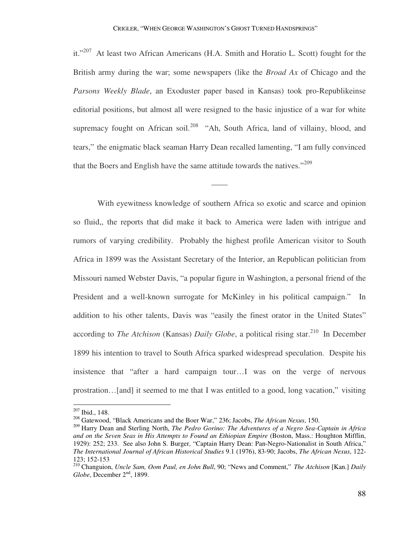it."<sup>207</sup> At least two African Americans (H.A. Smith and Horatio L. Scott) fought for the British army during the war; some newspapers (like the *Broad Ax* of Chicago and the *Parsons Weekly Blade*, an Exoduster paper based in Kansas) took pro-Republikeinse editorial positions, but almost all were resigned to the basic injustice of a war for white supremacy fought on African soil.<sup>208</sup> "Ah, South Africa, land of villainy, blood, and tears," the enigmatic black seaman Harry Dean recalled lamenting, "I am fully convinced that the Boers and English have the same attitude towards the natives."<sup>209</sup>

——

 With eyewitness knowledge of southern Africa so exotic and scarce and opinion so fluid,, the reports that did make it back to America were laden with intrigue and rumors of varying credibility. Probably the highest profile American visitor to South Africa in 1899 was the Assistant Secretary of the Interior, an Republican politician from Missouri named Webster Davis, "a popular figure in Washington, a personal friend of the President and a well-known surrogate for McKinley in his political campaign." In addition to his other talents, Davis was "easily the finest orator in the United States" according to *The Atchison* (Kansas) *Daily Globe*, a political rising star.<sup>210</sup> In December 1899 his intention to travel to South Africa sparked widespread speculation. Despite his insistence that "after a hard campaign tour…I was on the verge of nervous prostration…[and] it seemed to me that I was entitled to a good, long vacation," visiting

<sup>207</sup> Ibid., 148.

<sup>208</sup> Gatewood, "Black Americans and the Boer War," 236; Jacobs, *The African Nexus*, 150.

<sup>209</sup> Harry Dean and Sterling North, *The Pedro Gorino: The Adventures of a Negro Sea-Captain in Africa and on the Seven Seas in His Attempts to Found an Ethiopian Empire* (Boston, Mass.: Houghton Mifflin, 1929): 252; 233. See also John S. Burger, "Captain Harry Dean: Pan-Negro-Nationalist in South Africa," *The International Journal of African Historical Studies* 9.1 (1976), 83-90; Jacobs, *The African Nexus*, 122- 123; 152-153

<sup>210</sup> Changuion, *Uncle Sam, Oom Paul, en John Bull*, 90; "News and Comment," *The Atchison* [Kan.] *Daily Globe*, December 2<sup>nd</sup>, 1899.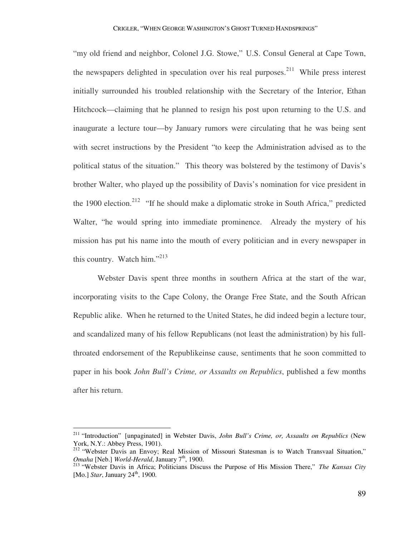"my old friend and neighbor, Colonel J.G. Stowe," U.S. Consul General at Cape Town, the newspapers delighted in speculation over his real purposes.<sup>211</sup> While press interest initially surrounded his troubled relationship with the Secretary of the Interior, Ethan Hitchcock—claiming that he planned to resign his post upon returning to the U.S. and inaugurate a lecture tour—by January rumors were circulating that he was being sent with secret instructions by the President "to keep the Administration advised as to the political status of the situation." This theory was bolstered by the testimony of Davis's brother Walter, who played up the possibility of Davis's nomination for vice president in the 1900 election.<sup>212</sup> "If he should make a diplomatic stroke in South Africa," predicted Walter, "he would spring into immediate prominence. Already the mystery of his mission has put his name into the mouth of every politician and in every newspaper in this country. Watch him."<sup>213</sup>

 Webster Davis spent three months in southern Africa at the start of the war, incorporating visits to the Cape Colony, the Orange Free State, and the South African Republic alike. When he returned to the United States, he did indeed begin a lecture tour, and scandalized many of his fellow Republicans (not least the administration) by his fullthroated endorsement of the Republikeinse cause, sentiments that he soon committed to paper in his book *John Bull's Crime, or Assaults on Republics*, published a few months after his return.

<sup>211</sup> "Introduction" [unpaginated] in Webster Davis, *John Bull's Crime, or, Assaults on Republics* (New York, N.Y.: Abbey Press, 1901).

<sup>&</sup>lt;sup>212</sup> "Webster Davis an Envoy; Real Mission of Missouri Statesman is to Watch Transvaal Situation," *Omaha* [Neb.] *World-Herald*, January 7<sup>th</sup>, 1900.

<sup>213</sup> "Webster Davis in Africa; Politicians Discuss the Purpose of His Mission There," *The Kansas City*  [Mo.] *Star*, January 24<sup>th</sup>, 1900.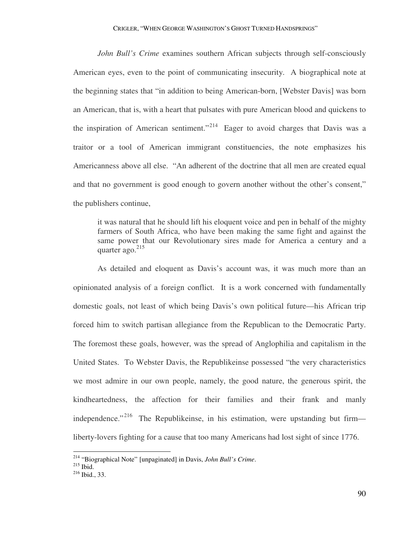*John Bull's Crime* examines southern African subjects through self-consciously American eyes, even to the point of communicating insecurity. A biographical note at the beginning states that "in addition to being American-born, [Webster Davis] was born an American, that is, with a heart that pulsates with pure American blood and quickens to the inspiration of American sentiment."<sup>214</sup> Eager to avoid charges that Davis was a traitor or a tool of American immigrant constituencies, the note emphasizes his Americanness above all else. "An adherent of the doctrine that all men are created equal and that no government is good enough to govern another without the other's consent," the publishers continue,

it was natural that he should lift his eloquent voice and pen in behalf of the mighty farmers of South Africa, who have been making the same fight and against the same power that our Revolutionary sires made for America a century and a quarter ago. $^{215}$ 

 As detailed and eloquent as Davis's account was, it was much more than an opinionated analysis of a foreign conflict. It is a work concerned with fundamentally domestic goals, not least of which being Davis's own political future—his African trip forced him to switch partisan allegiance from the Republican to the Democratic Party. The foremost these goals, however, was the spread of Anglophilia and capitalism in the United States. To Webster Davis, the Republikeinse possessed "the very characteristics we most admire in our own people, namely, the good nature, the generous spirit, the kindheartedness, the affection for their families and their frank and manly independence."<sup>216</sup> The Republikeinse, in his estimation, were upstanding but firm liberty-lovers fighting for a cause that too many Americans had lost sight of since 1776.

<sup>214</sup> "Biographical Note" [unpaginated] in Davis, *John Bull's Crime*.

<sup>215</sup> Ibid.

<sup>216</sup> Ibid., 33.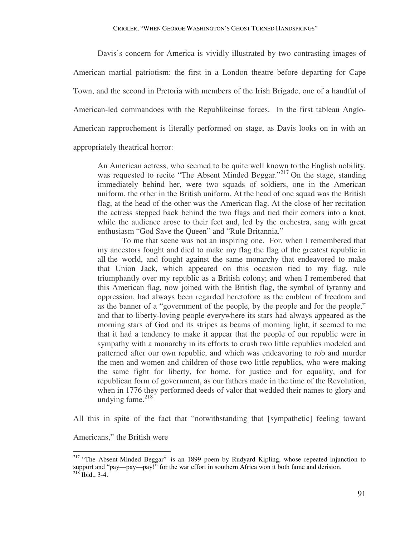Davis's concern for America is vividly illustrated by two contrasting images of American martial patriotism: the first in a London theatre before departing for Cape Town, and the second in Pretoria with members of the Irish Brigade, one of a handful of American-led commandoes with the Republikeinse forces. In the first tableau Anglo-American rapprochement is literally performed on stage, as Davis looks on in with an appropriately theatrical horror:

An American actress, who seemed to be quite well known to the English nobility, was requested to recite "The Absent Minded Beggar."<sup>217</sup> On the stage, standing immediately behind her, were two squads of soldiers, one in the American uniform, the other in the British uniform. At the head of one squad was the British flag, at the head of the other was the American flag. At the close of her recitation the actress stepped back behind the two flags and tied their corners into a knot, while the audience arose to their feet and, led by the orchestra, sang with great enthusiasm "God Save the Queen" and "Rule Britannia."

To me that scene was not an inspiring one. For, when I remembered that my ancestors fought and died to make my flag the flag of the greatest republic in all the world, and fought against the same monarchy that endeavored to make that Union Jack, which appeared on this occasion tied to my flag, rule triumphantly over my republic as a British colony; and when I remembered that this American flag, now joined with the British flag, the symbol of tyranny and oppression, had always been regarded heretofore as the emblem of freedom and as the banner of a "government of the people, by the people and for the people," and that to liberty-loving people everywhere its stars had always appeared as the morning stars of God and its stripes as beams of morning light, it seemed to me that it had a tendency to make it appear that the people of our republic were in sympathy with a monarchy in its efforts to crush two little republics modeled and patterned after our own republic, and which was endeavoring to rob and murder the men and women and children of those two little republics, who were making the same fight for liberty, for home, for justice and for equality, and for republican form of government, as our fathers made in the time of the Revolution, when in 1776 they performed deeds of valor that wedded their names to glory and undying fame. $218$ 

All this in spite of the fact that "notwithstanding that [sympathetic] feeling toward

Americans," the British were

<sup>&</sup>lt;sup>217</sup> "The Absent-Minded Beggar" is an 1899 poem by Rudyard Kipling, whose repeated injunction to support and "pay—pay—pay!" for the war effort in southern Africa won it both fame and derision.  $^{218}$  Ibid., 3-4.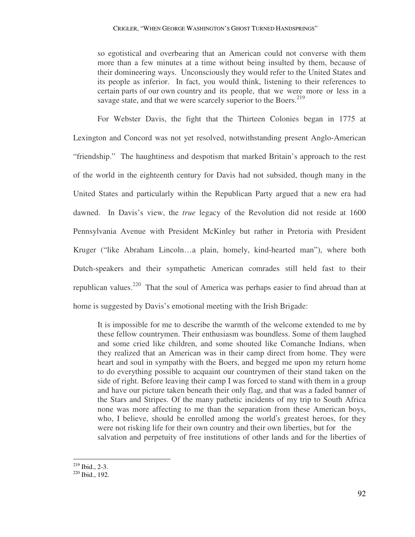so egotistical and overbearing that an American could not converse with them more than a few minutes at a time without being insulted by them, because of their domineering ways. Unconsciously they would refer to the United States and its people as inferior. In fact, you would think, listening to their references to certain parts of our own country and its people, that we were more or less in a savage state, and that we were scarcely superior to the Boers. $2^{19}$ 

 For Webster Davis, the fight that the Thirteen Colonies began in 1775 at Lexington and Concord was not yet resolved, notwithstanding present Anglo-American "friendship." The haughtiness and despotism that marked Britain's approach to the rest of the world in the eighteenth century for Davis had not subsided, though many in the United States and particularly within the Republican Party argued that a new era had dawned. In Davis's view, the *true* legacy of the Revolution did not reside at 1600 Pennsylvania Avenue with President McKinley but rather in Pretoria with President Kruger ("like Abraham Lincoln…a plain, homely, kind-hearted man"), where both Dutch-speakers and their sympathetic American comrades still held fast to their republican values.<sup>220</sup> That the soul of America was perhaps easier to find abroad than at home is suggested by Davis's emotional meeting with the Irish Brigade:

It is impossible for me to describe the warmth of the welcome extended to me by these fellow countrymen. Their enthusiasm was boundless. Some of them laughed and some cried like children, and some shouted like Comanche Indians, when they realized that an American was in their camp direct from home. They were heart and soul in sympathy with the Boers, and begged me upon my return home to do everything possible to acquaint our countrymen of their stand taken on the side of right. Before leaving their camp I was forced to stand with them in a group and have our picture taken beneath their only flag, and that was a faded banner of the Stars and Stripes. Of the many pathetic incidents of my trip to South Africa none was more affecting to me than the separation from these American boys, who, I believe, should be enrolled among the world's greatest heroes, for they were not risking life for their own country and their own liberties, but for the salvation and perpetuity of free institutions of other lands and for the liberties of

 $2^{19}$  Ibid., 2-3.

<sup>220</sup> Ibid., 192.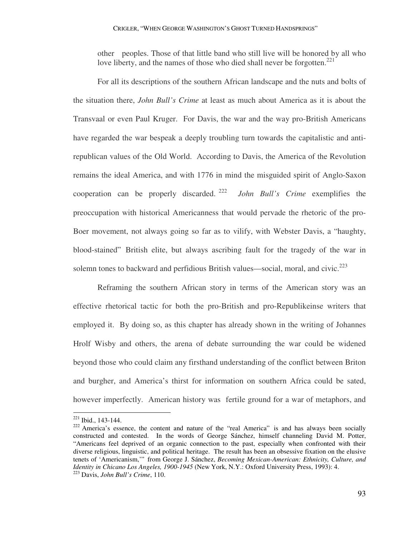other peoples. Those of that little band who still live will be honored by all who love liberty, and the names of those who died shall never be forgotten.<sup>221</sup>

 For all its descriptions of the southern African landscape and the nuts and bolts of the situation there, *John Bull's Crime* at least as much about America as it is about the Transvaal or even Paul Kruger. For Davis, the war and the way pro-British Americans have regarded the war bespeak a deeply troubling turn towards the capitalistic and antirepublican values of the Old World. According to Davis, the America of the Revolution remains the ideal America, and with 1776 in mind the misguided spirit of Anglo-Saxon cooperation can be properly discarded. <sup>222</sup> *John Bull's Crime* exemplifies the preoccupation with historical Americanness that would pervade the rhetoric of the pro-Boer movement, not always going so far as to vilify, with Webster Davis, a "haughty, blood-stained" British elite, but always ascribing fault for the tragedy of the war in solemn tones to backward and perfidious British values—social, moral, and civic.<sup>223</sup>

 Reframing the southern African story in terms of the American story was an effective rhetorical tactic for both the pro-British and pro-Republikeinse writers that employed it. By doing so, as this chapter has already shown in the writing of Johannes Hrolf Wisby and others, the arena of debate surrounding the war could be widened beyond those who could claim any firsthand understanding of the conflict between Briton and burgher, and America's thirst for information on southern Africa could be sated, however imperfectly. American history was fertile ground for a war of metaphors, and

<sup>221</sup> Ibid., 143-144.

<sup>&</sup>lt;sup>222</sup> America's essence, the content and nature of the "real America" is and has always been socially constructed and contested. In the words of George Sánchez, himself channeling David M. Potter, "Americans feel deprived of an organic connection to the past, especially when confronted with their diverse religious, linguistic, and political heritage. The result has been an obsessive fixation on the elusive tenets of 'Americanism,'" from George J. Sánchez, *Becoming Mexican-American: Ethnicity, Culture, and Identity in Chicano Los Angeles, 1900-1945* (New York, N.Y.: Oxford University Press, 1993): 4. <sup>223</sup> Davis, *John Bull's Crime*, 110.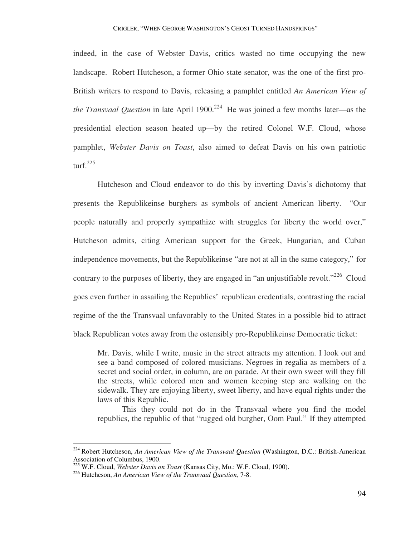indeed, in the case of Webster Davis, critics wasted no time occupying the new landscape. Robert Hutcheson, a former Ohio state senator, was the one of the first pro-British writers to respond to Davis, releasing a pamphlet entitled *An American View of the Transvaal Question* in late April 1900.<sup>224</sup> He was joined a few months later—as the presidential election season heated up—by the retired Colonel W.F. Cloud, whose pamphlet, *Webster Davis on Toast*, also aimed to defeat Davis on his own patriotic turf. $225$ 

 Hutcheson and Cloud endeavor to do this by inverting Davis's dichotomy that presents the Republikeinse burghers as symbols of ancient American liberty. "Our people naturally and properly sympathize with struggles for liberty the world over," Hutcheson admits, citing American support for the Greek, Hungarian, and Cuban independence movements, but the Republikeinse "are not at all in the same category," for contrary to the purposes of liberty, they are engaged in "an unjustifiable revolt."<sup>226</sup> Cloud goes even further in assailing the Republics' republican credentials, contrasting the racial regime of the the Transvaal unfavorably to the United States in a possible bid to attract black Republican votes away from the ostensibly pro-Republikeinse Democratic ticket:

Mr. Davis, while I write, music in the street attracts my attention. I look out and see a band composed of colored musicians. Negroes in regalia as members of a secret and social order, in column, are on parade. At their own sweet will they fill the streets, while colored men and women keeping step are walking on the sidewalk. They are enjoying liberty, sweet liberty, and have equal rights under the laws of this Republic.

This they could not do in the Transvaal where you find the model republics, the republic of that "rugged old burgher, Oom Paul." If they attempted

<sup>224</sup> Robert Hutcheson, *An American View of the Transvaal Question* (Washington, D.C.: British-American Association of Columbus, 1900.

<sup>225</sup> W.F. Cloud, *Webster Davis on Toast* (Kansas City, Mo.: W.F. Cloud, 1900).

<sup>226</sup> Hutcheson, *An American View of the Transvaal Question*, 7-8.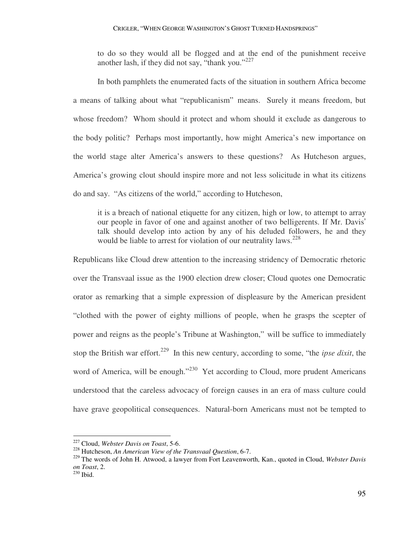to do so they would all be flogged and at the end of the punishment receive another lash, if they did not say, "thank you." $227$ 

 In both pamphlets the enumerated facts of the situation in southern Africa become a means of talking about what "republicanism" means. Surely it means freedom, but whose freedom? Whom should it protect and whom should it exclude as dangerous to the body politic? Perhaps most importantly, how might America's new importance on the world stage alter America's answers to these questions? As Hutcheson argues, America's growing clout should inspire more and not less solicitude in what its citizens do and say. "As citizens of the world," according to Hutcheson,

it is a breach of national etiquette for any citizen, high or low, to attempt to array our people in favor of one and against another of two belligerents. If Mr. Davis' talk should develop into action by any of his deluded followers, he and they would be liable to arrest for violation of our neutrality laws.<sup>228</sup>

Republicans like Cloud drew attention to the increasing stridency of Democratic rhetoric over the Transvaal issue as the 1900 election drew closer; Cloud quotes one Democratic orator as remarking that a simple expression of displeasure by the American president "clothed with the power of eighty millions of people, when he grasps the scepter of power and reigns as the people's Tribune at Washington," will be suffice to immediately stop the British war effort.<sup>229</sup> In this new century, according to some, "the *ipse dixit*, the word of America, will be enough."<sup>230</sup> Yet according to Cloud, more prudent Americans understood that the careless advocacy of foreign causes in an era of mass culture could have grave geopolitical consequences. Natural-born Americans must not be tempted to

<sup>227</sup> Cloud, *Webster Davis on Toast*, 5-6.

<sup>228</sup> Hutcheson, *An American View of the Transvaal Question*, 6-7.

<sup>229</sup> The words of John H. Atwood, a lawyer from Fort Leavenworth, Kan., quoted in Cloud, *Webster Davis on Toast*, 2.

<sup>&</sup>lt;sup>230</sup> Ibid.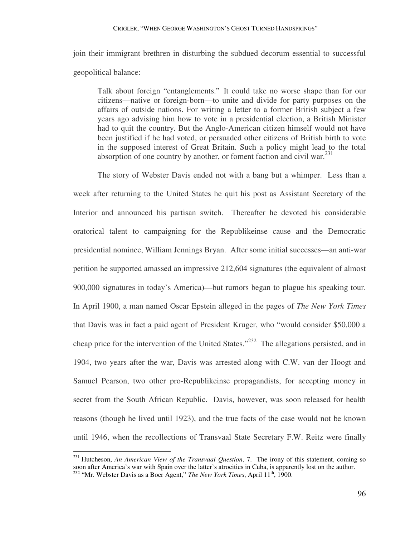join their immigrant brethren in disturbing the subdued decorum essential to successful geopolitical balance:

Talk about foreign "entanglements." It could take no worse shape than for our citizens—native or foreign-born—to unite and divide for party purposes on the affairs of outside nations. For writing a letter to a former British subject a few years ago advising him how to vote in a presidential election, a British Minister had to quit the country. But the Anglo-American citizen himself would not have been justified if he had voted, or persuaded other citizens of British birth to vote in the supposed interest of Great Britain. Such a policy might lead to the total absorption of one country by another, or foment faction and civil war.<sup>231</sup>

 The story of Webster Davis ended not with a bang but a whimper. Less than a week after returning to the United States he quit his post as Assistant Secretary of the Interior and announced his partisan switch. Thereafter he devoted his considerable oratorical talent to campaigning for the Republikeinse cause and the Democratic presidential nominee, William Jennings Bryan. After some initial successes—an anti-war petition he supported amassed an impressive 212,604 signatures (the equivalent of almost 900,000 signatures in today's America)—but rumors began to plague his speaking tour. In April 1900, a man named Oscar Epstein alleged in the pages of *The New York Times* that Davis was in fact a paid agent of President Kruger, who "would consider \$50,000 a cheap price for the intervention of the United States."<sup>232</sup> The allegations persisted, and in 1904, two years after the war, Davis was arrested along with C.W. van der Hoogt and Samuel Pearson, two other pro-Republikeinse propagandists, for accepting money in secret from the South African Republic. Davis, however, was soon released for health reasons (though he lived until 1923), and the true facts of the case would not be known until 1946, when the recollections of Transvaal State Secretary F.W. Reitz were finally

<sup>231</sup> Hutcheson, *An American View of the Transvaal Question*, 7. The irony of this statement, coming so soon after America's war with Spain over the latter's atrocities in Cuba, is apparently lost on the author. <sup>232</sup> "Mr. Webster Davis as a Boer Agent," *The New York Times*, April 11<sup>th</sup>, 1900.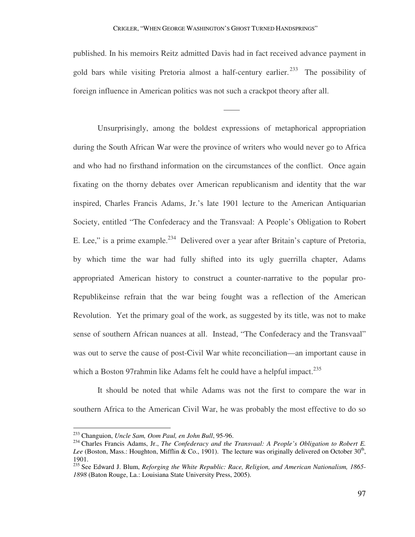## CRIGLER, "WHEN GEORGE WASHINGTON'S GHOST TURNED HANDSPRINGS"

published. In his memoirs Reitz admitted Davis had in fact received advance payment in gold bars while visiting Pretoria almost a half-century earlier.<sup>233</sup> The possibility of foreign influence in American politics was not such a crackpot theory after all.

——

 Unsurprisingly, among the boldest expressions of metaphorical appropriation during the South African War were the province of writers who would never go to Africa and who had no firsthand information on the circumstances of the conflict. Once again fixating on the thorny debates over American republicanism and identity that the war inspired, Charles Francis Adams, Jr.'s late 1901 lecture to the American Antiquarian Society, entitled "The Confederacy and the Transvaal: A People's Obligation to Robert E. Lee," is a prime example.<sup>234</sup> Delivered over a year after Britain's capture of Pretoria, by which time the war had fully shifted into its ugly guerrilla chapter, Adams appropriated American history to construct a counter-narrative to the popular pro-Republikeinse refrain that the war being fought was a reflection of the American Revolution. Yet the primary goal of the work, as suggested by its title, was not to make sense of southern African nuances at all. Instead, "The Confederacy and the Transvaal" was out to serve the cause of post-Civil War white reconciliation—an important cause in which a Boston 97 $r$ ahmin like Adams felt he could have a helpful impact.<sup>235</sup>

 It should be noted that while Adams was not the first to compare the war in southern Africa to the American Civil War, he was probably the most effective to do so

<sup>233</sup> Changuion, *Uncle Sam, Oom Paul, en John Bull*, 95-96.

<sup>&</sup>lt;sup>234</sup> Charles Francis Adams, Jr., *The Confederacy and the Transvaal: A People's Obligation to Robert E.* Lee (Boston, Mass.: Houghton, Mifflin & Co., 1901). The lecture was originally delivered on October  $30<sup>th</sup>$ , 1901.

<sup>235</sup> See Edward J. Blum, *Reforging the White Republic: Race, Religion, and American Nationalism, 1865- 1898* (Baton Rouge, La.: Louisiana State University Press, 2005).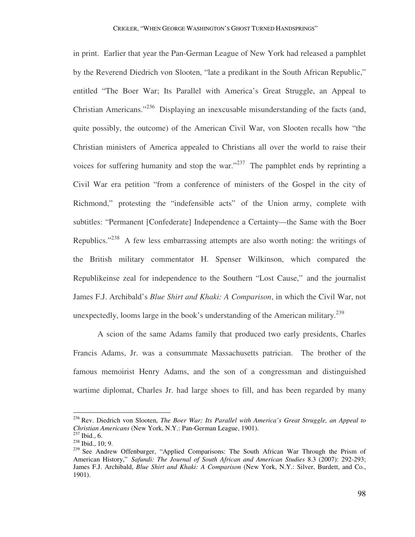in print. Earlier that year the Pan-German League of New York had released a pamphlet by the Reverend Diedrich von Slooten, "late a predikant in the South African Republic," entitled "The Boer War; Its Parallel with America's Great Struggle, an Appeal to Christian Americans."<sup>236</sup> Displaying an inexcusable misunderstanding of the facts (and, quite possibly, the outcome) of the American Civil War, von Slooten recalls how "the Christian ministers of America appealed to Christians all over the world to raise their voices for suffering humanity and stop the war."<sup>237</sup> The pamphlet ends by reprinting a Civil War era petition "from a conference of ministers of the Gospel in the city of Richmond," protesting the "indefensible acts" of the Union army, complete with subtitles: "Permanent [Confederate] Independence a Certainty—the Same with the Boer Republics."<sup>238</sup> A few less embarrassing attempts are also worth noting: the writings of the British military commentator H. Spenser Wilkinson, which compared the Republikeinse zeal for independence to the Southern "Lost Cause," and the journalist James F.J. Archibald's *Blue Shirt and Khaki: A Comparison*, in which the Civil War, not unexpectedly, looms large in the book's understanding of the American military.<sup>239</sup>

 A scion of the same Adams family that produced two early presidents, Charles Francis Adams, Jr. was a consummate Massachusetts patrician. The brother of the famous memoirist Henry Adams, and the son of a congressman and distinguished wartime diplomat, Charles Jr. had large shoes to fill, and has been regarded by many

<sup>236</sup> Rev. Diedrich von Slooten, *The Boer War; Its Parallel with America's Great Struggle, an Appeal to Christian Americans* (New York, N.Y.: Pan-German League, 1901).

 $^{237}$  Ibid., 6.

<sup>238</sup> Ibid., 10; 9.

<sup>&</sup>lt;sup>239</sup> See Andrew Offenburger, "Applied Comparisons: The South African War Through the Prism of American History," *Safundi: The Journal of South African and American Studies* 8.3 (2007): 292-293; James F.J. Archibald, *Blue Shirt and Khaki: A Comparison* (New York, N.Y.: Silver, Burdett, and Co., 1901).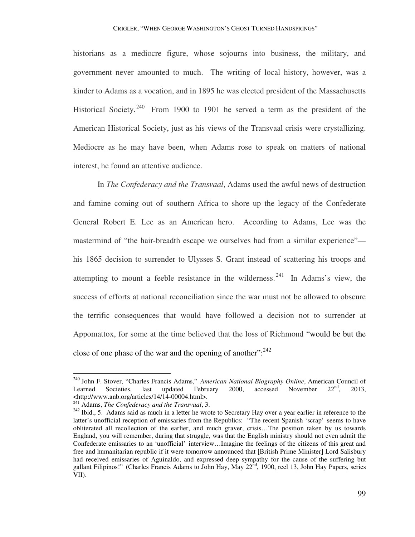historians as a mediocre figure, whose sojourns into business, the military, and government never amounted to much. The writing of local history, however, was a kinder to Adams as a vocation, and in 1895 he was elected president of the Massachusetts Historical Society. <sup>240</sup> From 1900 to 1901 he served a term as the president of the American Historical Society, just as his views of the Transvaal crisis were crystallizing. Mediocre as he may have been, when Adams rose to speak on matters of national interest, he found an attentive audience.

 In *The Confederacy and the Transvaal*, Adams used the awful news of destruction and famine coming out of southern Africa to shore up the legacy of the Confederate General Robert E. Lee as an American hero. According to Adams, Lee was the mastermind of "the hair-breadth escape we ourselves had from a similar experience" his 1865 decision to surrender to Ulysses S. Grant instead of scattering his troops and attempting to mount a feeble resistance in the wilderness.  $241$  In Adams's view, the success of efforts at national reconciliation since the war must not be allowed to obscure the terrific consequences that would have followed a decision not to surrender at Appomattox, for some at the time believed that the loss of Richmond "would be but the close of one phase of the war and the opening of another":  $242$ 

<sup>240</sup> John F. Stover, "Charles Francis Adams," *American National Biography Online*, American Council of Learned Societies, last updated February 2000, accessed November 22<sup>nd</sup>, 2013, <http://www.anb.org/articles/14/14-00004.html>.

<sup>241</sup> Adams, *The Confederacy and the Transvaal*, 3.

<sup>&</sup>lt;sup>242</sup> Ibid., 5. Adams said as much in a letter he wrote to Secretary Hay over a year earlier in reference to the latter's unofficial reception of emissaries from the Republics: "The recent Spanish 'scrap' seems to have obliterated all recollection of the earlier, and much graver, crisis…The position taken by us towards England, you will remember, during that struggle, was that the English ministry should not even admit the Confederate emissaries to an 'unofficial' interview…Imagine the feelings of the citizens of this great and free and humanitarian republic if it were tomorrow announced that [British Prime Minister] Lord Salisbury had received emissaries of Aguinaldo, and expressed deep sympathy for the cause of the suffering but gallant Filipinos!" (Charles Francis Adams to John Hay, May 22<sup>nd</sup>, 1900, reel 13, John Hay Papers, series VII).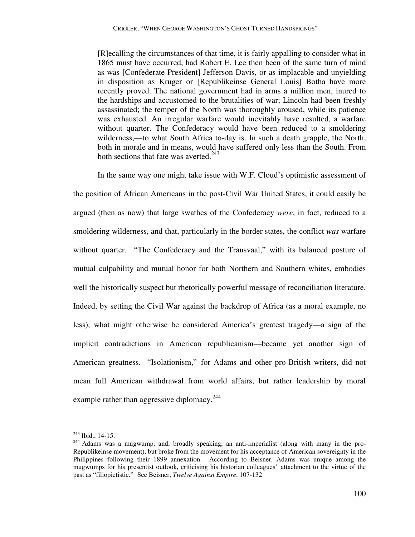[R]ecalling the circumstances of that time, it is fairly appalling to consider what in 1865 must have occurred, had Robert E. Lee then been of the same turn of mind as was [Confederate President] Jefferson Davis, or as implacable and unyielding in disposition as Kruger or [Republikeinse General Louis] Botha have more recently proved. The national government had in arms a million men, inured to the hardships and accustomed to the brutalities of war; Lincoln had been freshly assassinated; the temper of the North was thoroughly aroused, while its patience was exhausted. An irregular warfare would inevitably have resulted, a warfare without quarter. The Confederacy would have been reduced to a smoldering wilderness,—to what South Africa to-day is. In such a death grapple, the North, both in morale and in means, would have suffered only less than the South. From both sections that fate was averted.<sup>243</sup>

 In the same way one might take issue with W.F. Cloud's optimistic assessment of the position of African Americans in the post-Civil War United States, it could easily be argued (then as now) that large swathes of the Confederacy *were*, in fact, reduced to a smoldering wilderness, and that, particularly in the border states, the conflict *was* warfare without quarter. "The Confederacy and the Transvaal," with its balanced posture of mutual culpability and mutual honor for both Northern and Southern whites, embodies well the historically suspect but rhetorically powerful message of reconciliation literature. Indeed, by setting the Civil War against the backdrop of Africa (as a moral example, no less), what might otherwise be considered America's greatest tragedy—a sign of the implicit contradictions in American republicanism—became yet another sign of American greatness. "Isolationism," for Adams and other pro-British writers, did not mean full American withdrawal from world affairs, but rather leadership by moral example rather than aggressive diplomacy. $244$ 

 $243$  Ibid., 14-15.

<sup>&</sup>lt;sup>244</sup> Adams was a mugwump, and, broadly speaking, an anti-imperialist (along with many in the pro-Republikeinse movement), but broke from the movement for his acceptance of American sovereignty in the Philippines following their 1899 annexation. According to Beisner, Adams was unique among the mugwumps for his presentist outlook, criticising his historian colleagues' attachment to the virtue of the past as "filiopietistic." See Beisner, *Twelve Against Empire*, 107-132.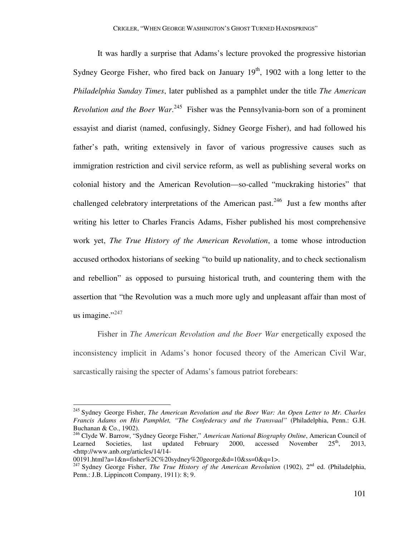It was hardly a surprise that Adams's lecture provoked the progressive historian Sydney George Fisher, who fired back on January  $19<sup>th</sup>$ , 1902 with a long letter to the *Philadelphia Sunday Times*, later published as a pamphlet under the title *The American Revolution and the Boer War*.<sup>245</sup> Fisher was the Pennsylvania-born son of a prominent essayist and diarist (named, confusingly, Sidney George Fisher), and had followed his father's path, writing extensively in favor of various progressive causes such as immigration restriction and civil service reform, as well as publishing several works on colonial history and the American Revolution—so-called "muckraking histories" that challenged celebratory interpretations of the American past.<sup>246</sup> Just a few months after writing his letter to Charles Francis Adams, Fisher published his most comprehensive work yet, *The True History of the American Revolution*, a tome whose introduction accused orthodox historians of seeking "to build up nationality, and to check sectionalism and rebellion" as opposed to pursuing historical truth, and countering them with the assertion that "the Revolution was a much more ugly and unpleasant affair than most of us imagine." $247$ 

 Fisher in *The American Revolution and the Boer War* energetically exposed the inconsistency implicit in Adams's honor focused theory of the American Civil War, sarcastically raising the specter of Adams's famous patriot forebears:

<sup>245</sup> Sydney George Fisher, *The American Revolution and the Boer War: An Open Letter to Mr. Charles Francis Adams on His Pamphlet, "The Confederacy and the Transvaal"* (Philadelphia, Penn.: G.H. Buchanan & Co., 1902).

<sup>&</sup>lt;sup>246</sup> Clyde W. Barrow, "Sydney George Fisher," *American National Biography Online*, American Council of Learned Societies, last updated February 2000, accessed November 25<sup>th</sup>, 2013, Learned Societies, last updated February 2000, accessed November  $25<sup>th</sup>$ , 2013, <http://www.anb.org/articles/14/14-

<sup>00191.</sup>html?a=1&n=fisher%2C%20sydney%20george&d=10&ss=0&q=1>.

<sup>&</sup>lt;sup>247</sup> Sydney George Fisher, *The True History of the American Revolution* (1902), 2<sup>nd</sup> ed. (Philadelphia, Penn.: J.B. Lippincott Company, 1911): 8; 9.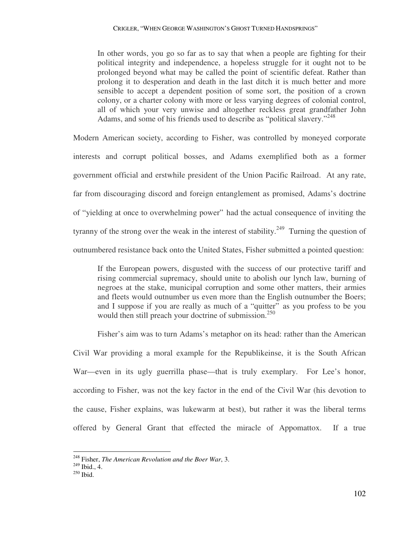In other words, you go so far as to say that when a people are fighting for their political integrity and independence, a hopeless struggle for it ought not to be prolonged beyond what may be called the point of scientific defeat. Rather than prolong it to desperation and death in the last ditch it is much better and more sensible to accept a dependent position of some sort, the position of a crown colony, or a charter colony with more or less varying degrees of colonial control, all of which your very unwise and altogether reckless great grandfather John Adams, and some of his friends used to describe as "political slavery."<sup>248</sup>

Modern American society, according to Fisher, was controlled by moneyed corporate interests and corrupt political bosses, and Adams exemplified both as a former government official and erstwhile president of the Union Pacific Railroad. At any rate, far from discouraging discord and foreign entanglement as promised, Adams's doctrine of "yielding at once to overwhelming power" had the actual consequence of inviting the tyranny of the strong over the weak in the interest of stability.<sup>249</sup> Turning the question of outnumbered resistance back onto the United States, Fisher submitted a pointed question:

If the European powers, disgusted with the success of our protective tariff and rising commercial supremacy, should unite to abolish our lynch law, burning of negroes at the stake, municipal corruption and some other matters, their armies and fleets would outnumber us even more than the English outnumber the Boers; and I suppose if you are really as much of a "quitter" as you profess to be you would then still preach your doctrine of submission.<sup>250</sup>

 Fisher's aim was to turn Adams's metaphor on its head: rather than the American Civil War providing a moral example for the Republikeinse, it is the South African War—even in its ugly guerrilla phase—that is truly exemplary. For Lee's honor, according to Fisher, was not the key factor in the end of the Civil War (his devotion to the cause, Fisher explains, was lukewarm at best), but rather it was the liberal terms offered by General Grant that effected the miracle of Appomattox. If a true

<sup>248</sup> Fisher, *The American Revolution and the Boer War*, 3.

<sup>249</sup> Ibid., 4.

<sup>250</sup> Ibid.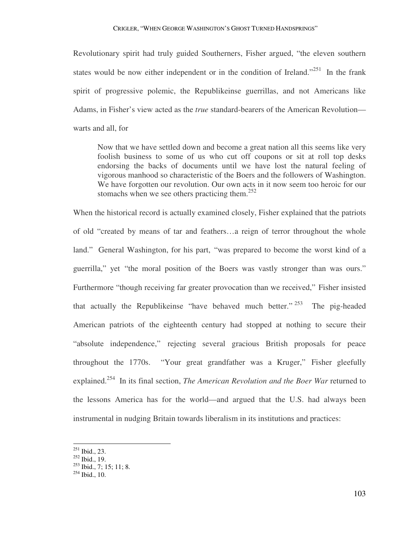Revolutionary spirit had truly guided Southerners, Fisher argued, "the eleven southern states would be now either independent or in the condition of Ireland."<sup>251</sup> In the frank spirit of progressive polemic, the Republikeinse guerrillas, and not Americans like Adams, in Fisher's view acted as the *true* standard-bearers of the American Revolution warts and all, for

Now that we have settled down and become a great nation all this seems like very foolish business to some of us who cut off coupons or sit at roll top desks endorsing the backs of documents until we have lost the natural feeling of vigorous manhood so characteristic of the Boers and the followers of Washington. We have forgotten our revolution. Our own acts in it now seem too heroic for our stomachs when we see others practicing them.<sup>252</sup>

When the historical record is actually examined closely, Fisher explained that the patriots of old "created by means of tar and feathers…a reign of terror throughout the whole land." General Washington, for his part, "was prepared to become the worst kind of a guerrilla," yet "the moral position of the Boers was vastly stronger than was ours." Furthermore "though receiving far greater provocation than we received," Fisher insisted that actually the Republikeinse "have behaved much better."  $253$  The pig-headed American patriots of the eighteenth century had stopped at nothing to secure their "absolute independence," rejecting several gracious British proposals for peace throughout the 1770s. "Your great grandfather was a Kruger," Fisher gleefully explained.<sup>254</sup> In its final section, *The American Revolution and the Boer War* returned to the lessons America has for the world—and argued that the U.S. had always been instrumental in nudging Britain towards liberalism in its institutions and practices:

 $^{251}$  Ibid., 23.

<sup>252</sup> Ibid., 19.

 $253$  Ibid., 7; 15; 11; 8.

 $^{254}$  Ibid., 10.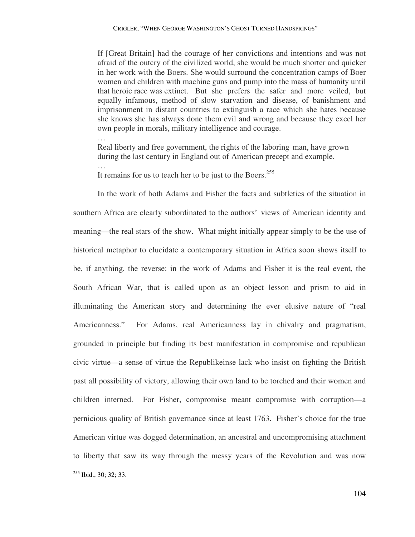If [Great Britain] had the courage of her convictions and intentions and was not afraid of the outcry of the civilized world, she would be much shorter and quicker in her work with the Boers. She would surround the concentration camps of Boer women and children with machine guns and pump into the mass of humanity until that heroic race was extinct. But she prefers the safer and more veiled, but equally infamous, method of slow starvation and disease, of banishment and imprisonment in distant countries to extinguish a race which she hates because she knows she has always done them evil and wrong and because they excel her own people in morals, military intelligence and courage.

 … Real liberty and free government, the rights of the laboring man, have grown during the last century in England out of American precept and example.

It remains for us to teach her to be just to the Boers.<sup>255</sup>

 In the work of both Adams and Fisher the facts and subtleties of the situation in southern Africa are clearly subordinated to the authors' views of American identity and meaning—the real stars of the show. What might initially appear simply to be the use of historical metaphor to elucidate a contemporary situation in Africa soon shows itself to be, if anything, the reverse: in the work of Adams and Fisher it is the real event, the South African War, that is called upon as an object lesson and prism to aid in illuminating the American story and determining the ever elusive nature of "real Americanness." For Adams, real Americanness lay in chivalry and pragmatism, grounded in principle but finding its best manifestation in compromise and republican civic virtue—a sense of virtue the Republikeinse lack who insist on fighting the British past all possibility of victory, allowing their own land to be torched and their women and children interned. For Fisher, compromise meant compromise with corruption—a pernicious quality of British governance since at least 1763. Fisher's choice for the true American virtue was dogged determination, an ancestral and uncompromising attachment to liberty that saw its way through the messy years of the Revolution and was now  $\overline{a}$ 

…

<sup>&</sup>lt;sup>255</sup> Ibid., 30; 32; 33.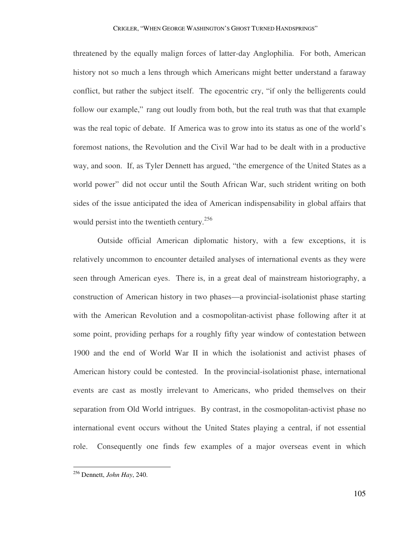threatened by the equally malign forces of latter-day Anglophilia. For both, American history not so much a lens through which Americans might better understand a faraway conflict, but rather the subject itself. The egocentric cry, "if only the belligerents could follow our example," rang out loudly from both, but the real truth was that that example was the real topic of debate. If America was to grow into its status as one of the world's foremost nations, the Revolution and the Civil War had to be dealt with in a productive way, and soon. If, as Tyler Dennett has argued, "the emergence of the United States as a world power" did not occur until the South African War, such strident writing on both sides of the issue anticipated the idea of American indispensability in global affairs that would persist into the twentieth century.<sup>256</sup>

 Outside official American diplomatic history, with a few exceptions, it is relatively uncommon to encounter detailed analyses of international events as they were seen through American eyes. There is, in a great deal of mainstream historiography, a construction of American history in two phases—a provincial-isolationist phase starting with the American Revolution and a cosmopolitan-activist phase following after it at some point, providing perhaps for a roughly fifty year window of contestation between 1900 and the end of World War II in which the isolationist and activist phases of American history could be contested. In the provincial-isolationist phase, international events are cast as mostly irrelevant to Americans, who prided themselves on their separation from Old World intrigues. By contrast, in the cosmopolitan-activist phase no international event occurs without the United States playing a central, if not essential role. Consequently one finds few examples of a major overseas event in which

<sup>256</sup> Dennett, *John Hay*, 240.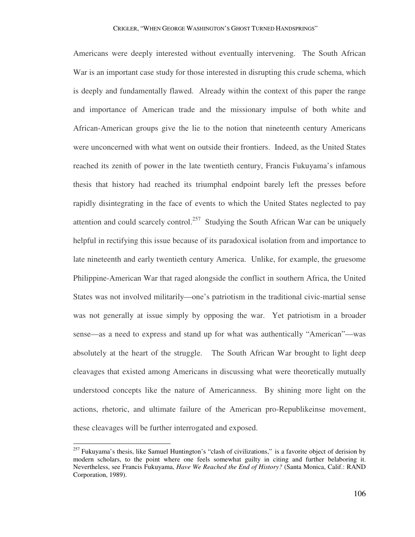Americans were deeply interested without eventually intervening. The South African War is an important case study for those interested in disrupting this crude schema, which is deeply and fundamentally flawed. Already within the context of this paper the range and importance of American trade and the missionary impulse of both white and African-American groups give the lie to the notion that nineteenth century Americans were unconcerned with what went on outside their frontiers. Indeed, as the United States reached its zenith of power in the late twentieth century, Francis Fukuyama's infamous thesis that history had reached its triumphal endpoint barely left the presses before rapidly disintegrating in the face of events to which the United States neglected to pay attention and could scarcely control.<sup>257</sup> Studying the South African War can be uniquely helpful in rectifying this issue because of its paradoxical isolation from and importance to late nineteenth and early twentieth century America. Unlike, for example, the gruesome Philippine-American War that raged alongside the conflict in southern Africa, the United States was not involved militarily—one's patriotism in the traditional civic-martial sense was not generally at issue simply by opposing the war. Yet patriotism in a broader sense—as a need to express and stand up for what was authentically "American"—was absolutely at the heart of the struggle. The South African War brought to light deep cleavages that existed among Americans in discussing what were theoretically mutually understood concepts like the nature of Americanness. By shining more light on the actions, rhetoric, and ultimate failure of the American pro-Republikeinse movement, these cleavages will be further interrogated and exposed.

<sup>&</sup>lt;sup>257</sup> Fukuyama's thesis, like Samuel Huntington's "clash of civilizations," is a favorite object of derision by modern scholars, to the point where one feels somewhat guilty in citing and further belaboring it. Nevertheless, see Francis Fukuyama, *Have We Reached the End of History?* (Santa Monica, Calif.: RAND Corporation, 1989).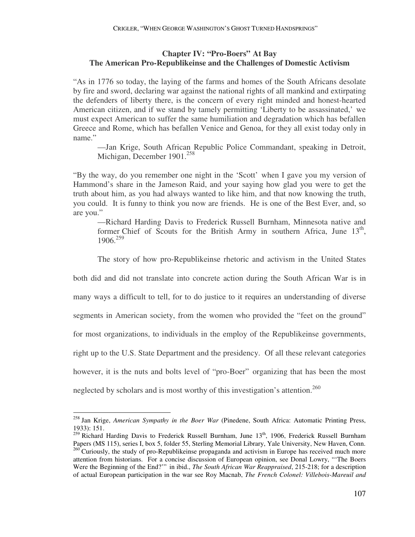## **Chapter IV: "Pro-Boers" At Bay The American Pro-Republikeinse and the Challenges of Domestic Activism**

"As in 1776 so today, the laying of the farms and homes of the South Africans desolate by fire and sword, declaring war against the national rights of all mankind and extirpating the defenders of liberty there, is the concern of every right minded and honest-hearted American citizen, and if we stand by tamely permitting 'Liberty to be assassinated,' we must expect American to suffer the same humiliation and degradation which has befallen Greece and Rome, which has befallen Venice and Genoa, for they all exist today only in name."

—Jan Krige, South African Republic Police Commandant, speaking in Detroit, Michigan, December 1901.<sup>258</sup>

"By the way, do you remember one night in the 'Scott' when I gave you my version of Hammond's share in the Jameson Raid, and your saying how glad you were to get the truth about him, as you had always wanted to like him, and that now knowing the truth, you could. It is funny to think you now are friends. He is one of the Best Ever, and, so are you."

—Richard Harding Davis to Frederick Russell Burnham, Minnesota native and former Chief of Scouts for the British Army in southern Africa, June  $13<sup>th</sup>$ , 1906.<sup>259</sup>

The story of how pro-Republikeinse rhetoric and activism in the United States

both did and did not translate into concrete action during the South African War is in

many ways a difficult to tell, for to do justice to it requires an understanding of diverse

segments in American society, from the women who provided the "feet on the ground"

for most organizations, to individuals in the employ of the Republikeinse governments,

right up to the U.S. State Department and the presidency. Of all these relevant categories

however, it is the nuts and bolts level of "pro-Boer" organizing that has been the most

neglected by scholars and is most worthy of this investigation's attention.<sup>260</sup>

<sup>258</sup> Jan Krige, *American Sympathy in the Boer War* (Pinedene, South Africa: Automatic Printing Press, 1933): 151.

<sup>&</sup>lt;sup>259</sup> Richard Harding Davis to Frederick Russell Burnham, June 13<sup>th</sup>, 1906, Frederick Russell Burnham Papers (MS 115), series I, box 5, folder 55, Sterling Memorial Library, Yale University, New Haven, Conn. <sup>260</sup> Curiously, the study of pro-Republikeinse propaganda and activism in Europe has received much more attention from historians. For a concise discussion of European opinion, see Donal Lowry, "'The Boers Were the Beginning of the End?'" in ibid., *The South African War Reappraised*, 215-218; for a description of actual European participation in the war see Roy Macnab, *The French Colonel: Villebois-Mareuil and*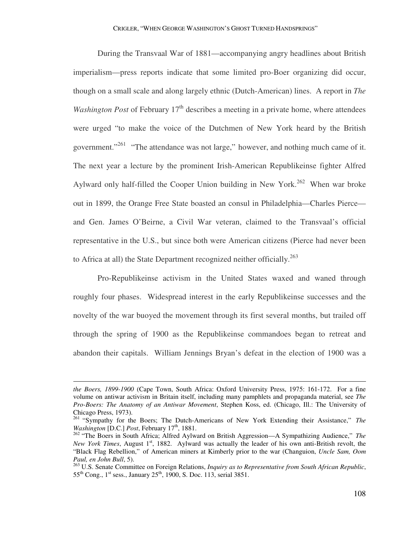During the Transvaal War of 1881—accompanying angry headlines about British imperialism—press reports indicate that some limited pro-Boer organizing did occur, though on a small scale and along largely ethnic (Dutch-American) lines. A report in *The Washington Post* of February 17<sup>th</sup> describes a meeting in a private home, where attendees were urged "to make the voice of the Dutchmen of New York heard by the British government."<sup>261</sup> "The attendance was not large," however, and nothing much came of it. The next year a lecture by the prominent Irish-American Republikeinse fighter Alfred Aylward only half-filled the Cooper Union building in New York.<sup>262</sup> When war broke out in 1899, the Orange Free State boasted an consul in Philadelphia—Charles Pierce and Gen. James O'Beirne, a Civil War veteran, claimed to the Transvaal's official representative in the U.S., but since both were American citizens (Pierce had never been to Africa at all) the State Department recognized neither officially.<sup>263</sup>

 Pro-Republikeinse activism in the United States waxed and waned through roughly four phases. Widespread interest in the early Republikeinse successes and the novelty of the war buoyed the movement through its first several months, but trailed off through the spring of 1900 as the Republikeinse commandoes began to retreat and abandon their capitals. William Jennings Bryan's defeat in the election of 1900 was a

*the Boers, 1899-1900* (Cape Town, South Africa: Oxford University Press, 1975: 161-172. For a fine volume on antiwar activism in Britain itself, including many pamphlets and propaganda material, see *The Pro-Boers: The Anatomy of an Antiwar Movement*, Stephen Koss, ed. (Chicago, Ill.: The University of Chicago Press, 1973).

<sup>261</sup> "Sympathy for the Boers; The Dutch-Americans of New York Extending their Assistance," *The Washington* [D.C.] *Post*, February 17<sup>th</sup>, 1881.

<sup>262</sup> "The Boers in South Africa; Alfred Aylward on British Aggression—A Sympathizing Audience," *The New York Times*, August 1<sup>st</sup>, 1882. Aylward was actually the leader of his own anti-British revolt, the "Black Flag Rebellion," of American miners at Kimberly prior to the war (Changuion, *Uncle Sam, Oom Paul, en John Bull*, 5).

<sup>263</sup> U.S. Senate Committee on Foreign Relations, *Inquiry as to Representative from South African Republic*,  $55^{th}$  Cong., 1<sup>st</sup> sess., January 25<sup>th</sup>, 1900, S. Doc. 113, serial 3851.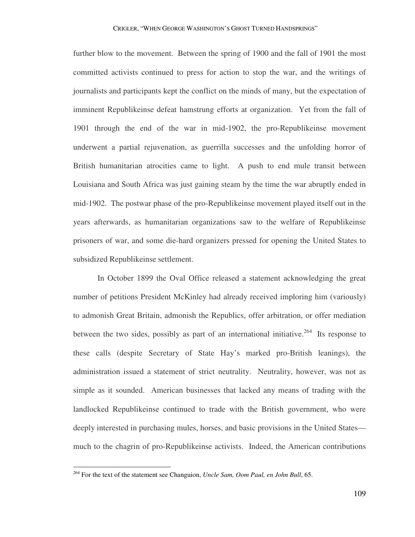further blow to the movement. Between the spring of 1900 and the fall of 1901 the most committed activists continued to press for action to stop the war, and the writings of journalists and participants kept the conflict on the minds of many, but the expectation of imminent Republikeinse defeat hamstrung efforts at organization. Yet from the fall of 1901 through the end of the war in mid-1902, the pro-Republikeinse movement underwent a partial rejuvenation, as guerrilla successes and the unfolding horror of British humanitarian atrocities came to light. A push to end mule transit between Louisiana and South Africa was just gaining steam by the time the war abruptly ended in mid-1902. The postwar phase of the pro-Republikeinse movement played itself out in the years afterwards, as humanitarian organizations saw to the welfare of Republikeinse prisoners of war, and some die-hard organizers pressed for opening the United States to subsidized Republikeinse settlement.

 In October 1899 the Oval Office released a statement acknowledging the great number of petitions President McKinley had already received imploring him (variously) to admonish Great Britain, admonish the Republics, offer arbitration, or offer mediation between the two sides, possibly as part of an international initiative.<sup>264</sup> Its response to these calls (despite Secretary of State Hay's marked pro-British leanings), the administration issued a statement of strict neutrality. Neutrality, however, was not as simple as it sounded. American businesses that lacked any means of trading with the landlocked Republikeinse continued to trade with the British government, who were deeply interested in purchasing mules, horses, and basic provisions in the United States much to the chagrin of pro-Republikeinse activists. Indeed, the American contributions

<sup>264</sup> For the text of the statement see Changuion, *Uncle Sam, Oom Paul, en John Bull*, 65.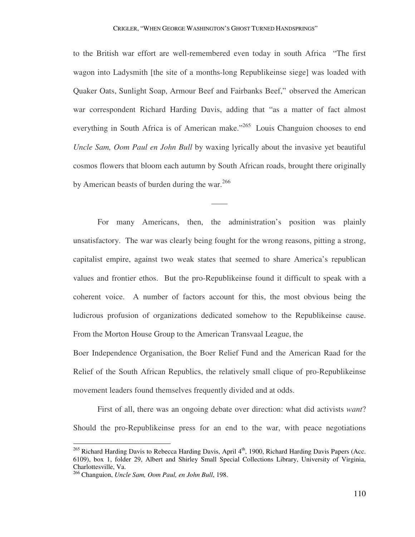to the British war effort are well-remembered even today in south Africa "The first wagon into Ladysmith [the site of a months-long Republikeinse siege] was loaded with Quaker Oats, Sunlight Soap, Armour Beef and Fairbanks Beef," observed the American war correspondent Richard Harding Davis, adding that "as a matter of fact almost everything in South Africa is of American make.<sup> $265$ </sup> Louis Changuion chooses to end *Uncle Sam, Oom Paul en John Bull* by waxing lyrically about the invasive yet beautiful cosmos flowers that bloom each autumn by South African roads, brought there originally by American beasts of burden during the war.<sup>266</sup>

 For many Americans, then, the administration's position was plainly unsatisfactory. The war was clearly being fought for the wrong reasons, pitting a strong, capitalist empire, against two weak states that seemed to share America's republican values and frontier ethos. But the pro-Republikeinse found it difficult to speak with a coherent voice. A number of factors account for this, the most obvious being the ludicrous profusion of organizations dedicated somehow to the Republikeinse cause. From the Morton House Group to the American Transvaal League, the

——

Boer Independence Organisation, the Boer Relief Fund and the American Raad for the Relief of the South African Republics, the relatively small clique of pro-Republikeinse movement leaders found themselves frequently divided and at odds.

 First of all, there was an ongoing debate over direction: what did activists *want*? Should the pro-Republikeinse press for an end to the war, with peace negotiations

<sup>&</sup>lt;sup>265</sup> Richard Harding Davis to Rebecca Harding Davis, April 4<sup>th</sup>, 1900, Richard Harding Davis Papers (Acc. 6109), box 1, folder 29, Albert and Shirley Small Special Collections Library, University of Virginia, Charlottesville, Va.

<sup>266</sup> Changuion, *Uncle Sam, Oom Paul, en John Bull*, 198.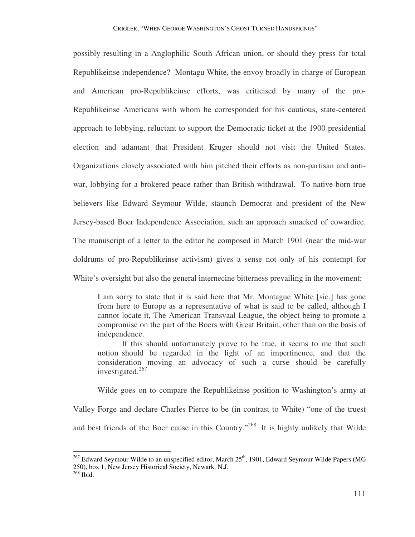possibly resulting in a Anglophilic South African union, or should they press for total Republikeinse independence? Montagu White, the envoy broadly in charge of European and American pro-Republikeinse efforts, was criticised by many of the pro-Republikeinse Americans with whom he corresponded for his cautious, state-centered approach to lobbying, reluctant to support the Democratic ticket at the 1900 presidential election and adamant that President Kruger should not visit the United States. Organizations closely associated with him pitched their efforts as non-partisan and antiwar, lobbying for a brokered peace rather than British withdrawal. To native-born true believers like Edward Seymour Wilde, staunch Democrat and president of the New Jersey-based Boer Independence Association, such an approach smacked of cowardice. The manuscript of a letter to the editor he composed in March 1901 (near the mid-war doldrums of pro-Republikeinse activism) gives a sense not only of his contempt for White's oversight but also the general internecine bitterness prevailing in the movement:

I am sorry to state that it is said here that Mr. Montague White [sic.] has gone from here to Europe as a representative of what is said to be called, although I cannot locate it, The American Transvaal League, the object being to promote a compromise on the part of the Boers with Great Britain, other than on the basis of independence.

If this should unfortunately prove to be true, it seems to me that such notion should be regarded in the light of an impertinence, and that the consideration moving an advocacy of such a curse should be carefully investigated. $267$ 

Wilde goes on to compare the Republikeinse position to Washington's army at

Valley Forge and declare Charles Pierce to be (in contrast to White) "one of the truest and best friends of the Boer cause in this Country."<sup>268</sup> It is highly unlikely that Wilde

 $^{267}$  Edward Seymour Wilde to an unspecified editor, March 25<sup>th</sup>, 1901, Edward Seymour Wilde Papers (MG 250), box 1, New Jersey Historical Society, Newark, N.J.

<sup>268</sup> Ibid.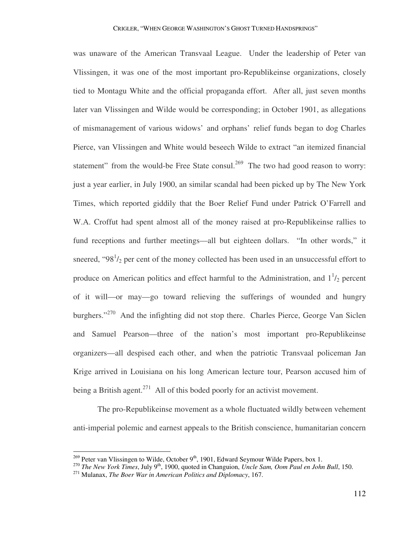was unaware of the American Transvaal League. Under the leadership of Peter van Vlissingen, it was one of the most important pro-Republikeinse organizations, closely tied to Montagu White and the official propaganda effort. After all, just seven months later van Vlissingen and Wilde would be corresponding; in October 1901, as allegations of mismanagement of various widows' and orphans' relief funds began to dog Charles Pierce, van Vlissingen and White would beseech Wilde to extract "an itemized financial statement" from the would-be Free State consul.<sup>269</sup> The two had good reason to worry: just a year earlier, in July 1900, an similar scandal had been picked up by The New York Times, which reported giddily that the Boer Relief Fund under Patrick O'Farrell and W.A. Croffut had spent almost all of the money raised at pro-Republikeinse rallies to fund receptions and further meetings—all but eighteen dollars. "In other words," it sneered, " $98<sup>1</sup>/<sub>2</sub>$  per cent of the money collected has been used in an unsuccessful effort to produce on American politics and effect harmful to the Administration, and  $1<sup>1</sup>/2$  percent of it will—or may—go toward relieving the sufferings of wounded and hungry burghers."<sup>270</sup> And the infighting did not stop there. Charles Pierce, George Van Siclen and Samuel Pearson—three of the nation's most important pro-Republikeinse organizers—all despised each other, and when the patriotic Transvaal policeman Jan Krige arrived in Louisiana on his long American lecture tour, Pearson accused him of being a British agent.<sup>271</sup> All of this boded poorly for an activist movement.

 The pro-Republikeinse movement as a whole fluctuated wildly between vehement anti-imperial polemic and earnest appeals to the British conscience, humanitarian concern

<sup>&</sup>lt;sup>269</sup> Peter van Vlissingen to Wilde, October 9<sup>th</sup>, 1901, Edward Seymour Wilde Papers, box 1.

<sup>270</sup> *The New York Times*, July 9th, 1900, quoted in Changuion, *Uncle Sam, Oom Paul en John Bull*, 150.

<sup>271</sup> Mulanax, *The Boer War in American Politics and Diplomacy*, 167.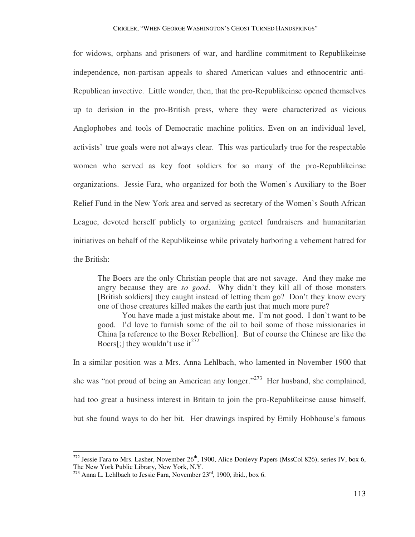for widows, orphans and prisoners of war, and hardline commitment to Republikeinse independence, non-partisan appeals to shared American values and ethnocentric anti-Republican invective. Little wonder, then, that the pro-Republikeinse opened themselves up to derision in the pro-British press, where they were characterized as vicious Anglophobes and tools of Democratic machine politics. Even on an individual level, activists' true goals were not always clear. This was particularly true for the respectable women who served as key foot soldiers for so many of the pro-Republikeinse organizations. Jessie Fara, who organized for both the Women's Auxiliary to the Boer Relief Fund in the New York area and served as secretary of the Women's South African League, devoted herself publicly to organizing genteel fundraisers and humanitarian initiatives on behalf of the Republikeinse while privately harboring a vehement hatred for the British:

The Boers are the only Christian people that are not savage. And they make me angry because they are *so good*. Why didn't they kill all of those monsters [British soldiers] they caught instead of letting them go? Don't they know every one of those creatures killed makes the earth just that much more pure?

You have made a just mistake about me. I'm not good. I don't want to be good. I'd love to furnish some of the oil to boil some of those missionaries in China [a reference to the Boxer Rebellion]. But of course the Chinese are like the Boers[;] they wouldn't use it<sup>272</sup>

In a similar position was a Mrs. Anna Lehlbach, who lamented in November 1900 that she was "not proud of being an American any longer."<sup>273</sup> Her husband, she complained, had too great a business interest in Britain to join the pro-Republikeinse cause himself, but she found ways to do her bit. Her drawings inspired by Emily Hobhouse's famous

<sup>&</sup>lt;sup>272</sup> Jessie Fara to Mrs. Lasher, November 26<sup>th</sup>, 1900, Alice Donlevy Papers (MssCol 826), series IV, box 6, The New York Public Library, New York, N.Y.

 $273$  Anna L. Lehlbach to Jessie Fara, November  $23<sup>rd</sup>$ , 1900, ibid., box 6.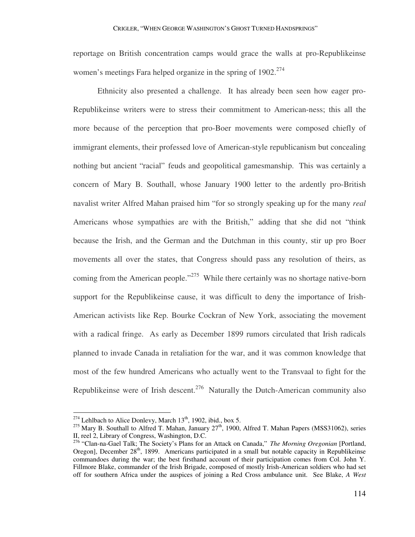reportage on British concentration camps would grace the walls at pro-Republikeinse women's meetings Fara helped organize in the spring of  $1902$ <sup>274</sup>

 Ethnicity also presented a challenge. It has already been seen how eager pro-Republikeinse writers were to stress their commitment to American-ness; this all the more because of the perception that pro-Boer movements were composed chiefly of immigrant elements, their professed love of American-style republicanism but concealing nothing but ancient "racial" feuds and geopolitical gamesmanship. This was certainly a concern of Mary B. Southall, whose January 1900 letter to the ardently pro-British navalist writer Alfred Mahan praised him "for so strongly speaking up for the many *real* Americans whose sympathies are with the British," adding that she did not "think because the Irish, and the German and the Dutchman in this county, stir up pro Boer movements all over the states, that Congress should pass any resolution of theirs, as coming from the American people.<sup>275</sup> While there certainly was no shortage native-born support for the Republikeinse cause, it was difficult to deny the importance of Irish-American activists like Rep. Bourke Cockran of New York, associating the movement with a radical fringe. As early as December 1899 rumors circulated that Irish radicals planned to invade Canada in retaliation for the war, and it was common knowledge that most of the few hundred Americans who actually went to the Transvaal to fight for the Republikeinse were of Irish descent.<sup>276</sup> Naturally the Dutch-American community also

<sup>&</sup>lt;sup>274</sup> Lehlbach to Alice Donlevy, March  $13<sup>th</sup>$ , 1902, ibid., box 5.

 $275$  Mary B. Southall to Alfred T. Mahan, January  $27<sup>th</sup>$ , 1900, Alfred T. Mahan Papers (MSS31062), series II, reel 2, Library of Congress, Washington, D.C.

<sup>276</sup> "Clan-na-Gael Talk; The Society's Plans for an Attack on Canada," *The Morning Oregonian* [Portland, Oregon], December 28<sup>th</sup>, 1899. Americans participated in a small but notable capacity in Republikeinse commandoes during the war; the best firsthand account of their participation comes from Col. John Y. Fillmore Blake, commander of the Irish Brigade, composed of mostly Irish-American soldiers who had set off for southern Africa under the auspices of joining a Red Cross ambulance unit. See Blake, *A West*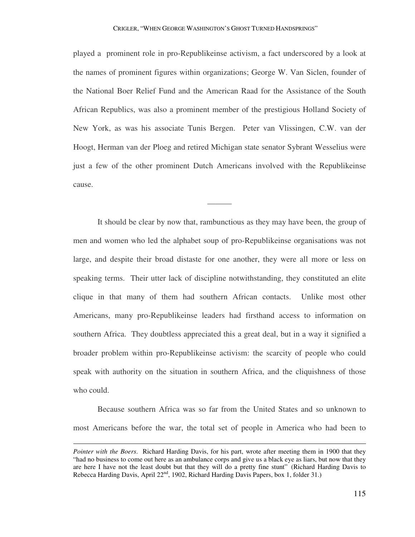played a prominent role in pro-Republikeinse activism, a fact underscored by a look at the names of prominent figures within organizations; George W. Van Siclen, founder of the National Boer Relief Fund and the American Raad for the Assistance of the South African Republics, was also a prominent member of the prestigious Holland Society of New York, as was his associate Tunis Bergen. Peter van Vlissingen, C.W. van der Hoogt, Herman van der Ploeg and retired Michigan state senator Sybrant Wesselius were just a few of the other prominent Dutch Americans involved with the Republikeinse cause.

———

 It should be clear by now that, rambunctious as they may have been, the group of men and women who led the alphabet soup of pro-Republikeinse organisations was not large, and despite their broad distaste for one another, they were all more or less on speaking terms. Their utter lack of discipline notwithstanding, they constituted an elite clique in that many of them had southern African contacts. Unlike most other Americans, many pro-Republikeinse leaders had firsthand access to information on southern Africa. They doubtless appreciated this a great deal, but in a way it signified a broader problem within pro-Republikeinse activism: the scarcity of people who could speak with authority on the situation in southern Africa, and the cliquishness of those who could.

 Because southern Africa was so far from the United States and so unknown to most Americans before the war, the total set of people in America who had been to

*Pointer with the Boers*. Richard Harding Davis, for his part, wrote after meeting them in 1900 that they "had no business to come out here as an ambulance corps and give us a black eye as liars, but now that they are here I have not the least doubt but that they will do a pretty fine stunt" (Richard Harding Davis to Rebecca Harding Davis, April 22<sup>nd</sup>, 1902, Richard Harding Davis Papers, box 1, folder 31.)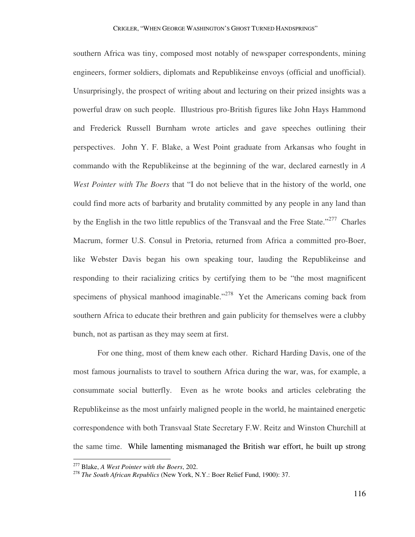southern Africa was tiny, composed most notably of newspaper correspondents, mining engineers, former soldiers, diplomats and Republikeinse envoys (official and unofficial). Unsurprisingly, the prospect of writing about and lecturing on their prized insights was a powerful draw on such people. Illustrious pro-British figures like John Hays Hammond and Frederick Russell Burnham wrote articles and gave speeches outlining their perspectives. John Y. F. Blake, a West Point graduate from Arkansas who fought in commando with the Republikeinse at the beginning of the war, declared earnestly in *A West Pointer with The Boers* that "I do not believe that in the history of the world, one could find more acts of barbarity and brutality committed by any people in any land than by the English in the two little republics of the Transvaal and the Free State."<sup>277</sup> Charles Macrum, former U.S. Consul in Pretoria, returned from Africa a committed pro-Boer, like Webster Davis began his own speaking tour, lauding the Republikeinse and responding to their racializing critics by certifying them to be "the most magnificent specimens of physical manhood imaginable."<sup>278</sup> Yet the Americans coming back from southern Africa to educate their brethren and gain publicity for themselves were a clubby bunch, not as partisan as they may seem at first.

 For one thing, most of them knew each other. Richard Harding Davis, one of the most famous journalists to travel to southern Africa during the war, was, for example, a consummate social butterfly. Even as he wrote books and articles celebrating the Republikeinse as the most unfairly maligned people in the world, he maintained energetic correspondence with both Transvaal State Secretary F.W. Reitz and Winston Churchill at the same time. While lamenting mismanaged the British war effort, he built up strong

<sup>277</sup> Blake, *A West Pointer with the Boers*, 202.

<sup>278</sup> *The South African Republics* (New York, N.Y.: Boer Relief Fund, 1900): 37.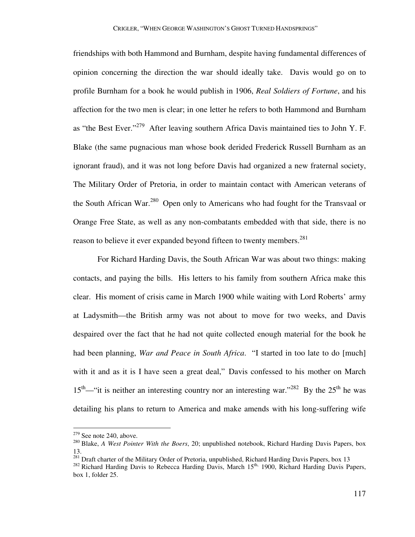friendships with both Hammond and Burnham, despite having fundamental differences of opinion concerning the direction the war should ideally take. Davis would go on to profile Burnham for a book he would publish in 1906, *Real Soldiers of Fortune*, and his affection for the two men is clear; in one letter he refers to both Hammond and Burnham as "the Best Ever."<sup>279</sup> After leaving southern Africa Davis maintained ties to John Y. F. Blake (the same pugnacious man whose book derided Frederick Russell Burnham as an ignorant fraud), and it was not long before Davis had organized a new fraternal society, The Military Order of Pretoria, in order to maintain contact with American veterans of the South African War.<sup>280</sup> Open only to Americans who had fought for the Transvaal or Orange Free State, as well as any non-combatants embedded with that side, there is no reason to believe it ever expanded beyond fifteen to twenty members.<sup>281</sup>

 For Richard Harding Davis, the South African War was about two things: making contacts, and paying the bills. His letters to his family from southern Africa make this clear. His moment of crisis came in March 1900 while waiting with Lord Roberts' army at Ladysmith—the British army was not about to move for two weeks, and Davis despaired over the fact that he had not quite collected enough material for the book he had been planning, *War and Peace in South Africa*. "I started in too late to do [much] with it and as it is I have seen a great deal," Davis confessed to his mother on March  $15<sup>th</sup>$ —"it is neither an interesting country nor an interesting war."<sup>282</sup> By the 25<sup>th</sup> he was detailing his plans to return to America and make amends with his long-suffering wife

<u>.</u>

 $279$  See note 240, above.

<sup>280</sup> Blake, *A West Pointer With the Boers*, 20; unpublished notebook, Richard Harding Davis Papers, box 13.

<sup>&</sup>lt;sup>281</sup> Draft charter of the Military Order of Pretoria, unpublished, Richard Harding Davis Papers, box 13

<sup>&</sup>lt;sup>282</sup> Richard Harding Davis to Rebecca Harding Davis, March  $15<sup>th</sup>$ , 1900, Richard Harding Davis Papers, box 1, folder 25.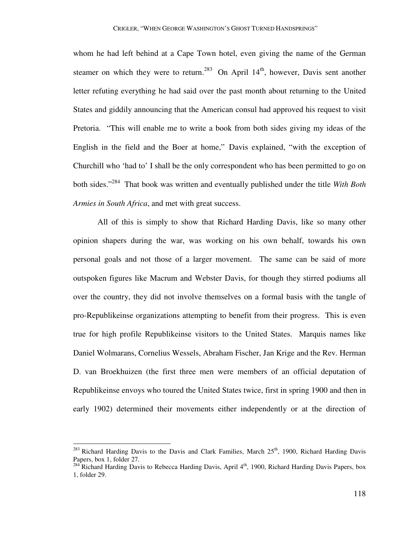whom he had left behind at a Cape Town hotel, even giving the name of the German steamer on which they were to return.<sup>283</sup> On April  $14<sup>th</sup>$ , however, Davis sent another letter refuting everything he had said over the past month about returning to the United States and giddily announcing that the American consul had approved his request to visit Pretoria. "This will enable me to write a book from both sides giving my ideas of the English in the field and the Boer at home," Davis explained, "with the exception of Churchill who 'had to' I shall be the only correspondent who has been permitted to go on both sides."<sup>284</sup> That book was written and eventually published under the title *With Both Armies in South Africa*, and met with great success.

 All of this is simply to show that Richard Harding Davis, like so many other opinion shapers during the war, was working on his own behalf, towards his own personal goals and not those of a larger movement. The same can be said of more outspoken figures like Macrum and Webster Davis, for though they stirred podiums all over the country, they did not involve themselves on a formal basis with the tangle of pro-Republikeinse organizations attempting to benefit from their progress. This is even true for high profile Republikeinse visitors to the United States. Marquis names like Daniel Wolmarans, Cornelius Wessels, Abraham Fischer, Jan Krige and the Rev. Herman D. van Broekhuizen (the first three men were members of an official deputation of Republikeinse envoys who toured the United States twice, first in spring 1900 and then in early 1902) determined their movements either independently or at the direction of

-

 $^{283}$  Richard Harding Davis to the Davis and Clark Families, March  $25<sup>th</sup>$ , 1900, Richard Harding Davis Papers, box 1, folder 27.

 $^{284}$  Richard Harding Davis to Rebecca Harding Davis, April  $4<sup>th</sup>$ , 1900, Richard Harding Davis Papers, box 1, folder 29.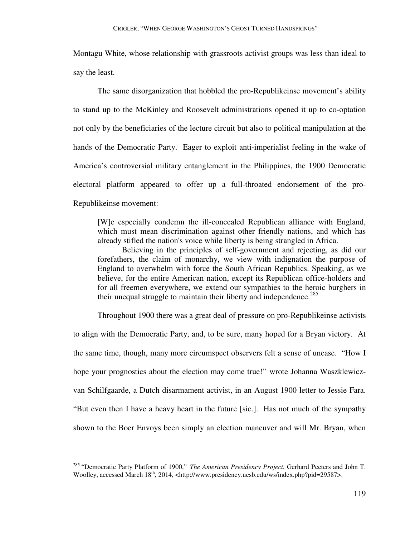Montagu White, whose relationship with grassroots activist groups was less than ideal to say the least.

 The same disorganization that hobbled the pro-Republikeinse movement's ability to stand up to the McKinley and Roosevelt administrations opened it up to co-optation not only by the beneficiaries of the lecture circuit but also to political manipulation at the hands of the Democratic Party. Eager to exploit anti-imperialist feeling in the wake of America's controversial military entanglement in the Philippines, the 1900 Democratic electoral platform appeared to offer up a full-throated endorsement of the pro-Republikeinse movement:

[W]e especially condemn the ill-concealed Republican alliance with England, which must mean discrimination against other friendly nations, and which has already stifled the nation's voice while liberty is being strangled in Africa.

Believing in the principles of self-government and rejecting, as did our forefathers, the claim of monarchy, we view with indignation the purpose of England to overwhelm with force the South African Republics. Speaking, as we believe, for the entire American nation, except its Republican office-holders and for all freemen everywhere, we extend our sympathies to the heroic burghers in their unequal struggle to maintain their liberty and independence.<sup>285</sup>

Throughout 1900 there was a great deal of pressure on pro-Republikeinse activists

to align with the Democratic Party, and, to be sure, many hoped for a Bryan victory. At the same time, though, many more circumspect observers felt a sense of unease. "How I hope your prognostics about the election may come true!" wrote Johanna Waszklewiczvan Schilfgaarde, a Dutch disarmament activist, in an August 1900 letter to Jessie Fara. "But even then I have a heavy heart in the future [sic.]. Has not much of the sympathy shown to the Boer Envoys been simply an election maneuver and will Mr. Bryan, when

<sup>285</sup> "Democratic Party Platform of 1900," *The American Presidency Project*, Gerhard Peeters and John T. Woolley, accessed March 18<sup>th</sup>, 2014, <http://www.presidency.ucsb.edu/ws/index.php?pid=29587>.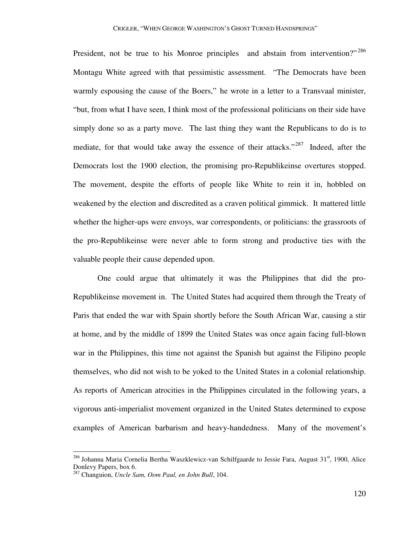President, not be true to his Monroe principles and abstain from intervention?"<sup>286</sup> Montagu White agreed with that pessimistic assessment. "The Democrats have been warmly espousing the cause of the Boers," he wrote in a letter to a Transvaal minister, "but, from what I have seen, I think most of the professional politicians on their side have simply done so as a party move. The last thing they want the Republicans to do is to mediate, for that would take away the essence of their attacks."<sup>287</sup> Indeed, after the Democrats lost the 1900 election, the promising pro-Republikeinse overtures stopped. The movement, despite the efforts of people like White to rein it in, hobbled on weakened by the election and discredited as a craven political gimmick. It mattered little whether the higher-ups were envoys, war correspondents, or politicians: the grassroots of the pro-Republikeinse were never able to form strong and productive ties with the valuable people their cause depended upon.

 One could argue that ultimately it was the Philippines that did the pro-Republikeinse movement in. The United States had acquired them through the Treaty of Paris that ended the war with Spain shortly before the South African War, causing a stir at home, and by the middle of 1899 the United States was once again facing full-blown war in the Philippines, this time not against the Spanish but against the Filipino people themselves, who did not wish to be yoked to the United States in a colonial relationship. As reports of American atrocities in the Philippines circulated in the following years, a vigorous anti-imperialist movement organized in the United States determined to expose examples of American barbarism and heavy-handedness. Many of the movement's

<u>.</u>

 $^{286}$  Johanna Maria Cornelia Bertha Waszklewicz-van Schilfgaarde to Jessie Fara, August 31<sup>st</sup>, 1900, Alice Donlevy Papers, box 6.

<sup>287</sup> Changuion, *Uncle Sam, Oom Paul, en John Bull*, 104.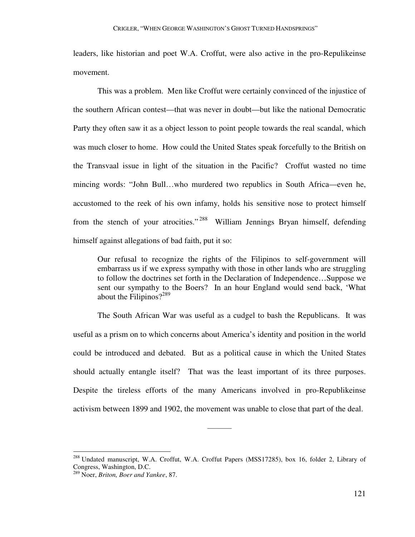leaders, like historian and poet W.A. Croffut, were also active in the pro-Repulikeinse movement.

 This was a problem. Men like Croffut were certainly convinced of the injustice of the southern African contest—that was never in doubt—but like the national Democratic Party they often saw it as a object lesson to point people towards the real scandal, which was much closer to home. How could the United States speak forcefully to the British on the Transvaal issue in light of the situation in the Pacific? Croffut wasted no time mincing words: "John Bull…who murdered two republics in South Africa—even he, accustomed to the reek of his own infamy, holds his sensitive nose to protect himself from the stench of your atrocities." <sup>288</sup> William Jennings Bryan himself, defending himself against allegations of bad faith, put it so:

Our refusal to recognize the rights of the Filipinos to self-government will embarrass us if we express sympathy with those in other lands who are struggling to follow the doctrines set forth in the Declaration of Independence…Suppose we sent our sympathy to the Boers? In an hour England would send back, 'What about the Filipinos? $2^{289}$ 

 The South African War was useful as a cudgel to bash the Republicans. It was useful as a prism on to which concerns about America's identity and position in the world could be introduced and debated. But as a political cause in which the United States should actually entangle itself? That was the least important of its three purposes. Despite the tireless efforts of the many Americans involved in pro-Republikeinse activism between 1899 and 1902, the movement was unable to close that part of the deal.

———

<sup>&</sup>lt;sup>288</sup> Undated manuscript, W.A. Croffut, W.A. Croffut Papers (MSS17285), box 16, folder 2, Library of Congress, Washington, D.C.

<sup>289</sup> Noer, *Briton, Boer and Yankee*, 87.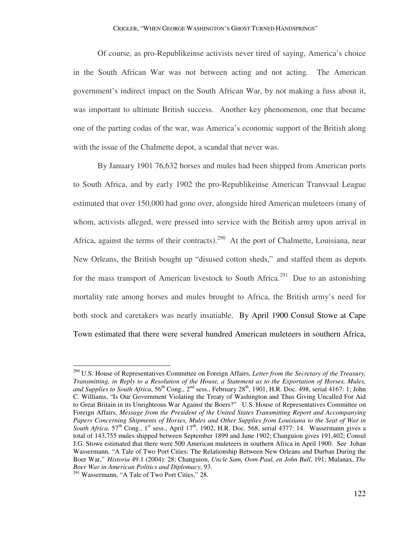Of course, as pro-Republikeinse activists never tired of saying, America's choice in the South African War was not between acting and not acting. The American government's indirect impact on the South African War, by not making a fuss about it, was important to ultimate British success. Another key phenomenon, one that became one of the parting codas of the war, was America's economic support of the British along with the issue of the Chalmette depot, a scandal that never was.

 By January 1901 76,632 horses and mules had been shipped from American ports to South Africa, and by early 1902 the pro-Republikeinse American Transvaal League estimated that over 150,000 had gone over, alongside hired American muleteers (many of whom, activists alleged, were pressed into service with the British army upon arrival in Africa, against the terms of their contracts).<sup>290</sup> At the port of Chalmette, Louisiana, near New Orleans, the British bought up "disused cotton sheds," and staffed them as depots for the mass transport of American livestock to South Africa.<sup>291</sup> Due to an astonishing mortality rate among horses and mules brought to Africa, the British army's need for both stock and caretakers was nearly insatiable. By April 1900 Consul Stowe at Cape Town estimated that there were several hundred American muleteers in southern Africa,

<sup>290</sup> U.S. House of Representatives Committee on Foreign Affairs, *Letter from the Secretary of the Treasury, Transmitting, in Reply to a Resolution of the House, a Statement as to the Exportation of Horses, Mules,*  and Supplies to South Africa, 56<sup>th</sup> Cong., 2<sup>nd</sup> sess., February 28<sup>th</sup>, 1901, H.R. Doc. 498, serial 4167: 1; John C. Williams, "Is Our Government Violating the Treaty of Washington and Thus Giving Uncalled For Aid to Great Britain in its Unrighteous War Against the Boers?" U.S. House of Representatives Committee on Foreign Affairs, *Message from the President of the United States Transmitting Report and Accompanying Papers Concerning Shipments of Horses, Mules and Other Supplies from Louisiana to the Seat of War in South Africa*,  $57<sup>th</sup>$  Cong., 1<sup>st</sup> sess., April 17<sup>th</sup>, 1902, H.R. Doc. 568, serial 4377: 14. Wassermann gives a total of 143,755 mules shipped between September 1899 and June 1902; Changuion gives 191,402; Consul J.G. Stowe estimated that there were 500 American muleteers in southern Africa in April 1900. See Johan Wassermann, "A Tale of Two Port Cities: The Relationship Between New Orleans and Durban During the Boer War," *Historia* 49.1 (2004): 28; Changuion, *Uncle Sam, Oom Paul, en John Bull*, 191; Mulanax, *The Boer War in American Politics and Diplomacy*, 93.

 $^{291}$  Wassermann, "A Tale of Two Port Cities," 28.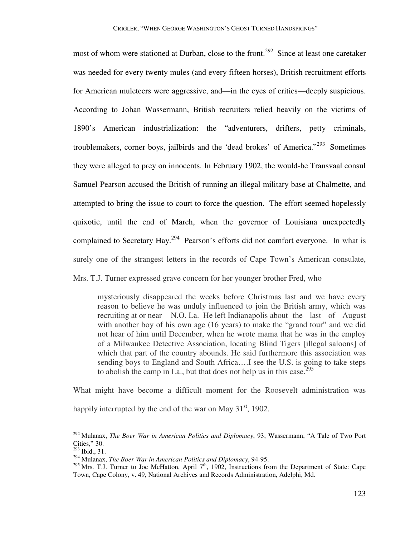most of whom were stationed at Durban, close to the front.<sup>292</sup> Since at least one caretaker was needed for every twenty mules (and every fifteen horses), British recruitment efforts for American muleteers were aggressive, and—in the eyes of critics—deeply suspicious. According to Johan Wassermann, British recruiters relied heavily on the victims of 1890's American industrialization: the "adventurers, drifters, petty criminals, troublemakers, corner boys, jailbirds and the 'dead brokes' of America."<sup>293</sup> Sometimes they were alleged to prey on innocents. In February 1902, the would-be Transvaal consul Samuel Pearson accused the British of running an illegal military base at Chalmette, and attempted to bring the issue to court to force the question. The effort seemed hopelessly quixotic, until the end of March, when the governor of Louisiana unexpectedly complained to Secretary Hay.<sup>294</sup> Pearson's efforts did not comfort everyone. In what is surely one of the strangest letters in the records of Cape Town's American consulate,

Mrs. T.J. Turner expressed grave concern for her younger brother Fred, who

mysteriously disappeared the weeks before Christmas last and we have every reason to believe he was unduly influenced to join the British army, which was recruiting at or near N.O. La. He left Indianapolis about the last of August with another boy of his own age (16 years) to make the "grand tour" and we did not hear of him until December, when he wrote mama that he was in the employ of a Milwaukee Detective Association, locating Blind Tigers [illegal saloons] of which that part of the country abounds. He said furthermore this association was sending boys to England and South Africa….I see the U.S. is going to take steps to abolish the camp in La., but that does not help us in this case.<sup>295</sup>

What might have become a difficult moment for the Roosevelt administration was happily interrupted by the end of the war on May  $31<sup>st</sup>$ , 1902.

<sup>292</sup> Mulanax, *The Boer War in American Politics and Diplomacy*, 93; Wassermann, "A Tale of Two Port Cities," 30.

 $^{293}$  Ibid., 31.

<sup>294</sup> Mulanax, *The Boer War in American Politics and Diplomacy*, 94-95.

<sup>&</sup>lt;sup>295</sup> Mrs. T.J. Turner to Joe McHatton, April  $7<sup>th</sup>$ , 1902, Instructions from the Department of State: Cape Town, Cape Colony, v. 49, National Archives and Records Administration, Adelphi, Md.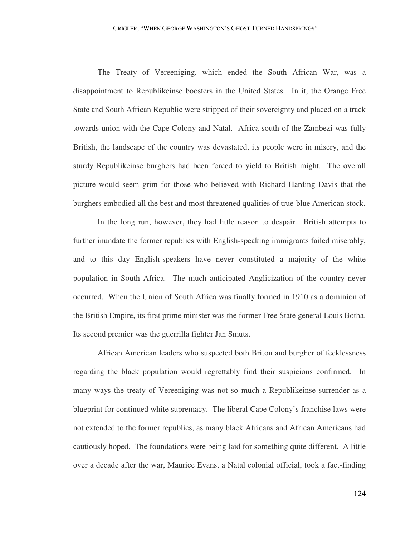———

 The Treaty of Vereeniging, which ended the South African War, was a disappointment to Republikeinse boosters in the United States. In it, the Orange Free State and South African Republic were stripped of their sovereignty and placed on a track towards union with the Cape Colony and Natal. Africa south of the Zambezi was fully British, the landscape of the country was devastated, its people were in misery, and the sturdy Republikeinse burghers had been forced to yield to British might. The overall picture would seem grim for those who believed with Richard Harding Davis that the burghers embodied all the best and most threatened qualities of true-blue American stock.

 In the long run, however, they had little reason to despair. British attempts to further inundate the former republics with English-speaking immigrants failed miserably, and to this day English-speakers have never constituted a majority of the white population in South Africa. The much anticipated Anglicization of the country never occurred. When the Union of South Africa was finally formed in 1910 as a dominion of the British Empire, its first prime minister was the former Free State general Louis Botha. Its second premier was the guerrilla fighter Jan Smuts.

 African American leaders who suspected both Briton and burgher of fecklessness regarding the black population would regrettably find their suspicions confirmed. In many ways the treaty of Vereeniging was not so much a Republikeinse surrender as a blueprint for continued white supremacy. The liberal Cape Colony's franchise laws were not extended to the former republics, as many black Africans and African Americans had cautiously hoped. The foundations were being laid for something quite different. A little over a decade after the war, Maurice Evans, a Natal colonial official, took a fact-finding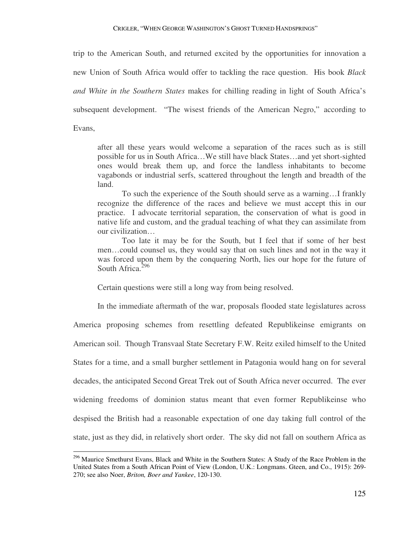trip to the American South, and returned excited by the opportunities for innovation a new Union of South Africa would offer to tackling the race question. His book *Black and White in the Southern States* makes for chilling reading in light of South Africa's subsequent development. "The wisest friends of the American Negro," according to Evans,

after all these years would welcome a separation of the races such as is still possible for us in South Africa…We still have black States…and yet short-sighted ones would break them up, and force the landless inhabitants to become vagabonds or industrial serfs, scattered throughout the length and breadth of the land.

To such the experience of the South should serve as a warning…I frankly recognize the difference of the races and believe we must accept this in our practice. I advocate territorial separation, the conservation of what is good in native life and custom, and the gradual teaching of what they can assimilate from our civilization…

Too late it may be for the South, but I feel that if some of her best men…could counsel us, they would say that on such lines and not in the way it was forced upon them by the conquering North, lies our hope for the future of South Africa.<sup>296</sup>

Certain questions were still a long way from being resolved.

In the immediate aftermath of the war, proposals flooded state legislatures across

America proposing schemes from resettling defeated Republikeinse emigrants on American soil. Though Transvaal State Secretary F.W. Reitz exiled himself to the United States for a time, and a small burgher settlement in Patagonia would hang on for several decades, the anticipated Second Great Trek out of South Africa never occurred. The ever widening freedoms of dominion status meant that even former Republikeinse who despised the British had a reasonable expectation of one day taking full control of the state, just as they did, in relatively short order. The sky did not fall on southern Africa as

<sup>&</sup>lt;sup>296</sup> Maurice Smethurst Evans, Black and White in the Southern States: A Study of the Race Problem in the United States from a South African Point of View (London, U.K.: Longmans. Gteen, and Co., 1915): 269- 270; see also Noer, *Briton, Boer and Yankee*, 120-130.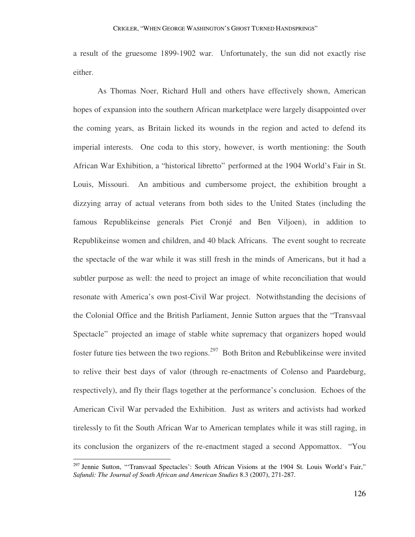a result of the gruesome 1899-1902 war. Unfortunately, the sun did not exactly rise either.

 As Thomas Noer, Richard Hull and others have effectively shown, American hopes of expansion into the southern African marketplace were largely disappointed over the coming years, as Britain licked its wounds in the region and acted to defend its imperial interests. One coda to this story, however, is worth mentioning: the South African War Exhibition, a "historical libretto" performed at the 1904 World's Fair in St. Louis, Missouri. An ambitious and cumbersome project, the exhibition brought a dizzying array of actual veterans from both sides to the United States (including the famous Republikeinse generals Piet Cronjé and Ben Viljoen), in addition to Republikeinse women and children, and 40 black Africans. The event sought to recreate the spectacle of the war while it was still fresh in the minds of Americans, but it had a subtler purpose as well: the need to project an image of white reconciliation that would resonate with America's own post-Civil War project. Notwithstanding the decisions of the Colonial Office and the British Parliament, Jennie Sutton argues that the "Transvaal Spectacle" projected an image of stable white supremacy that organizers hoped would foster future ties between the two regions.<sup>297</sup> Both Briton and Rebublikeinse were invited to relive their best days of valor (through re-enactments of Colenso and Paardeburg, respectively), and fly their flags together at the performance's conclusion. Echoes of the American Civil War pervaded the Exhibition. Just as writers and activists had worked tirelessly to fit the South African War to American templates while it was still raging, in its conclusion the organizers of the re-enactment staged a second Appomattox. "You

<sup>&</sup>lt;sup>297</sup> Jennie Sutton, "Transvaal Spectacles': South African Visions at the 1904 St. Louis World's Fair," *Safundi: The Journal of South African and American Studies* 8.3 (2007), 271-287.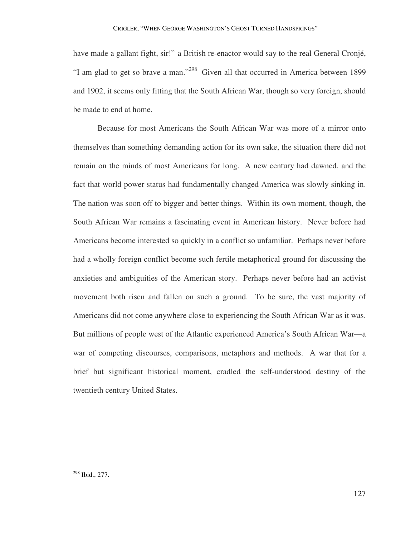have made a gallant fight, sir!" a British re-enactor would say to the real General Cronjé, "I am glad to get so brave a man."<sup>298</sup> Given all that occurred in America between 1899 and 1902, it seems only fitting that the South African War, though so very foreign, should be made to end at home.

 Because for most Americans the South African War was more of a mirror onto themselves than something demanding action for its own sake, the situation there did not remain on the minds of most Americans for long. A new century had dawned, and the fact that world power status had fundamentally changed America was slowly sinking in. The nation was soon off to bigger and better things. Within its own moment, though, the South African War remains a fascinating event in American history. Never before had Americans become interested so quickly in a conflict so unfamiliar. Perhaps never before had a wholly foreign conflict become such fertile metaphorical ground for discussing the anxieties and ambiguities of the American story. Perhaps never before had an activist movement both risen and fallen on such a ground. To be sure, the vast majority of Americans did not come anywhere close to experiencing the South African War as it was. But millions of people west of the Atlantic experienced America's South African War—a war of competing discourses, comparisons, metaphors and methods. A war that for a brief but significant historical moment, cradled the self-understood destiny of the twentieth century United States.

 $\overline{a}$ 

127

<sup>298</sup> Ibid., 277.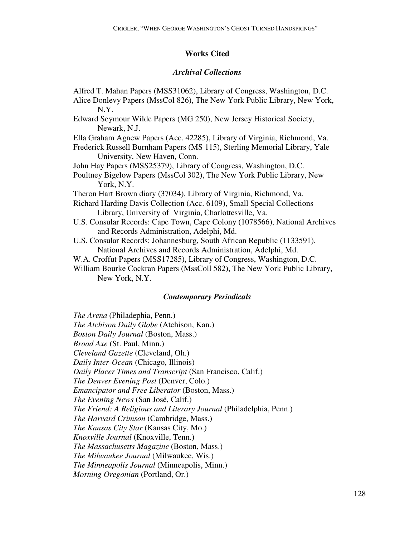# **Works Cited**

### *Archival Collections*

Alfred T. Mahan Papers (MSS31062), Library of Congress, Washington, D.C. Alice Donlevy Papers (MssCol 826), The New York Public Library, New York, N.Y. Edward Seymour Wilde Papers (MG 250), New Jersey Historical Society, Newark, N.J. Ella Graham Agnew Papers (Acc. 42285), Library of Virginia, Richmond, Va. Frederick Russell Burnham Papers (MS 115), Sterling Memorial Library, Yale University, New Haven, Conn. John Hay Papers (MSS25379), Library of Congress, Washington, D.C. Poultney Bigelow Papers (MssCol 302), The New York Public Library, New York, N.Y. Theron Hart Brown diary (37034), Library of Virginia, Richmond, Va. Richard Harding Davis Collection (Acc. 6109), Small Special Collections Library, University of Virginia, Charlottesville, Va. U.S. Consular Records: Cape Town, Cape Colony (1078566), National Archives and Records Administration, Adelphi, Md. U.S. Consular Records: Johannesburg, South African Republic (1133591), National Archives and Records Administration, Adelphi, Md. W.A. Croffut Papers (MSS17285), Library of Congress, Washington, D.C. William Bourke Cockran Papers (MssColl 582), The New York Public Library, New York, N.Y.

## *Contemporary Periodicals*

*The Arena* (Philadephia, Penn.) *The Atchison Daily Globe* (Atchison, Kan.) *Boston Daily Journal* (Boston, Mass.) *Broad Axe* (St. Paul, Minn.) *Cleveland Gazette* (Cleveland, Oh.) *Daily Inter-Ocean* (Chicago, Illinois) *Daily Placer Times and Transcript* (San Francisco, Calif.) *The Denver Evening Post* (Denver, Colo.) *Emancipator and Free Liberator* (Boston, Mass.) *The Evening News* (San José, Calif.) *The Friend: A Religious and Literary Journal* (Philadelphia, Penn.) *The Harvard Crimson* (Cambridge, Mass.) *The Kansas City Star* (Kansas City, Mo.) *Knoxville Journal* (Knoxville, Tenn.) *The Massachusetts Magazine* (Boston, Mass.) *The Milwaukee Journal* (Milwaukee, Wis.) *The Minneapolis Journal* (Minneapolis, Minn.) *Morning Oregonian* (Portland, Or.)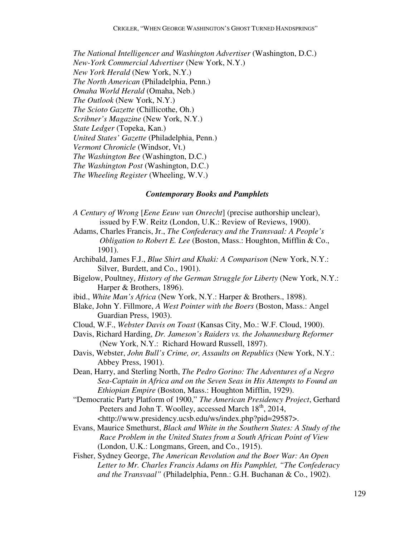*The National Intelligencer and Washington Advertiser* (Washington, D.C.) *New-York Commercial Advertiser* (New York, N.Y.) *New York Herald* (New York, N.Y.) *The North American* (Philadelphia, Penn.) *Omaha World Herald* (Omaha, Neb.) *The Outlook* (New York, N.Y.) *The Scioto Gazette* (Chillicothe, Oh.) *Scribner's Magazine* (New York, N.Y.) *State Ledger* (Topeka, Kan.) *United States' Gazette* (Philadelphia, Penn.) *Vermont Chronicle* (Windsor, Vt.) *The Washington Bee* (Washington, D.C.) *The Washington Post* (Washington, D.C.) *The Wheeling Register* (Wheeling, W.V.)

#### *Contemporary Books and Pamphlets*

- *A Century of Wrong* [*Eene Eeuw van Onrecht*] (precise authorship unclear), issued by F.W. Reitz (London, U.K.: Review of Reviews, 1900).
- Adams, Charles Francis, Jr., *The Confederacy and the Transvaal: A People's Obligation to Robert E. Lee* (Boston, Mass.: Houghton, Mifflin & Co., 1901).
- Archibald, James F.J., *Blue Shirt and Khaki: A Comparison* (New York, N.Y.: Silver, Burdett, and Co., 1901).
- Bigelow, Poultney, *History of the German Struggle for Liberty* (New York, N.Y.: Harper & Brothers, 1896).
- ibid., *White Man's Africa* (New York, N.Y.: Harper & Brothers., 1898).
- Blake, John Y. Fillmore, *A West Pointer with the Boers* (Boston, Mass.: Angel Guardian Press, 1903).
- Cloud, W.F., *Webster Davis on Toast* (Kansas City, Mo.: W.F. Cloud, 1900).
- Davis, Richard Harding, *Dr. Jameson's Raiders vs. the Johannesburg Reformer*  (New York, N.Y.: Richard Howard Russell, 1897).
- Davis, Webster, *John Bull's Crime, or, Assaults on Republics* (New York, N.Y.: Abbey Press, 1901).
- Dean, Harry, and Sterling North, *The Pedro Gorino: The Adventures of a Negro Sea-Captain in Africa and on the Seven Seas in His Attempts to Found an Ethiopian Empire* (Boston, Mass.: Houghton Mifflin, 1929).
- "Democratic Party Platform of 1900," *The American Presidency Project*, Gerhard Peeters and John T. Woolley, accessed March  $18<sup>th</sup>$ , 2014, <http:// www.presidency.ucsb.edu/ws/index.php?pid=29587>.
- Evans, Maurice Smethurst, *Black and White in the Southern States: A Study of the Race Problem in the United States from a South African Point of View*  (London, U.K.: Longmans, Green, and Co., 1915).
- Fisher, Sydney George, *The American Revolution and the Boer War: An Open Letter to Mr. Charles Francis Adams on His Pamphlet, "The Confederacy and the Transvaal"* (Philadelphia, Penn.: G.H. Buchanan & Co., 1902).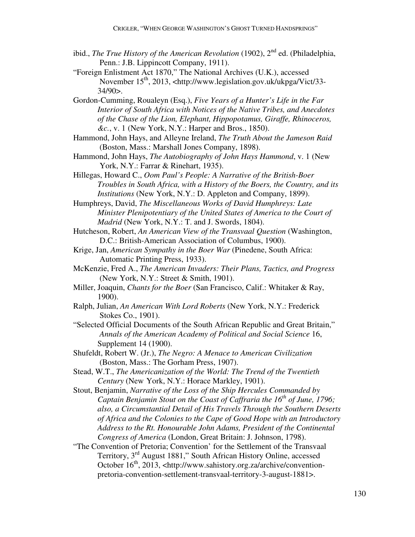- ibid., *The True History of the American Revolution* (1902), 2<sup>nd</sup> ed. (Philadelphia, Penn.: J.B. Lippincott Company, 1911).
- "Foreign Enlistment Act 1870," The National Archives (U.K.), accessed November 15<sup>th</sup>, 2013, <http://www.legislation.gov.uk/ukpga/Vict/33-34/90>.
- Gordon-Cumming, Roualeyn (Esq.), *Five Years of a Hunter's Life in the Far Interior of South Africa with Notices of the Native Tribes, and Anecdotes of the Chase of the Lion, Elephant, Hippopotamus, Giraffe, Rhinoceros, &c.*, v. 1 (New York, N.Y.: Harper and Bros., 1850).
- Hammond, John Hays, and Alleyne Ireland, *The Truth About the Jameson Raid*  (Boston, Mass.: Marshall Jones Company, 1898).
- Hammond, John Hays, *The Autobiography of John Hays Hammond*, v. 1 (New York, N.Y.: Farrar & Rinehart, 1935).
- Hillegas, Howard C., *Oom Paul's People: A Narrative of the British-Boer Troubles in South Africa, with a History of the Boers, the Country, and its Institutions* (New York, N.Y.: D. Appleton and Company, 1899).
- Humphreys, David, *The Miscellaneous Works of David Humphreys: Late Minister Plenipotentiary of the United States of America to the Court of Madrid* (New York, N.Y.: T. and J. Swords, 1804).
- Hutcheson, Robert, *An American View of the Transvaal Question* (Washington, D.C.: British-American Association of Columbus, 1900).
- Krige, Jan, *American Sympathy in the Boer War* (Pinedene, South Africa: Automatic Printing Press, 1933).
- McKenzie, Fred A., *The American Invaders: Their Plans, Tactics, and Progress*  (New York, N.Y.: Street & Smith, 1901).
- Miller, Joaquin, *Chants for the Boer* (San Francisco, Calif.: Whitaker & Ray, 1900).
- Ralph, Julian, *An American With Lord Roberts* (New York, N.Y.: Frederick Stokes Co., 1901).
- "Selected Official Documents of the South African Republic and Great Britain," *Annals of the American Academy of Political and Social Science* 16, Supplement 14 (1900).
- Shufeldt, Robert W. (Jr.), *The Negro: A Menace to American Civilization*  (Boston, Mass.: The Gorham Press, 1907).
- Stead, W.T., *The Americanization of the World: The Trend of the Twentieth Century* (New York, N.Y.: Horace Markley, 1901).
- Stout, Benjamin, *Narrative of the Loss of the Ship Hercules Commanded by Captain Benjamin Stout on the Coast of Caffraria the 16th of June, 1796; also, a Circumstantial Detail of His Travels Through the Southern Deserts of Africa and the Colonies to the Cape of Good Hope with an Introductory Address to the Rt. Honourable John Adams, President of the Continental Congress of America* (London, Great Britain: J. Johnson, 1798).
- "The Convention of Pretoria; Convention' for the Settlement of the Transvaal Territory, 3rd August 1881," South African History Online, accessed October  $16<sup>th</sup>$ , 2013, <http://www.sahistory.org.za/archive/conventionpretoria-convention-settlement-transvaal-territory-3-august-1881>.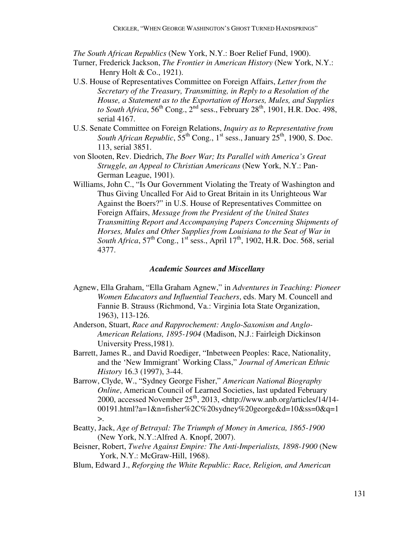*The South African Republics* (New York, N.Y.: Boer Relief Fund, 1900).

- Turner, Frederick Jackson, *The Frontier in American History* (New York, N.Y.: Henry Holt & Co., 1921).
- U.S. House of Representatives Committee on Foreign Affairs, *Letter from the Secretary of the Treasury, Transmitting, in Reply to a Resolution of the House, a Statement as to the Exportation of Horses, Mules, and Supplies to South Africa*,  $56^{th}$  Cong.,  $2^{nd}$  sess., February  $28^{th}$ , 1901, H.R. Doc. 498, serial 4167.
- U.S. Senate Committee on Foreign Relations, *Inquiry as to Representative from South African Republic*,  $55^{th}$  Cong., 1<sup>st</sup> sess., January  $25^{th}$ , 1900, S. Doc. 113, serial 3851.
- von Slooten, Rev. Diedrich, *The Boer War; Its Parallel with America's Great Struggle, an Appeal to Christian Americans* (New York, N.Y.: Pan-German League, 1901).
- Williams, John C., "Is Our Government Violating the Treaty of Washington and Thus Giving Uncalled For Aid to Great Britain in its Unrighteous War Against the Boers?" in U.S. House of Representatives Committee on Foreign Affairs, *Message from the President of the United States Transmitting Report and Accompanying Papers Concerning Shipments of Horses, Mules and Other Supplies from Louisiana to the Seat of War in South Africa*,  $57<sup>th</sup>$  Cong.,  $1<sup>st</sup>$  sess., April 17<sup>th</sup>, 1902, H.R. Doc. 568, serial 4377.

### *Academic Sources and Miscellany*

- Agnew, Ella Graham, "Ella Graham Agnew," in *Adventures in Teaching: Pioneer Women Educators and Influential Teachers*, eds. Mary M. Councell and Fannie B. Strauss (Richmond, Va.: Virginia Iota State Organization, 1963), 113-126.
- Anderson, Stuart, *Race and Rapprochement: Anglo-Saxonism and Anglo-American Relations, 1895-1904* (Madison, N.J.: Fairleigh Dickinson University Press,1981).
- Barrett, James R., and David Roediger, "Inbetween Peoples: Race, Nationality, and the 'New Immigrant' Working Class," *Journal of American Ethnic History* 16.3 (1997), 3-44.
- Barrow, Clyde, W., "Sydney George Fisher," *American National Biography Online*, American Council of Learned Societies, last updated February 2000, accessed November 25<sup>th</sup>, 2013, <http://www.anb.org/articles/14/14-00191.html?a=1&n=fisher%2C%20sydney%20george&d=10&ss=0&q=1  $\mathbf{L}$
- Beatty, Jack, *Age of Betrayal: The Triumph of Money in America, 1865-1900*  (New York, N.Y.:Alfred A. Knopf, 2007).
- Beisner, Robert, *Twelve Against Empire: The Anti-Imperialists, 1898-1900* (New York, N.Y.: McGraw-Hill, 1968).
- Blum, Edward J., *Reforging the White Republic: Race, Religion, and American*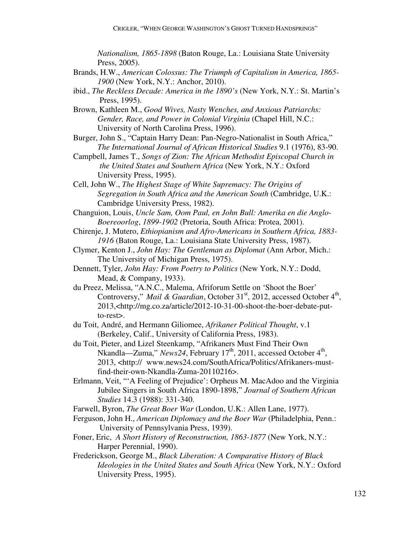*Nationalism, 1865-1898* (Baton Rouge, La.: Louisiana State University Press, 2005).

- Brands, H.W., *American Colossus: The Triumph of Capitalism in America, 1865- 1900* (New York, N.Y.: Anchor, 2010).
- ibid., *The Reckless Decade: America in the 1890's* (New York, N.Y.: St. Martin's Press, 1995).
- Brown, Kathleen M., *Good Wives, Nasty Wenches, and Anxious Patriarchs: Gender, Race, and Power in Colonial Virginia* (Chapel Hill, N.C.: University of North Carolina Press, 1996).
- Burger, John S., "Captain Harry Dean: Pan-Negro-Nationalist in South Africa," *The International Journal of African Historical Studies* 9.1 (1976), 83-90.
- Campbell, James T., *Songs of Zion: The African Methodist Episcopal Church in the United States and Southern Africa* (New York, N.Y.: Oxford University Press, 1995).
- Cell, John W., *The Highest Stage of White Supremacy: The Origins of Segregation in South Africa and the American South* (Cambridge, U.K.: Cambridge University Press, 1982).
- Changuion, Louis, *Uncle Sam, Oom Paul, en John Bull: Amerika en die Anglo- Boereoorlog*, *1899-1902* (Pretoria, South Africa: Protea, 2001).
- Chirenje, J. Mutero, *Ethiopianism and Afro-Americans in Southern Africa, 1883- 1916* (Baton Rouge, La.: Louisiana State University Press, 1987).
- Clymer, Kenton J., *John Hay: The Gentleman as Diplomat* (Ann Arbor, Mich.: The University of Michigan Press, 1975).
- Dennett, Tyler, *John Hay: From Poetry to Politics* (New York, N.Y.: Dodd, Mead, & Company, 1933).
- du Preez, Melissa, "A.N.C., Malema, Afriforum Settle on 'Shoot the Boer' Controversy," Mail & Guardian, October 31<sup>st</sup>, 2012, accessed October 4<sup>th</sup>, 2013,<http://mg.co.za/article/2012-10-31-00-shoot-the-boer-debate-putto-rest>.
- du Toit, André, and Hermann Giliomee, *Afrikaner Political Thought*, v.1 (Berkeley, Calif., University of California Press, 1983).
- du Toit, Pieter, and Lizel Steenkamp, "Afrikaners Must Find Their Own Nkandla—Zuma," *News24*, February 17<sup>th</sup>, 2011, accessed October 4<sup>th</sup>, 2013, <http:// www.news24.com/SouthAfrica/Politics/Afrikaners-mustfind-their-own-Nkandla-Zuma-20110216>.
- Erlmann, Veit, "'A Feeling of Prejudice': Orpheus M. MacAdoo and the Virginia Jubilee Singers in South Africa 1890-1898," *Journal of Southern African Studies* 14.3 (1988): 331-340.

Farwell, Byron, *The Great Boer War* (London, U.K.: Allen Lane, 1977).

- Ferguson, John H., *American Diplomacy and the Boer War* (Philadelphia, Penn.: University of Pennsylvania Press, 1939).
- Foner, Eric, *A Short History of Reconstruction, 1863-1877* (New York, N.Y.: Harper Perennial, 1990).
- Frederickson, George M., *Black Liberation: A Comparative History of Black Ideologies in the United States and South Africa* (New York, N.Y.: Oxford University Press, 1995).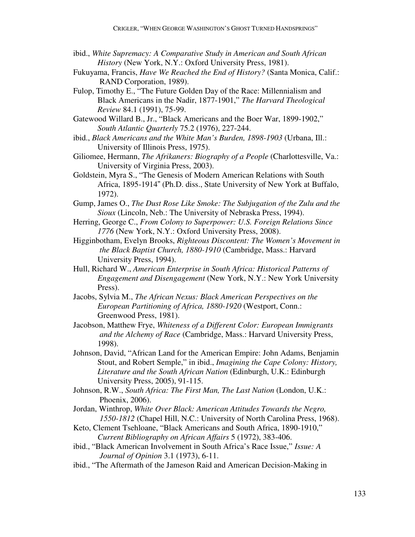- ibid., *White Supremacy: A Comparative Study in American and South African History* (New York, N.Y.: Oxford University Press, 1981).
- Fukuyama, Francis, *Have We Reached the End of History?* (Santa Monica, Calif.: RAND Corporation, 1989).
- Fulop, Timothy E., "The Future Golden Day of the Race: Millennialism and Black Americans in the Nadir, 1877-1901," *The Harvard Theological Review* 84.1 (1991), 75-99.
- Gatewood Willard B., Jr., "Black Americans and the Boer War, 1899-1902," *South Atlantic Quarterly* 75.2 (1976), 227-244.
- ibid., *Black Americans and the White Man's Burden, 1898-1903* (Urbana, Ill.: University of Illinois Press, 1975).
- Giliomee, Hermann, *The Afrikaners: Biography of a People* (Charlottesville, Va.: University of Virginia Press, 2003).
- Goldstein, Myra S., "The Genesis of Modern American Relations with South Africa, 1895-1914" (Ph.D. diss., State University of New York at Buffalo, 1972).
- Gump, James O., *The Dust Rose Like Smoke: The Subjugation of the Zulu and the Sioux* (Lincoln, Neb.: The University of Nebraska Press, 1994).
- Herring, George C., *From Colony to Superpower: U.S. Foreign Relations Since 1776* (New York, N.Y.: Oxford University Press, 2008).
- Higginbotham, Evelyn Brooks, *Righteous Discontent: The Women's Movement in the Black Baptist Church, 1880-1910* (Cambridge, Mass.: Harvard University Press, 1994).
- Hull, Richard W., *American Enterprise in South Africa: Historical Patterns of Engagement and Disengagement* (New York, N.Y.: New York University Press).
- Jacobs, Sylvia M., *The African Nexus: Black American Perspectives on the European Partitioning of Africa, 1880-1920* (Westport, Conn.: Greenwood Press, 1981).
- Jacobson, Matthew Frye, *Whiteness of a Different Color: European Immigrants and the Alchemy of Race* (Cambridge, Mass.: Harvard University Press, 1998).
- Johnson, David, "African Land for the American Empire: John Adams, Benjamin Stout, and Robert Semple," in ibid., *Imagining the Cape Colony: History, Literature and the South African Nation* (Edinburgh, U.K.: Edinburgh University Press, 2005), 91-115.
- Johnson, R.W., *South Africa: The First Man, The Last Nation* (London, U.K.: Phoenix, 2006).
- Jordan, Winthrop, *White Over Black: American Attitudes Towards the Negro, 1550-1812* (Chapel Hill, N.C.: University of North Carolina Press, 1968).
- Keto, Clement Tsehloane, "Black Americans and South Africa, 1890-1910," *Current Bibliography on African Affairs* 5 (1972), 383-406.
- ibid., "Black American Involvement in South Africa's Race Issue," *Issue: A Journal of Opinion* 3.1 (1973), 6-11.
- ibid., "The Aftermath of the Jameson Raid and American Decision-Making in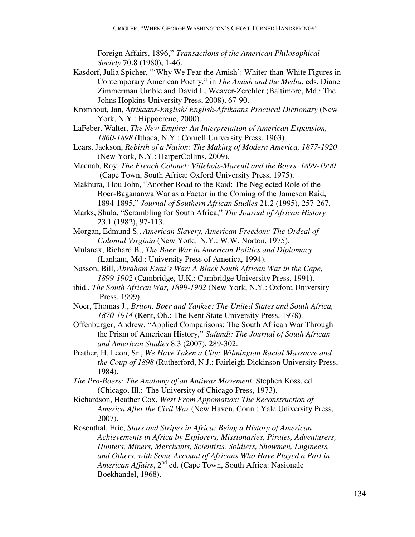Foreign Affairs, 1896," *Transactions of the American Philosophical Society* 70:8 (1980), 1-46.

- Kasdorf, Julia Spicher, "'Why We Fear the Amish': Whiter-than-White Figures in Contemporary American Poetry," in *The Amish and the Media*, eds. Diane Zimmerman Umble and David L. Weaver-Zerchler (Baltimore, Md.: The Johns Hopkins University Press, 2008), 67-90.
- Kromhout, Jan, *Afrikaans-English/ English-Afrikaans Practical Dictionary* (New York, N.Y.: Hippocrene, 2000).
- LaFeber, Walter, *The New Empire: An Interpretation of American Expansion, 1860-1898* (Ithaca, N.Y.: Cornell University Press, 1963).
- Lears, Jackson, *Rebirth of a Nation: The Making of Modern America, 1877-1920*  (New York, N.Y.: HarperCollins, 2009).
- Macnab, Roy, *The French Colonel: Villebois-Mareuil and the Boers, 1899-1900*  (Cape Town, South Africa: Oxford University Press, 1975).

Makhura, Tlou John, "Another Road to the Raid: The Neglected Role of the Boer-Bagananwa War as a Factor in the Coming of the Jameson Raid, 1894-1895," *Journal of Southern African Studies* 21.2 (1995), 257-267.

- Marks, Shula, "Scrambling for South Africa," *The Journal of African History*  23.1 (1982), 97-113.
- Morgan, Edmund S., *American Slavery, American Freedom: The Ordeal of Colonial Virginia* (New York, N.Y.: W.W. Norton, 1975).
- Mulanax, Richard B., *The Boer War in American Politics and Diplomacy* (Lanham, Md.: University Press of America, 1994).
- Nasson, Bill, *Abraham Esau's War: A Black South African War in the Cape, 1899-1902* (Cambridge, U.K.: Cambridge University Press, 1991).
- ibid., *The South African War, 1899-1902* (New York, N.Y.: Oxford University Press, 1999).
- Noer, Thomas J., *Briton, Boer and Yankee: The United States and South Africa, 1870-1914* (Kent, Oh.: The Kent State University Press, 1978).
- Offenburger, Andrew, "Applied Comparisons: The South African War Through the Prism of American History," *Safundi: The Journal of South African and American Studies* 8.3 (2007), 289-302.
- Prather, H. Leon, Sr., *We Have Taken a City: Wilmington Racial Massacre and the Coup of 1898* (Rutherford, N.J.: Fairleigh Dickinson University Press, 1984).
- *The Pro-Boers: The Anatomy of an Antiwar Movement*, Stephen Koss, ed. (Chicago, Ill.: The University of Chicago Press, 1973).
- Richardson, Heather Cox, *West From Appomattox: The Reconstruction of America After the Civil War* (New Haven, Conn.: Yale University Press, 2007).
- Rosenthal, Eric, *Stars and Stripes in Africa: Being a History of American Achievements in Africa by Explorers, Missionaries, Pirates, Adventurers, Hunters, Miners, Merchants, Scientists, Soldiers, Showmen, Engineers, and Others, with Some Account of Africans Who Have Played a Part in American Affairs*, 2nd ed. (Cape Town, South Africa: Nasionale Boekhandel, 1968).